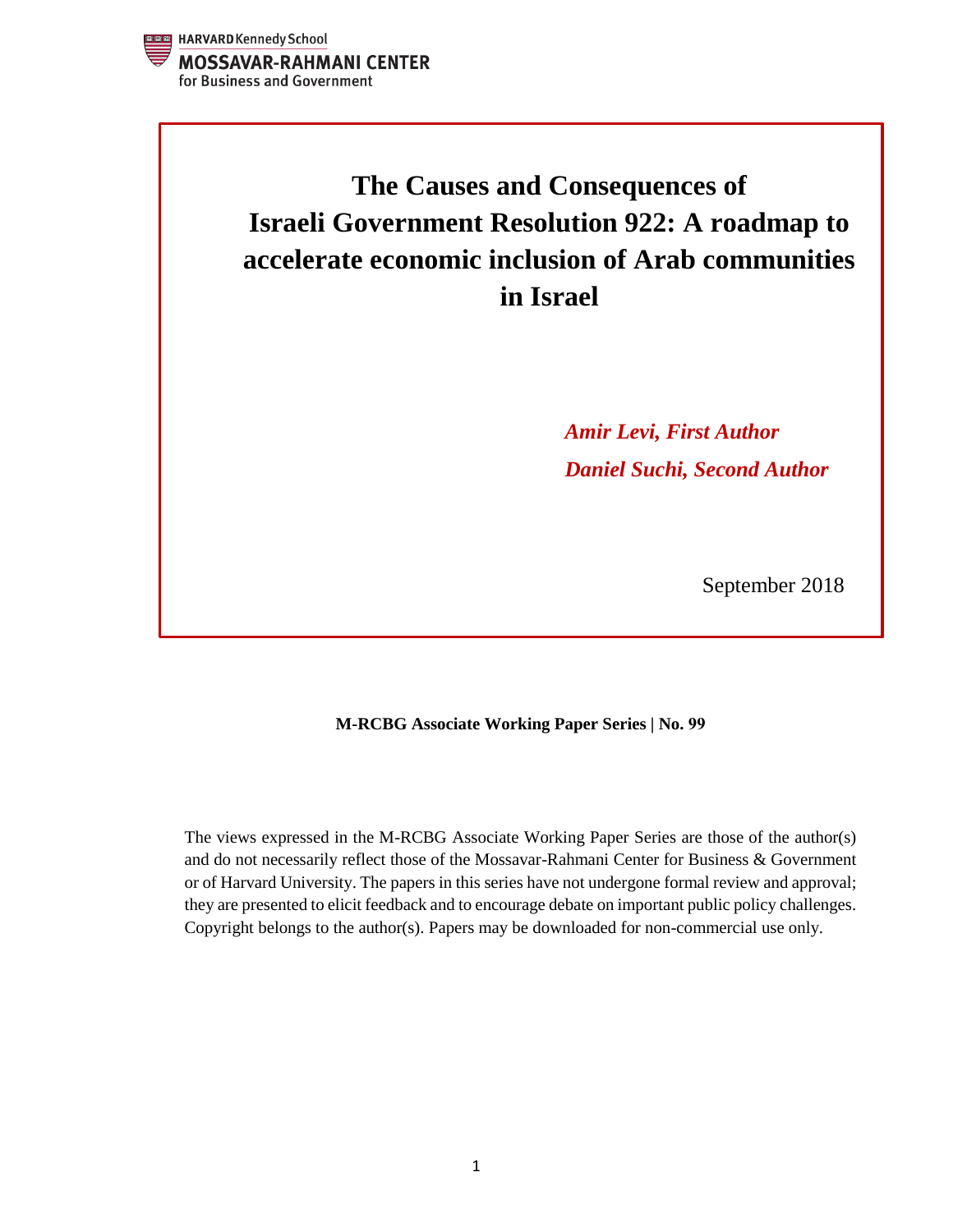

# **The Causes and Consequences of Israeli Government Resolution 922: A roadmap to accelerate economic inclusion of Arab communities in Israel**

*Amir Levi, First Author Daniel Suchi, Second Author*

September 2018

# **M-RCBG Associate Working Paper Series | No. 99**

The views expressed in the M-RCBG Associate Working Paper Series are those of the author(s) and do not necessarily reflect those of the Mossavar-Rahmani Center for Business & Government or of Harvard University. The papers in this series have not undergone formal review and approval; they are presented to elicit feedback and to encourage debate on important public policy challenges. Copyright belongs to the author(s). Papers may be downloaded for non-commercial use only.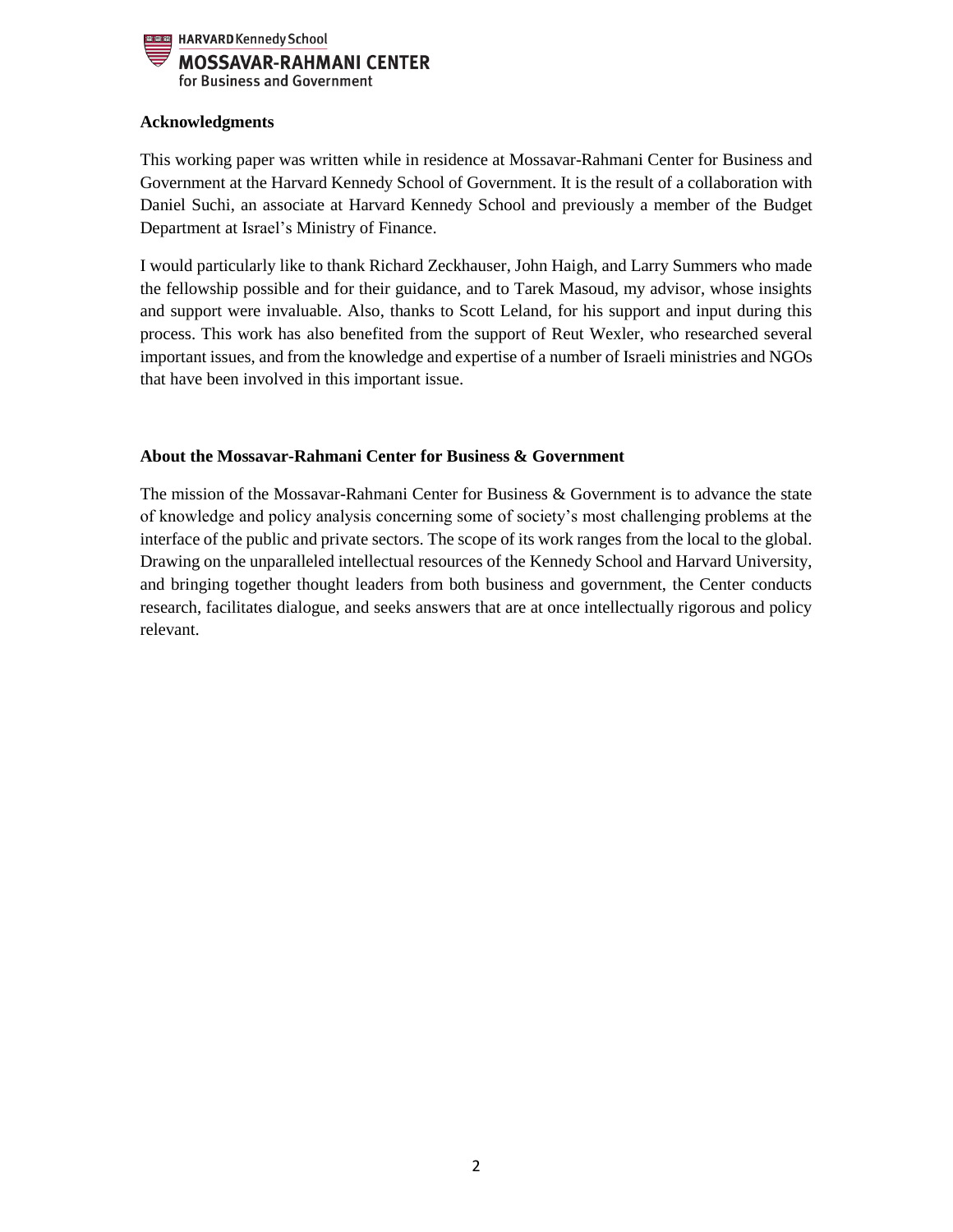

#### **Acknowledgments**

This working paper was written while in residence at Mossavar-Rahmani Center for Business and Government at the Harvard Kennedy School of Government. It is the result of a collaboration with Daniel Suchi, an associate at Harvard Kennedy School and previously a member of the Budget Department at Israel's Ministry of Finance.

I would particularly like to thank Richard Zeckhauser, John Haigh, and Larry Summers who made the fellowship possible and for their guidance, and to Tarek Masoud, my advisor, whose insights and support were invaluable. Also, thanks to Scott Leland, for his support and input during this process. This work has also benefited from the support of Reut Wexler, who researched several important issues, and from the knowledge and expertise of a number of Israeli ministries and NGOs that have been involved in this important issue.

# **About the Mossavar-Rahmani Center for Business & Government**

The mission of the Mossavar-Rahmani Center for Business & Government is to advance the state of knowledge and policy analysis concerning some of society's most challenging problems at the interface of the public and private sectors. The scope of its work ranges from the local to the global. Drawing on the unparalleled intellectual resources of the Kennedy School and Harvard University, and bringing together thought leaders from both business and government, the Center conducts research, facilitates dialogue, and seeks answers that are at once intellectually rigorous and policy relevant.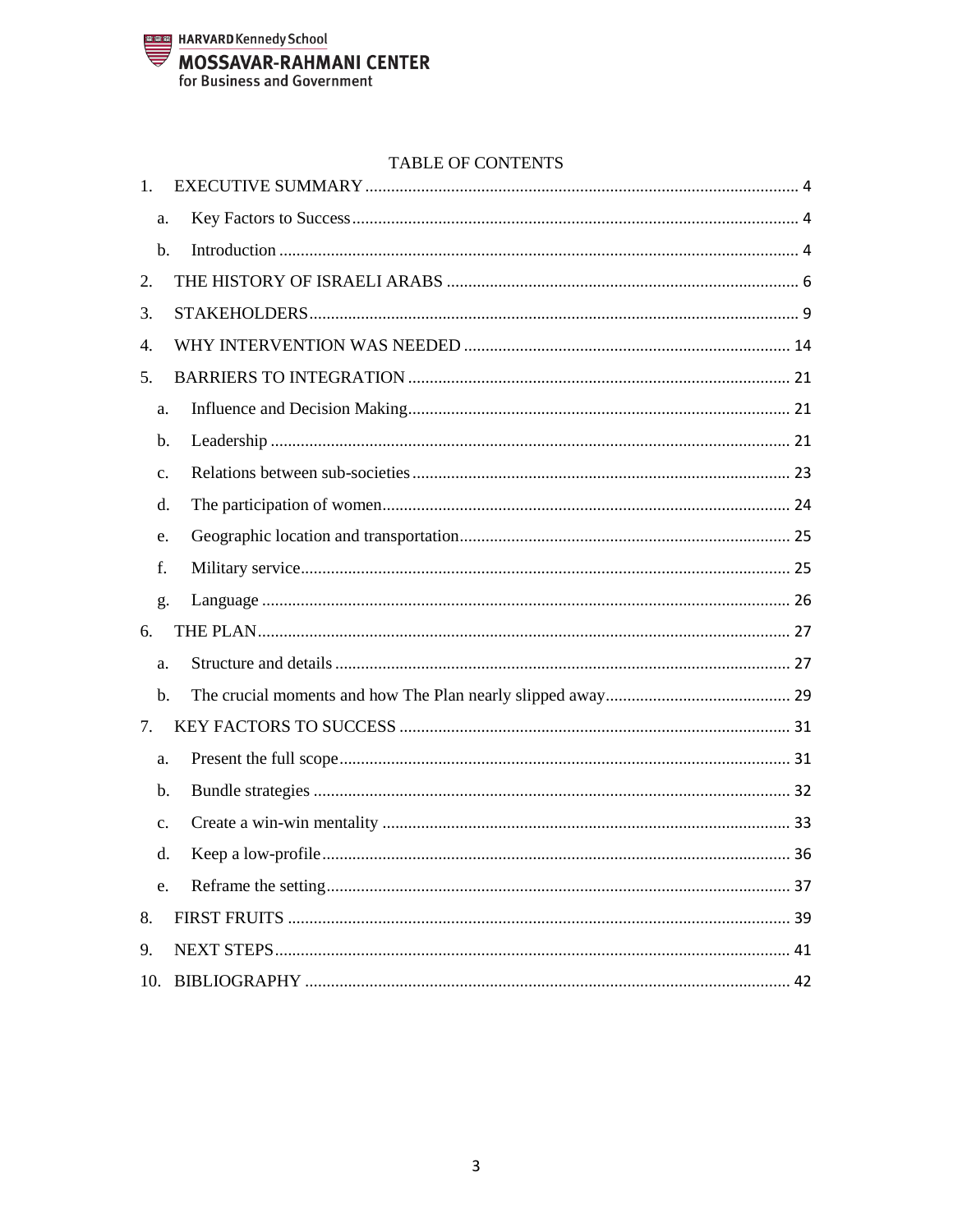

## TABLE OF CONTENTS

| 1.             |  |
|----------------|--|
| a.             |  |
| b.             |  |
| 2.             |  |
| 3.             |  |
| 4.             |  |
| 5.             |  |
| a.             |  |
| b.             |  |
| c.             |  |
| d.             |  |
| e.             |  |
| f.             |  |
|                |  |
| g.             |  |
| 6.             |  |
| a.             |  |
| b.             |  |
| 7.             |  |
| a.             |  |
| b.             |  |
| $\mathbf{c}$ . |  |
| d.             |  |
| e.             |  |
| 8.             |  |
| 9.             |  |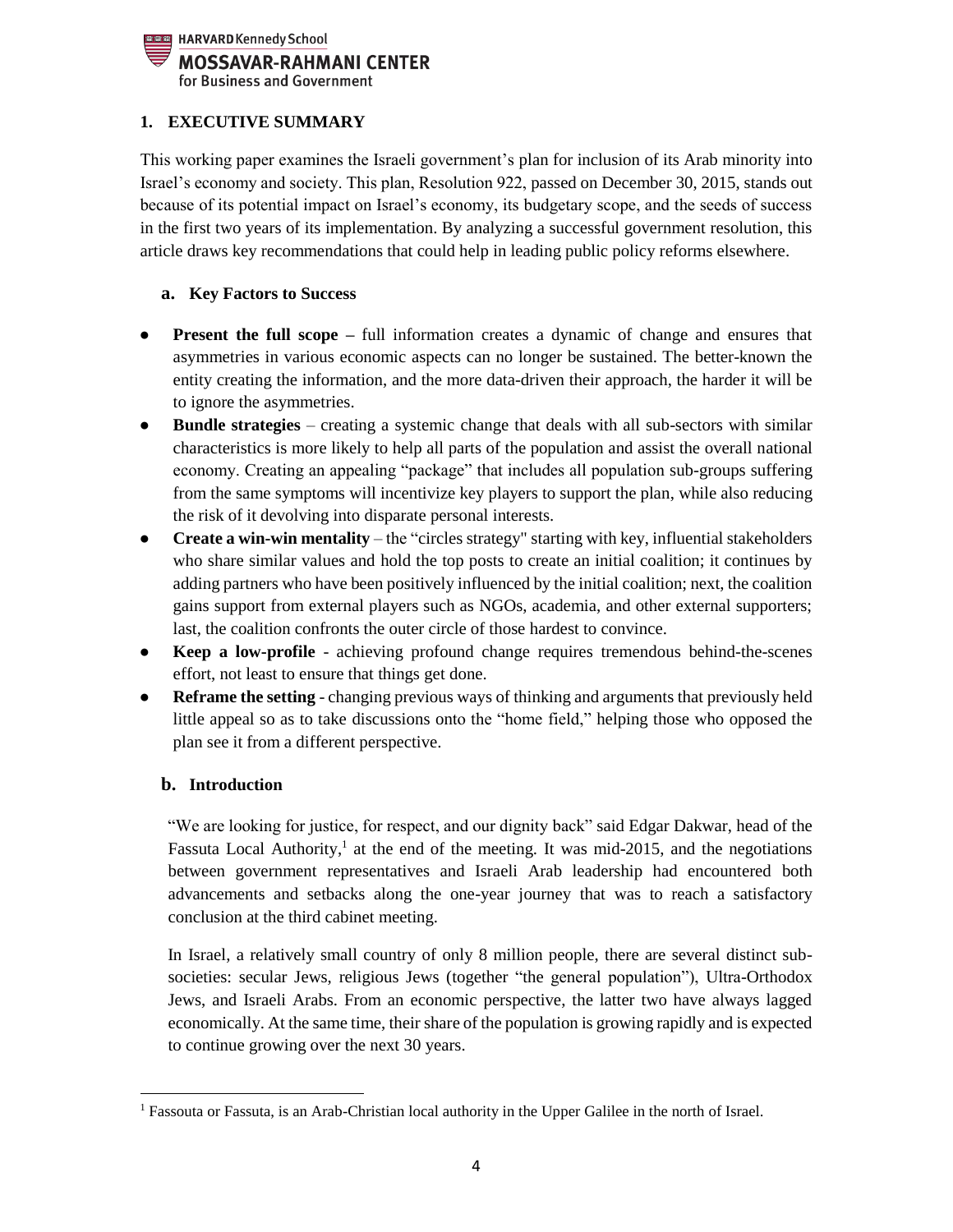

# <span id="page-3-0"></span>**1. EXECUTIVE SUMMARY**

This working paper examines the Israeli government's plan for inclusion of its Arab minority into Israel's economy and society. This plan, Resolution 922, passed on December 30, 2015, stands out because of its potential impact on Israel's economy, its budgetary scope, and the seeds of success in the first two years of its implementation. By analyzing a successful government resolution, this article draws key recommendations that could help in leading public policy reforms elsewhere.

# <span id="page-3-1"></span>**a. Key Factors to Success**

- **Present the full scope** full information creates a dynamic of change and ensures that asymmetries in various economic aspects can no longer be sustained. The better-known the entity creating the information, and the more data-driven their approach, the harder it will be to ignore the asymmetries.
- **Bundle strategies** creating a systemic change that deals with all sub-sectors with similar characteristics is more likely to help all parts of the population and assist the overall national economy. Creating an appealing "package" that includes all population sub-groups suffering from the same symptoms will incentivize key players to support the plan, while also reducing the risk of it devolving into disparate personal interests.
- **Create a win-win mentality** the "circles strategy" starting with key, influential stakeholders who share similar values and hold the top posts to create an initial coalition; it continues by adding partners who have been positively influenced by the initial coalition; next, the coalition gains support from external players such as NGOs, academia, and other external supporters; last, the coalition confronts the outer circle of those hardest to convince.
- **Keep a low-profile**  achieving profound change requires tremendous behind-the-scenes effort, not least to ensure that things get done.
- **Reframe the setting**  changing previous ways of thinking and arguments that previously held little appeal so as to take discussions onto the "home field," helping those who opposed the plan see it from a different perspective.

# <span id="page-3-2"></span>**b. Introduction**

"We are looking for justice, for respect, and our dignity back" said Edgar Dakwar, head of the Fassuta Local Authority,<sup>1</sup> at the end of the meeting. It was mid-2015, and the negotiations between government representatives and Israeli Arab leadership had encountered both advancements and setbacks along the one-year journey that was to reach a satisfactory conclusion at the third cabinet meeting.

In Israel, a relatively small country of only 8 million people, there are several distinct subsocieties: secular Jews, religious Jews (together "the general population"), Ultra-Orthodox Jews, and Israeli Arabs. From an economic perspective, the latter two have always lagged economically. At the same time, their share of the population is growing rapidly and is expected to continue growing over the next 30 years.

 $\overline{\phantom{a}}$ <sup>1</sup> Fassouta or Fassuta, is an Arab-Christian local authority in the Upper Galilee in the north of Israel.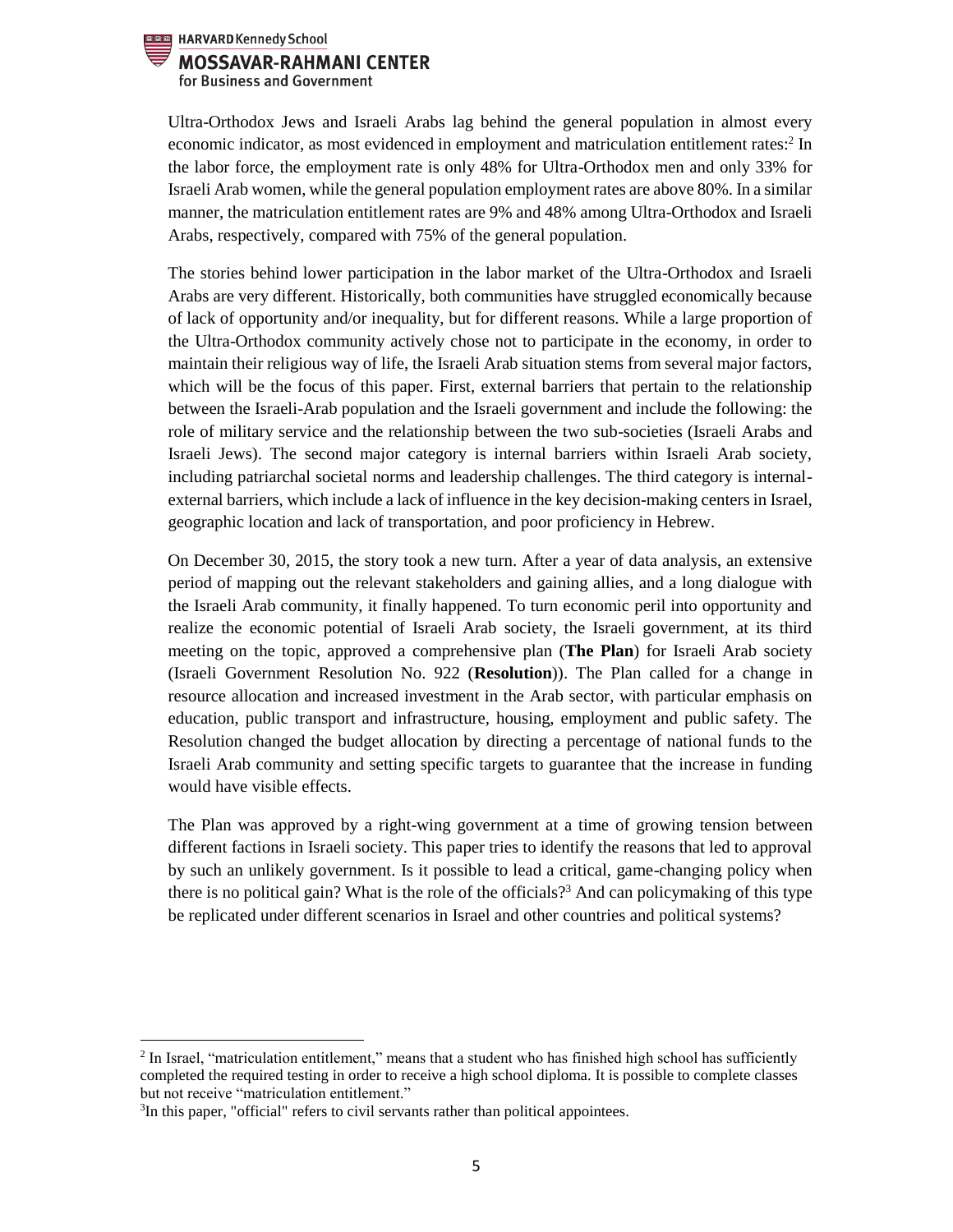

Ultra-Orthodox Jews and Israeli Arabs lag behind the general population in almost every economic indicator, as most evidenced in employment and matriculation entitlement rates:<sup>2</sup> In the labor force, the employment rate is only 48% for Ultra-Orthodox men and only 33% for Israeli Arab women, while the general population employment rates are above 80%. In a similar manner, the matriculation entitlement rates are 9% and 48% among Ultra-Orthodox and Israeli Arabs, respectively, compared with 75% of the general population.

The stories behind lower participation in the labor market of the Ultra-Orthodox and Israeli Arabs are very different. Historically, both communities have struggled economically because of lack of opportunity and/or inequality, but for different reasons. While a large proportion of the Ultra-Orthodox community actively chose not to participate in the economy, in order to maintain their religious way of life, the Israeli Arab situation stems from several major factors, which will be the focus of this paper. First, external barriers that pertain to the relationship between the Israeli-Arab population and the Israeli government and include the following: the role of military service and the relationship between the two sub-societies (Israeli Arabs and Israeli Jews). The second major category is internal barriers within Israeli Arab society, including patriarchal societal norms and leadership challenges. The third category is internalexternal barriers, which include a lack of influence in the key decision-making centers in Israel, geographic location and lack of transportation, and poor proficiency in Hebrew.

On December 30, 2015, the story took a new turn. After a year of data analysis, an extensive period of mapping out the relevant stakeholders and gaining allies, and a long dialogue with the Israeli Arab community, it finally happened. To turn economic peril into opportunity and realize the economic potential of Israeli Arab society, the Israeli government, at its third meeting on the topic, approved a comprehensive plan (**The Plan**) for Israeli Arab society (Israeli Government Resolution No. 922 (**Resolution**)). The Plan called for a change in resource allocation and increased investment in the Arab sector, with particular emphasis on education, public transport and infrastructure, housing, employment and public safety. The Resolution changed the budget allocation by directing a percentage of national funds to the Israeli Arab community and setting specific targets to guarantee that the increase in funding would have visible effects.

The Plan was approved by a right-wing government at a time of growing tension between different factions in Israeli society. This paper tries to identify the reasons that led to approval by such an unlikely government. Is it possible to lead a critical, game-changing policy when there is no political gain? What is the role of the officials? <sup>3</sup> And can policymaking of this type be replicated under different scenarios in Israel and other countries and political systems?

 $\overline{a}$ 

<sup>&</sup>lt;sup>2</sup> In Israel, "matriculation entitlement," means that a student who has finished high school has sufficiently completed the required testing in order to receive a high school diploma. It is possible to complete classes but not receive "matriculation entitlement."

<sup>&</sup>lt;sup>3</sup>In this paper, "official" refers to civil servants rather than political appointees.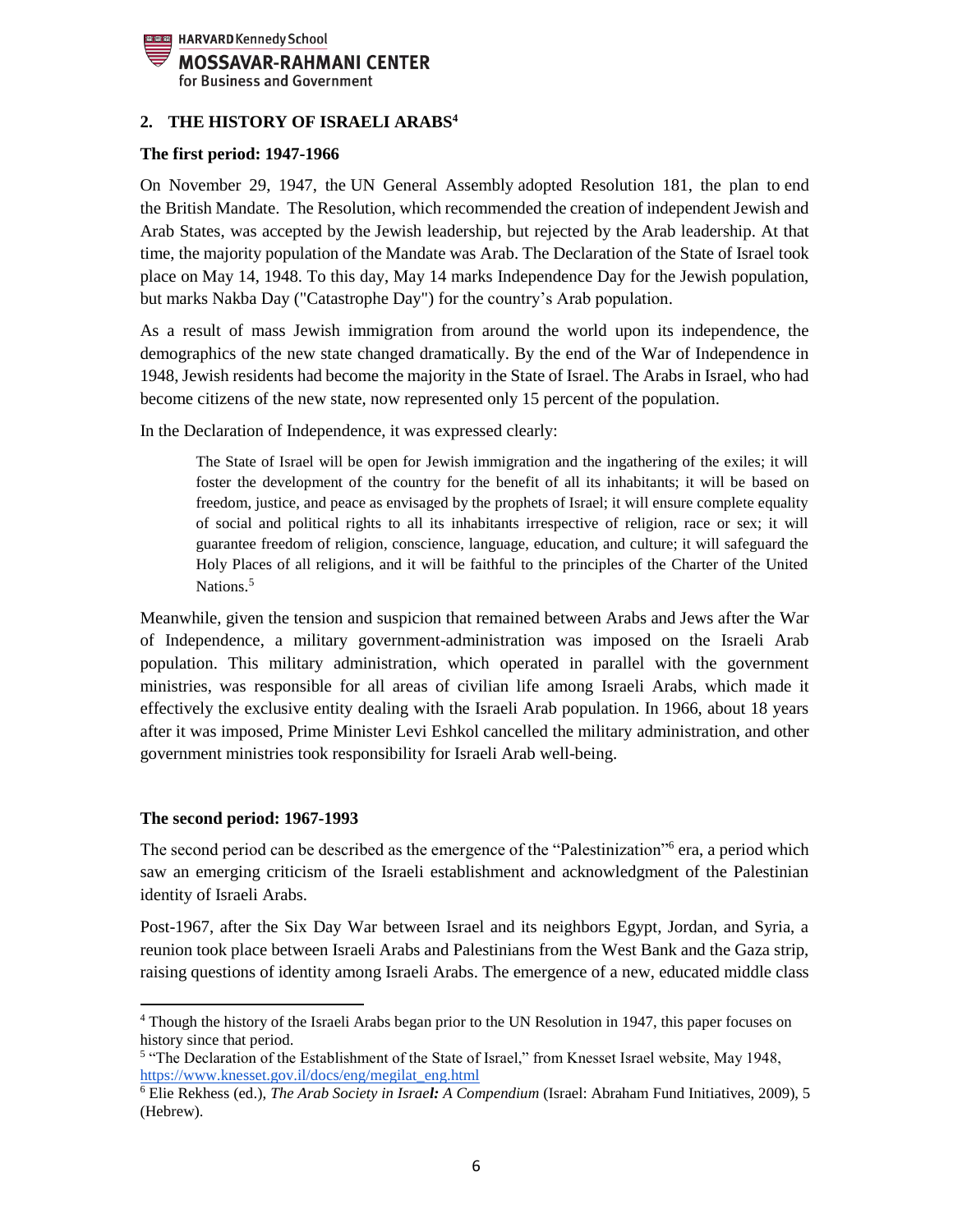

## <span id="page-5-0"></span>**2. THE HISTORY OF ISRAELI ARABS<sup>4</sup>**

#### **The first period: 1947-1966**

On November 29, 1947, the [UN General Assembly](https://en.wikipedia.org/wiki/United_Nations_General_Assembly) adopted Resolution 181, the plan to end the [British Mandate.](https://en.wikipedia.org/wiki/British_Mandate_for_Palestine_(legal_instrument)) The Resolution, which recommended the creation of independent Jewish and Arab States, was accepted by the [Jewish leadership,](https://en.wikipedia.org/wiki/Jewish_Agency_for_Palestine) but rejected by the Arab leadership. At that time, the majority population of the Mandate was Arab. The Declaration of the State of Israel took place on May 14, 1948. To this day, May 14 marks Independence Day for the Jewish population, but marks Nakba Day ("Catastrophe Day") for the country's Arab population.

As a result of mass Jewish immigration from around the world upon its independence, the demographics of the new state changed dramatically. By the end of the War of Independence in 1948, Jewish residents had become the majority in the State of Israel. The Arabs in Israel, who had become citizens of the new state, now represented only 15 percent of the population.

In the Declaration of Independence, it was expressed clearly:

The State of Israel will be open for Jewish immigration and the ingathering of the exiles; it will foster the development of the country for the benefit of all its inhabitants; it will be based on freedom, justice, and peace as envisaged by the prophets of Israel; it will ensure complete equality of social and political rights to all its inhabitants irrespective of religion, race or sex; it will guarantee freedom of religion, conscience, language, education, and culture; it will safeguard the Holy Places of all religions, and it will be faithful to the principles of the Charter of the United Nations.<sup>5</sup>

Meanwhile, given the tension and suspicion that remained between Arabs and Jews after the War of Independence, a military government-administration was imposed on the Israeli Arab population. This military administration, which operated in parallel with the government ministries, was responsible for all areas of civilian life among Israeli Arabs, which made it effectively the exclusive entity dealing with the Israeli Arab population. In 1966, about 18 years after it was imposed, Prime Minister Levi Eshkol cancelled the military administration, and other government ministries took responsibility for Israeli Arab well-being.

#### **The second period: 1967-1993**

The second period can be described as the emergence of the "Palestinization"<sup>6</sup> era, a period which saw an emerging criticism of the Israeli establishment and acknowledgment of the Palestinian identity of Israeli Arabs.

Post-1967, after the Six Day War between Israel and its neighbors Egypt, Jordan, and Syria, a reunion took place between Israeli Arabs and Palestinians from the West Bank and the Gaza strip, raising questions of identity among Israeli Arabs. The emergence of a new, educated middle class

 $\overline{\phantom{a}}$ <sup>4</sup> Though the history of the Israeli Arabs began prior to the UN Resolution in 1947, this paper focuses on history since that period.

<sup>&</sup>lt;sup>5</sup> "The Declaration of the Establishment of the State of Israel," from Knesset Israel website, May 1948, [https://www.knesset.gov.il/docs/eng/megilat\\_eng.html](https://www.knesset.gov.il/docs/eng/megilat_eng.html)

<sup>6</sup> Elie Rekhess (ed.), *The Arab Society in Israel: A Compendium* (Israel: Abraham Fund Initiatives, 2009), 5 (Hebrew).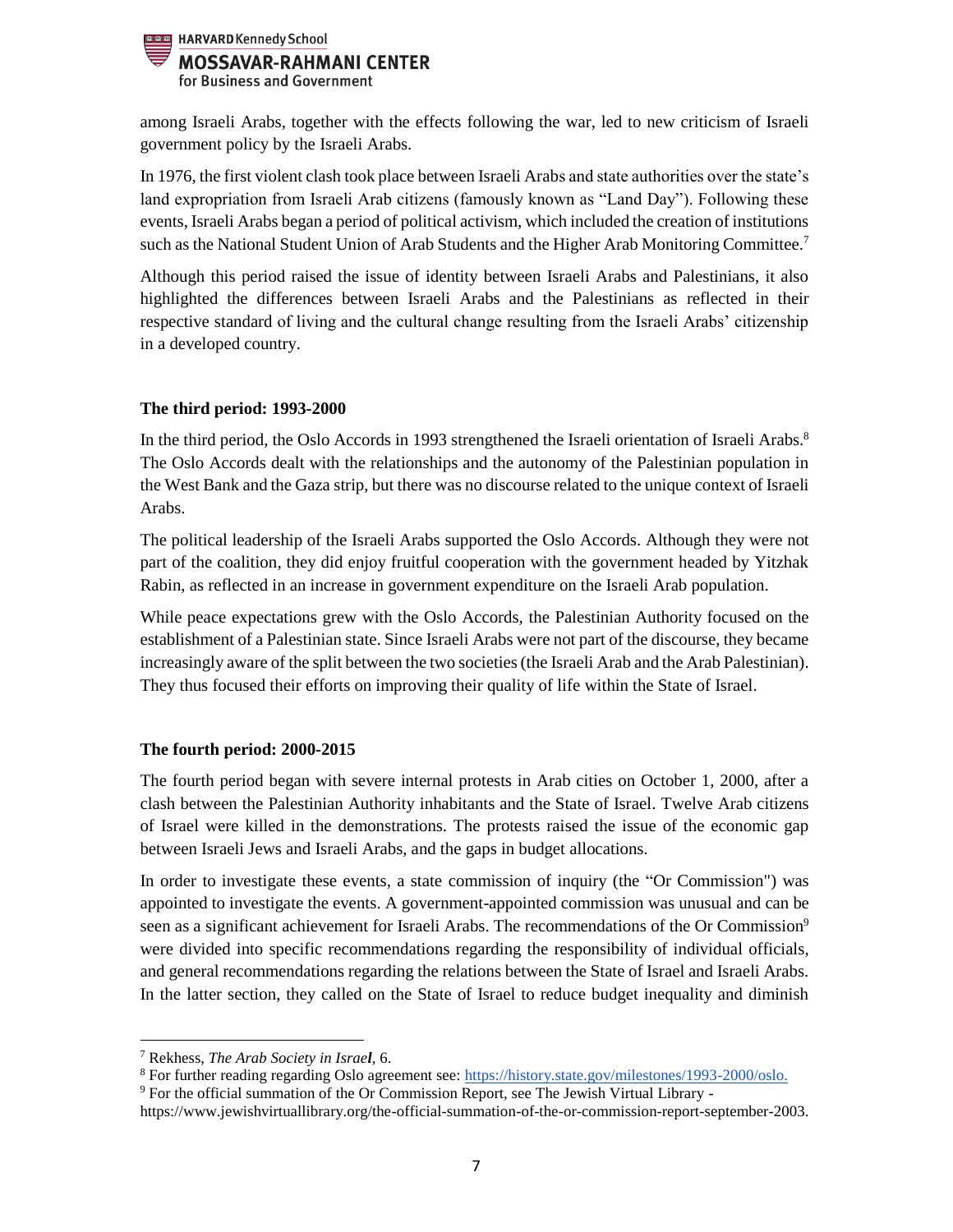

among Israeli Arabs, together with the effects following the war, led to new criticism of Israeli government policy by the Israeli Arabs.

In 1976, the first violent clash took place between Israeli Arabs and state authorities over the state's land expropriation from Israeli Arab citizens (famously known as "Land Day"). Following these events, Israeli Arabs began a period of political activism, which included the creation of institutions such as the National Student Union of Arab Students and the Higher Arab Monitoring Committee.<sup>7</sup>

Although this period raised the issue of identity between Israeli Arabs and Palestinians, it also highlighted the differences between Israeli Arabs and the Palestinians as reflected in their respective standard of living and the cultural change resulting from the Israeli Arabs' citizenship in a developed country.

#### **The third period: 1993-2000**

In the third period, the Oslo Accords in 1993 strengthened the Israeli orientation of Israeli Arabs.<sup>8</sup> The Oslo Accords dealt with the relationships and the autonomy of the Palestinian population in the West Bank and the Gaza strip, but there was no discourse related to the unique context of Israeli Arabs.

The political leadership of the Israeli Arabs supported the Oslo Accords. Although they were not part of the coalition, they did enjoy fruitful cooperation with the government headed by Yitzhak Rabin, as reflected in an increase in government expenditure on the Israeli Arab population.

While peace expectations grew with the Oslo Accords, the Palestinian Authority focused on the establishment of a Palestinian state. Since Israeli Arabs were not part of the discourse, they became increasingly aware of the split between the two societies (the Israeli Arab and the Arab Palestinian). They thus focused their efforts on improving their quality of life within the State of Israel.

# **The fourth period: 2000-2015**

The fourth period began with severe internal protests in Arab cities on October 1, 2000, after a clash between the Palestinian Authority inhabitants and the State of Israel. Twelve Arab citizens of Israel were killed in the demonstrations. The protests raised the issue of the economic gap between Israeli Jews and Israeli Arabs, and the gaps in budget allocations.

In order to investigate these events, a state commission of inquiry (the "Or Commission") was appointed to investigate the events. A government-appointed commission was unusual and can be seen as a significant achievement for Israeli Arabs. The recommendations of the Or Commission<sup>9</sup> were divided into specific recommendations regarding the responsibility of individual officials, and general recommendations regarding the relations between the State of Israel and Israeli Arabs. In the latter section, they called on the State of Israel to reduce budget inequality and diminish

 $\overline{a}$ <sup>7</sup> Rekhess, *The Arab Society in Israel*, 6.

<sup>8</sup> For further reading regarding Oslo agreement see: [https://history.state.gov/milestones/1993-2000/oslo.](https://history.state.gov/milestones/1993-2000/oslo)

<sup>9</sup> For the official summation of the Or Commission Report, see The Jewish Virtual Library -

https://www.jewishvirtuallibrary.org/the-official-summation-of-the-or-commission-report-september-2003.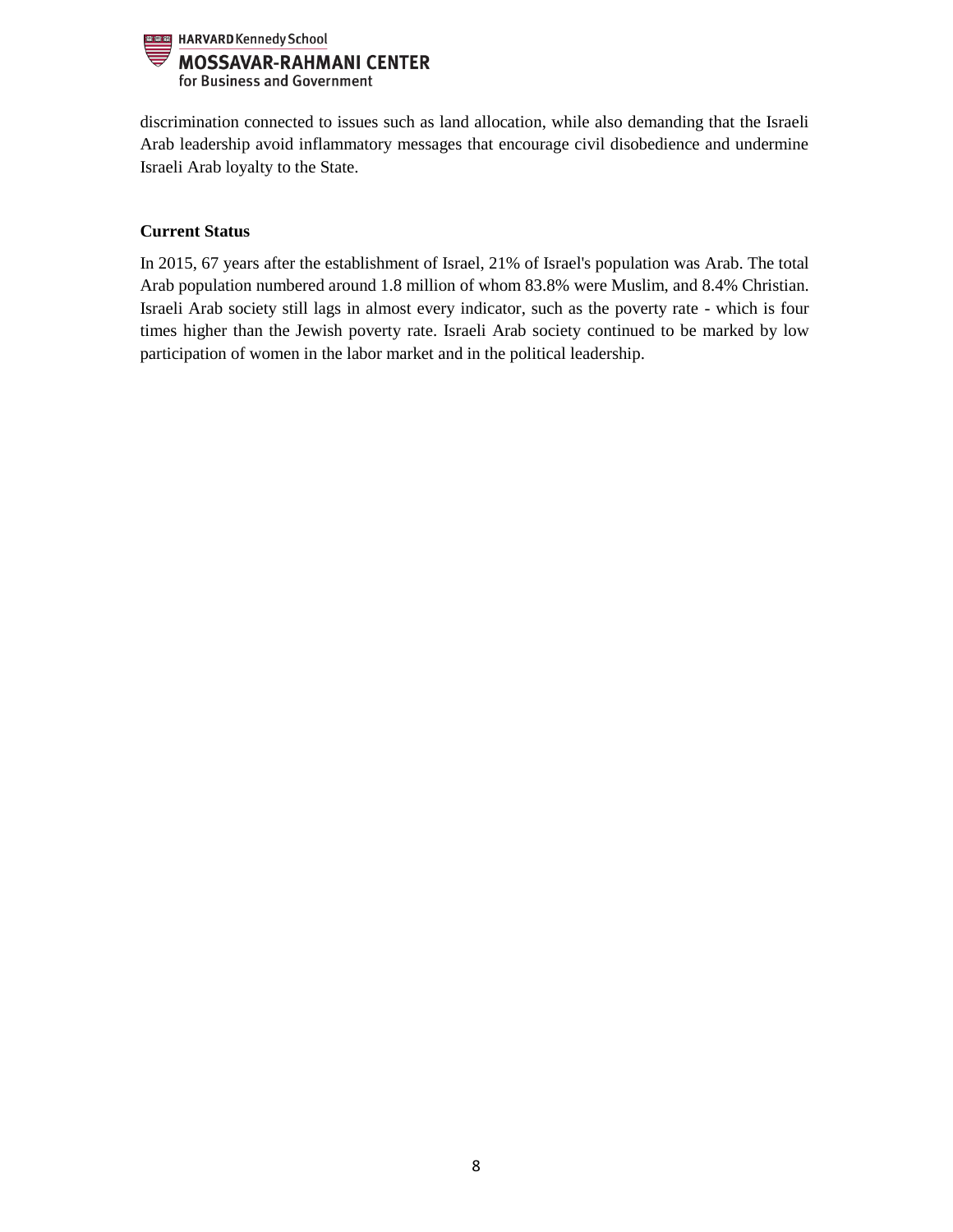

discrimination connected to issues such as land allocation, while also demanding that the Israeli Arab leadership avoid inflammatory messages that encourage civil disobedience and undermine Israeli Arab loyalty to the State.

# **Current Status**

In 2015, 67 years after the establishment of Israel, 21% of Israel's population was Arab. The total Arab population numbered around 1.8 million of whom 83.8% were Muslim, and 8.4% Christian. Israeli Arab society still lags in almost every indicator, such as the poverty rate - which is four times higher than the Jewish poverty rate. Israeli Arab society continued to be marked by low participation of women in the labor market and in the political leadership.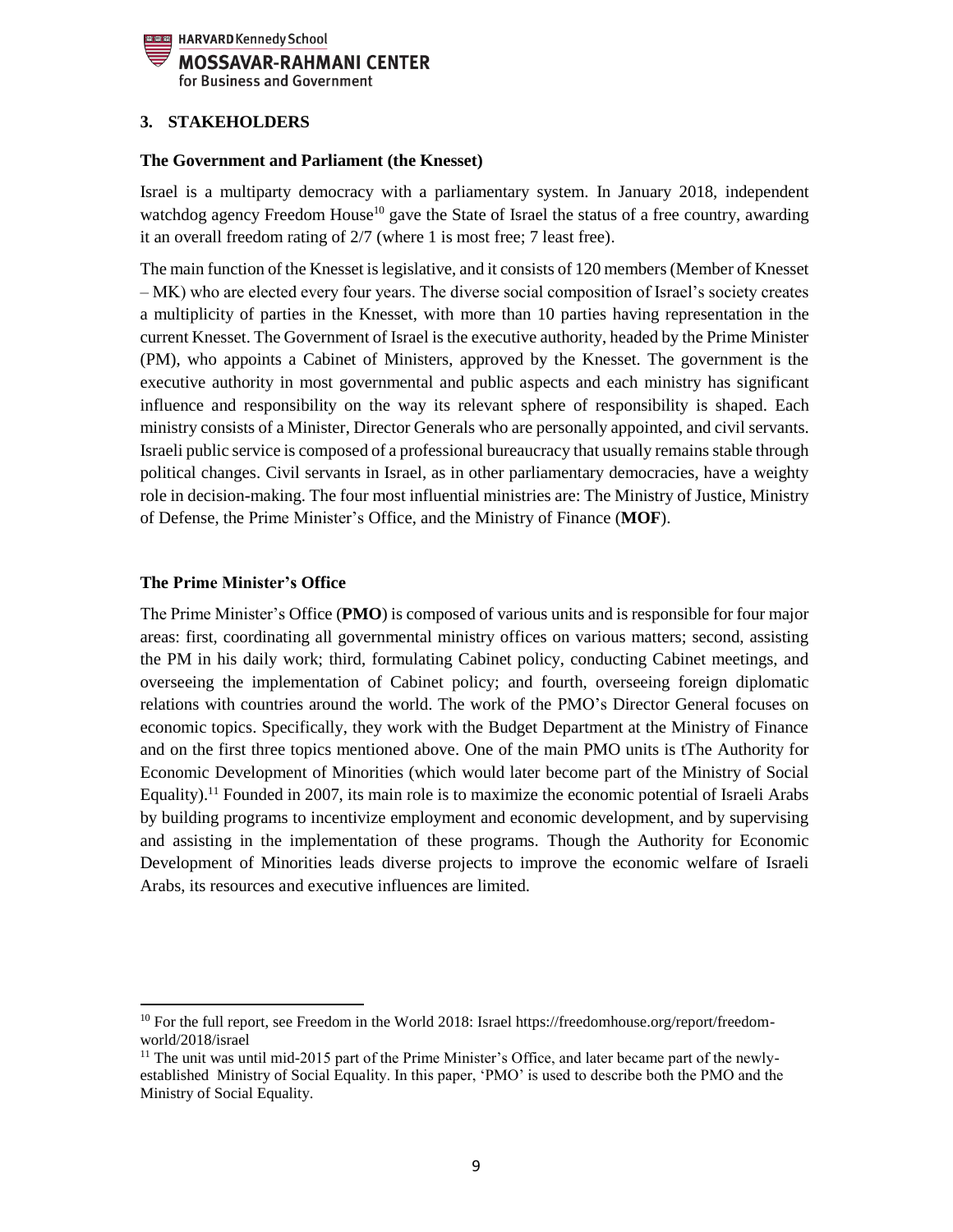

## <span id="page-8-0"></span>**3. STAKEHOLDERS**

#### **The Government and Parliament (the Knesset)**

Israel is a multiparty democracy with a parliamentary system. In January 2018, independent watchdog agency Freedom House<sup>10</sup> gave the State of Israel the status of a free country, awarding it an overall freedom rating of 2/7 (where 1 is most free; 7 least free).

The main function of the Knesset is legislative, and it consists of 120 members (Member of Knesset – MK) who are elected every four years. The diverse social composition of Israel's society creates a multiplicity of parties in the Knesset, with more than 10 parties having representation in the current Knesset. The Government of Israel is the executive authority, headed by the Prime Minister (PM), who appoints a Cabinet of Ministers, approved by the Knesset. The government is the executive authority in most governmental and public aspects and each ministry has significant influence and responsibility on the way its relevant sphere of responsibility is shaped. Each ministry consists of a Minister, Director Generals who are personally appointed, and civil servants. Israeli public service is composed of a professional bureaucracy that usually remains stable through political changes. Civil servants in Israel, as in other parliamentary democracies, have a weighty role in decision-making. The four most influential ministries are: The Ministry of Justice, Ministry of Defense, the Prime Minister's Office, and the Ministry of Finance (**MOF**).

#### **The Prime Minister's Office**

 $\overline{\phantom{a}}$ 

The Prime Minister's Office (**PMO**) is composed of various units and is responsible for four major areas: first, coordinating all governmental ministry offices on various matters; second, assisting the PM in his daily work; third, formulating Cabinet policy, conducting Cabinet meetings, and overseeing the implementation of Cabinet policy; and fourth, overseeing foreign diplomatic relations with countries around the world. The work of the PMO's Director General focuses on economic topics. Specifically, they work with the Budget Department at the Ministry of Finance and on the first three topics mentioned above. One of the main PMO units is tThe Authority for Economic Development of Minorities (which would later become part of the Ministry of Social Equality).<sup>11</sup> Founded in 2007, its main role is to maximize the economic potential of Israeli Arabs by building programs to incentivize employment and economic development, and by supervising and assisting in the implementation of these programs. Though the Authority for Economic Development of Minorities leads diverse projects to improve the economic welfare of Israeli Arabs, its resources and executive influences are limited.

 $10$  For the full report, see Freedom in the World 2018: Israel https://freedomhouse.org/report/freedomworld/2018/israel

 $11$  The unit was until mid-2015 part of the Prime Minister's Office, and later became part of the newlyestablished Ministry of Social Equality. In this paper, 'PMO' is used to describe both the PMO and the Ministry of Social Equality.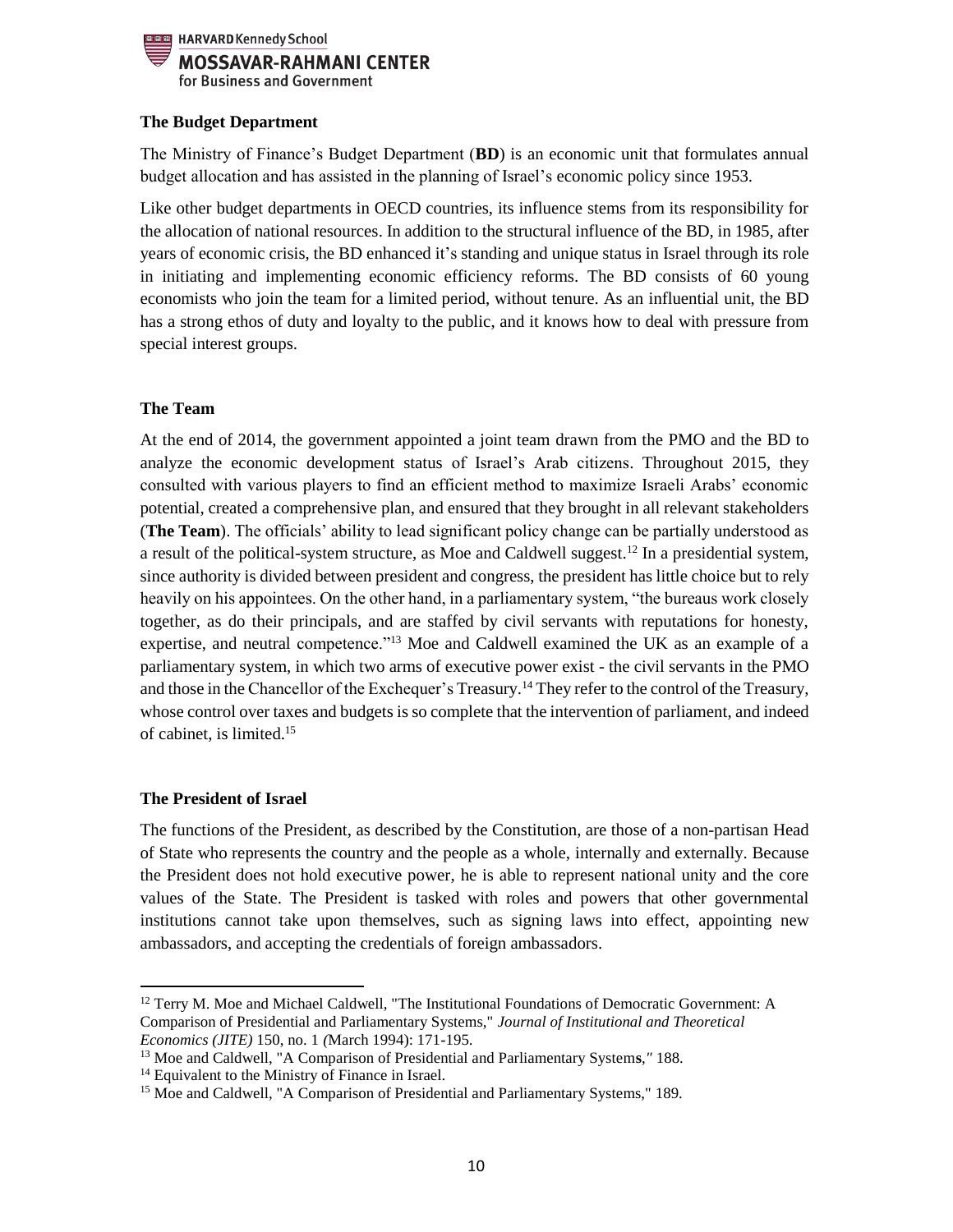

## **The Budget Department**

The Ministry of Finance's Budget Department (**BD**) is an economic unit that formulates annual budget allocation and has assisted in the planning of Israel's economic policy since 1953.

Like other budget departments in OECD countries, its influence stems from its responsibility for the allocation of national resources. In addition to the structural influence of the BD, in 1985, after years of economic crisis, the BD enhanced it's standing and unique status in Israel through its role in initiating and implementing economic efficiency reforms. The BD consists of 60 young economists who join the team for a limited period, without tenure. As an influential unit, the BD has a strong ethos of duty and loyalty to the public, and it knows how to deal with pressure from special interest groups.

## **The Team**

At the end of 2014, the government appointed a joint team drawn from the PMO and the BD to analyze the economic development status of Israel's Arab citizens. Throughout 2015, they consulted with various players to find an efficient method to maximize Israeli Arabs' economic potential, created a comprehensive plan, and ensured that they brought in all relevant stakeholders (**The Team**). The officials' ability to lead significant policy change can be partially understood as a result of the political-system structure, as Moe and Caldwell suggest.<sup>12</sup> In a presidential system, since authority is divided between president and congress, the president has little choice but to rely heavily on his appointees. On the other hand, in a parliamentary system, "the bureaus work closely together, as do their principals, and are staffed by civil servants with reputations for honesty, expertise, and neutral competence."<sup>13</sup> Moe and Caldwell examined the UK as an example of a parliamentary system, in which two arms of executive power exist - the civil servants in the PMO and those in the Chancellor of the Exchequer's Treasury.<sup>14</sup> They refer to the control of the Treasury, whose control over taxes and budgets is so complete that the intervention of parliament, and indeed of cabinet, is limited.<sup>15</sup>

#### **The President of Israel**

 $\overline{\phantom{a}}$ 

The functions of the President, as described by the Constitution, are those of a non-partisan Head of State who represents the country and the people as a whole, internally and externally. Because the President does not hold executive power, he is able to represent national unity and the core values of the State. The President is tasked with roles and powers that other governmental institutions cannot take upon themselves, such as signing laws into effect, appointing new ambassadors, and accepting the credentials of foreign ambassadors.

<sup>&</sup>lt;sup>12</sup> Terry M. Moe and Michael Caldwell, "The Institutional Foundations of Democratic Government: A Comparison of Presidential and Parliamentary Systems," *Journal of Institutional and Theoretical Economics (JITE)* 150, no. 1 *(*March 1994): 171-195.

<sup>13</sup> Moe and Caldwell, "A Comparison of Presidential and Parliamentary System**s**,*"* 188.

<sup>&</sup>lt;sup>14</sup> Equivalent to the Ministry of Finance in Israel.

<sup>&</sup>lt;sup>15</sup> Moe and Caldwell, "A Comparison of Presidential and Parliamentary Systems," 189.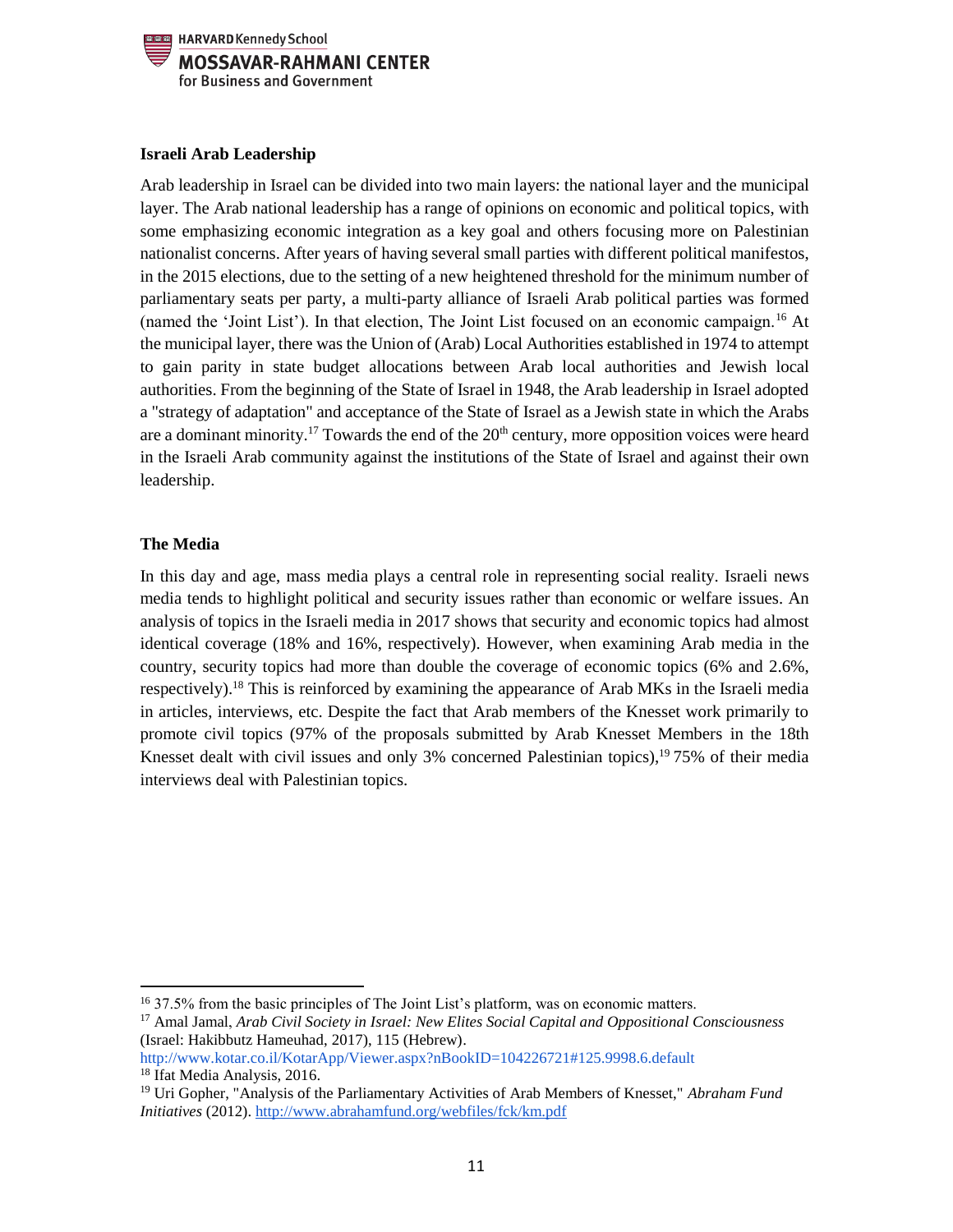

## **Israeli Arab Leadership**

Arab leadership in Israel can be divided into two main layers: the national layer and the municipal layer. The Arab national leadership has a range of opinions on economic and political topics, with some emphasizing economic integration as a key goal and others focusing more on Palestinian nationalist concerns. After years of having several small parties with different political manifestos, in the 2015 elections, due to the setting of a new heightened threshold for the minimum number of parliamentary seats per party, a multi-party alliance of Israeli Arab political parties was formed (named the 'Joint List'). In that election, The Joint List focused on an economic campaign.<sup>16</sup> At the municipal layer, there was the Union of (Arab) Local Authorities established in 1974 to attempt to gain parity in state budget allocations between Arab local authorities and Jewish local authorities. From the beginning of the State of Israel in 1948, the Arab leadership in Israel adopted a "strategy of adaptation" and acceptance of the State of Israel as a Jewish state in which the Arabs are a dominant minority.<sup>17</sup> Towards the end of the  $20<sup>th</sup>$  century, more opposition voices were heard in the Israeli Arab community against the institutions of the State of Israel and against their own leadership.

## **The Media**

 $\overline{\phantom{a}}$ 

In this day and age, mass media plays a central role in representing social reality. Israeli news media tends to highlight political and security issues rather than economic or welfare issues. An analysis of topics in the Israeli media in 2017 shows that security and economic topics had almost identical coverage (18% and 16%, respectively). However, when examining Arab media in the country, security topics had more than double the coverage of economic topics (6% and 2.6%, respectively).<sup>18</sup> This is reinforced by examining the appearance of Arab MKs in the Israeli media in articles, interviews, etc. Despite the fact that Arab members of the Knesset work primarily to promote civil topics (97% of the proposals submitted by Arab Knesset Members in the 18th Knesset dealt with civil issues and only 3% concerned Palestinian topics), $19\,75\%$  of their media interviews deal with Palestinian topics.

<sup>16</sup> 37.5% from the basic principles of The Joint List's platform, was on economic matters.

<sup>17</sup> Amal Jamal, *Arab Civil Society in Israel: New Elites Social Capital and Oppositional Consciousness*  (Israel: Hakibbutz Hameuhad, 2017), 115 (Hebrew).

http://www.kotar.co.il/KotarApp/Viewer.aspx?nBookID=104226721#125.9998.6.default <sup>18</sup> Ifat Media Analysis, 2016.

<sup>19</sup> Uri Gopher, "Analysis of the Parliamentary Activities of Arab Members of Knesset," *Abraham Fund Initiatives* (2012).<http://www.abrahamfund.org/webfiles/fck/km.pdf>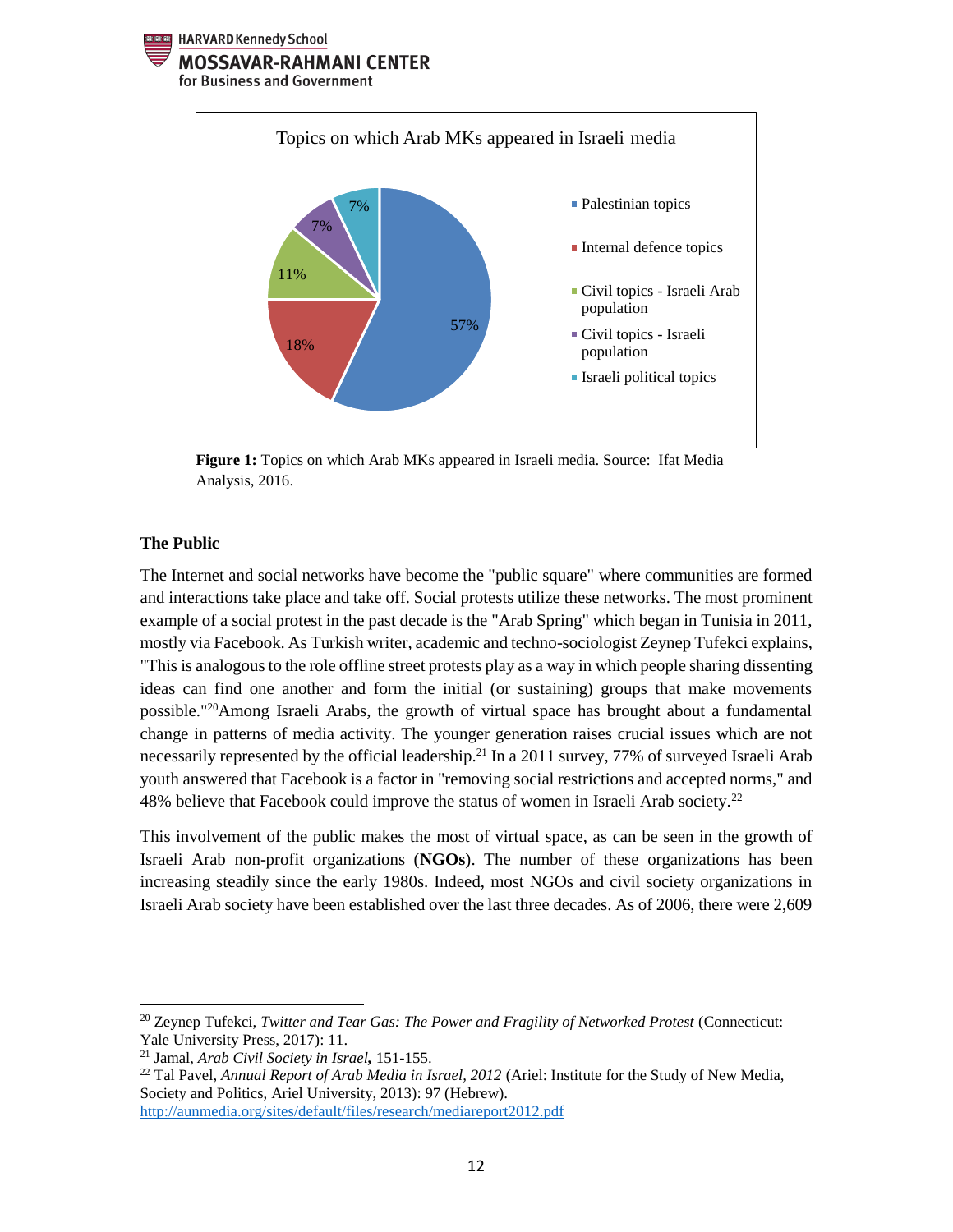HARVARD Kennedy School

#### **MOSSAVAR-RAHMANI CENTER**

for Business and Government



**Figure 1:** Topics on which Arab MKs appeared in Israeli media. Source: Ifat Media Analysis, 2016.

#### **The Public**

 $\overline{\phantom{a}}$ 

The Internet and social networks have become the "public square" where communities are formed and interactions take place and take off. Social protests utilize these networks. The most prominent example of a social protest in the past decade is the "Arab Spring" which began in Tunisia in 2011, mostly via Facebook. As Turkish writer, academic and techno-sociologist Zeynep Tufekci explains, "This is analogous to the role offline street protests play as a way in which people sharing dissenting ideas can find one another and form the initial (or sustaining) groups that make movements possible."<sup>20</sup>Among Israeli Arabs, the growth of virtual space has brought about a fundamental change in patterns of media activity. The younger generation raises crucial issues which are not necessarily represented by the official leadership.<sup>21</sup> In a 2011 survey, 77% of surveyed Israeli Arab youth answered that Facebook is a factor in "removing social restrictions and accepted norms," and 48% believe that Facebook could improve the status of women in Israeli Arab society.<sup>22</sup>

This involvement of the public makes the most of virtual space, as can be seen in the growth of Israeli Arab non-profit organizations (**NGOs**). The number of these organizations has been increasing steadily since the early 1980s. Indeed, most NGOs and civil society organizations in Israeli Arab society have been established over the last three decades. As of 2006, there were 2,609

<sup>&</sup>lt;sup>20</sup> Zeynep Tufekci, *Twitter and Tear Gas: The Power and Fragility of Networked Protest* (Connecticut: Yale University Press, 2017): 11.

<sup>21</sup> Jamal, *Arab Civil Society in Israel,* 151-155.

<sup>22</sup> Tal Pavel, *Annual Report of Arab Media in Israel, 2012* (Ariel: Institute for the Study of New Media, Society and Politics, Ariel University, 2013): 97 (Hebrew). http://aunmedia.org/sites/default/files/research/mediareport2012.pdf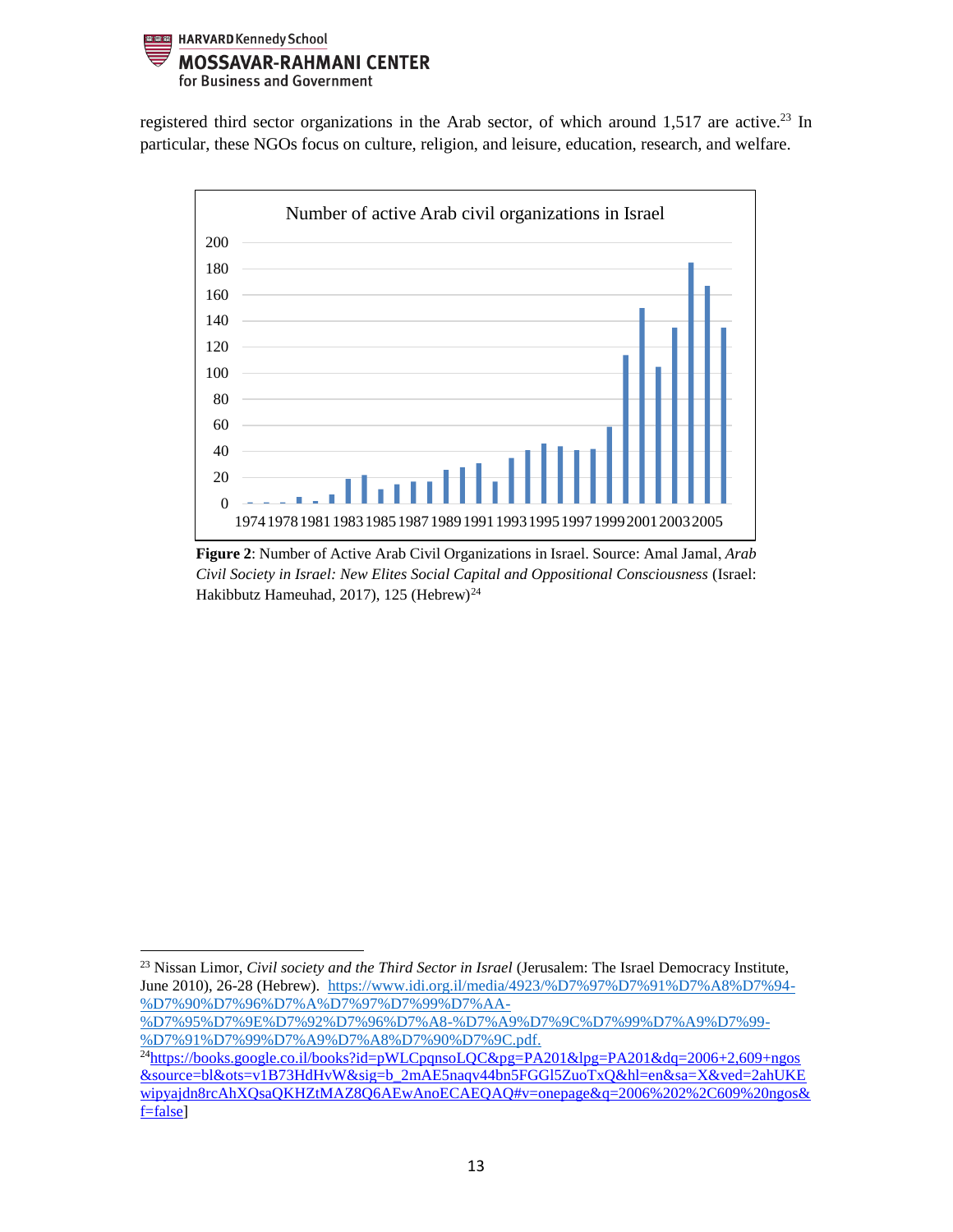

registered third sector organizations in the Arab sector, of which around 1,517 are active.<sup>23</sup> In particular, these NGOs focus on culture, religion, and leisure, education, research, and welfare.



**Figure 2**: Number of Active Arab Civil Organizations in Israel. Source: Amal Jamal, *Arab Civil Society in Israel: New Elites Social Capital and Oppositional Consciousness* (Israel: Hakibbutz Hameuhad, 2017), 125 (Hebrew)<sup>24</sup>

 $\overline{\phantom{a}}$ <sup>23</sup> Nissan Limor, *Civil society and the Third Sector in Israel* (Jerusalem: The Israel Democracy Institute, June 2010), 26-28 (Hebrew). [https://www.idi.org.il/media/4923/%D7%97%D7%91%D7%A8%D7%94-](https://www.idi.org.il/media/4923/%D7%97%D7%91%D7%A8%D7%94-%D7%90%D7%96%D7%A8%D7%97%D7%99%D7%AA-%D7%95%D7%9E%D7%92%D7%96%D7%A8-%D7%A9%D7%9C%D7%99%D7%A9%D7%99-%D7%91%D7%99%D7%A9%D7%A8%D7%90%D7%9C.pdf) [%D7%90%D7%96%D7%A%D7%97%D7%99%D7%AA-](https://www.idi.org.il/media/4923/%D7%97%D7%91%D7%A8%D7%94-%D7%90%D7%96%D7%A8%D7%97%D7%99%D7%AA-%D7%95%D7%9E%D7%92%D7%96%D7%A8-%D7%A9%D7%9C%D7%99%D7%A9%D7%99-%D7%91%D7%99%D7%A9%D7%A8%D7%90%D7%9C.pdf)

[<sup>%</sup>D7%95%D7%9E%D7%92%D7%96%D7%A8-%D7%A9%D7%9C%D7%99%D7%A9%D7%99-](https://www.idi.org.il/media/4923/%D7%97%D7%91%D7%A8%D7%94-%D7%90%D7%96%D7%A8%D7%97%D7%99%D7%AA-%D7%95%D7%9E%D7%92%D7%96%D7%A8-%D7%A9%D7%9C%D7%99%D7%A9%D7%99-%D7%91%D7%99%D7%A9%D7%A8%D7%90%D7%9C.pdf) [%D7%91%D7%99%D7%A9%D7%A8%D7%90%D7%9C.pdf.](https://www.idi.org.il/media/4923/%D7%97%D7%91%D7%A8%D7%94-%D7%90%D7%96%D7%A8%D7%97%D7%99%D7%AA-%D7%95%D7%9E%D7%92%D7%96%D7%A8-%D7%A9%D7%9C%D7%99%D7%A9%D7%99-%D7%91%D7%99%D7%A9%D7%A8%D7%90%D7%9C.pdf)

<sup>&</sup>lt;sup>24</sup>[https://books.google.co.il/books?id=pWLCpqnsoLQC&pg=PA201&lpg=PA201&dq=2006+2,609+ngos](https://books.google.co.il/books?id=pWLCpqnsoLQC&pg=PA201&lpg=PA201&dq=2006+2,609+ngos&source=bl&ots=v1B73HdHvW&sig=b_2mAE5naqv44bn5FGGl5ZuoTxQ&hl=en&sa=X&ved=2ahUKEwipyajdn8rcAhXQsaQKHZtMAZ8Q6AEwAnoECAEQAQ#v=onepage&q=2006%202%2C609%20ngos&f=false) [&source=bl&ots=v1B73HdHvW&sig=b\\_2mAE5naqv44bn5FGGl5ZuoTxQ&hl=en&sa=X&ved=2ahUKE](https://books.google.co.il/books?id=pWLCpqnsoLQC&pg=PA201&lpg=PA201&dq=2006+2,609+ngos&source=bl&ots=v1B73HdHvW&sig=b_2mAE5naqv44bn5FGGl5ZuoTxQ&hl=en&sa=X&ved=2ahUKEwipyajdn8rcAhXQsaQKHZtMAZ8Q6AEwAnoECAEQAQ#v=onepage&q=2006%202%2C609%20ngos&f=false) [wipyajdn8rcAhXQsaQKHZtMAZ8Q6AEwAnoECAEQAQ#v=onepage&q=2006%202%2C609%20ngos&](https://books.google.co.il/books?id=pWLCpqnsoLQC&pg=PA201&lpg=PA201&dq=2006+2,609+ngos&source=bl&ots=v1B73HdHvW&sig=b_2mAE5naqv44bn5FGGl5ZuoTxQ&hl=en&sa=X&ved=2ahUKEwipyajdn8rcAhXQsaQKHZtMAZ8Q6AEwAnoECAEQAQ#v=onepage&q=2006%202%2C609%20ngos&f=false) [f=false\]](https://books.google.co.il/books?id=pWLCpqnsoLQC&pg=PA201&lpg=PA201&dq=2006+2,609+ngos&source=bl&ots=v1B73HdHvW&sig=b_2mAE5naqv44bn5FGGl5ZuoTxQ&hl=en&sa=X&ved=2ahUKEwipyajdn8rcAhXQsaQKHZtMAZ8Q6AEwAnoECAEQAQ#v=onepage&q=2006%202%2C609%20ngos&f=false)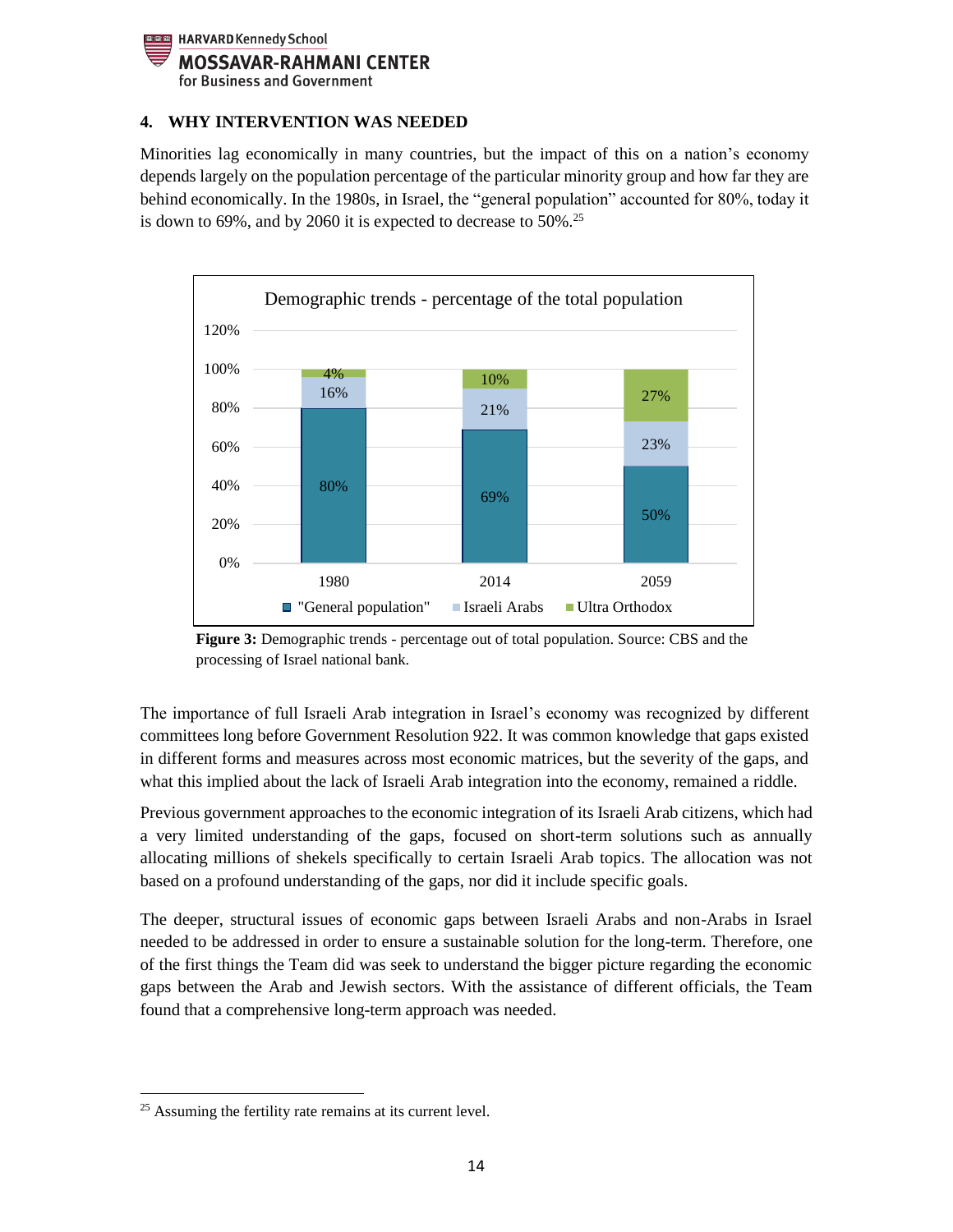

## <span id="page-13-0"></span>**4. WHY INTERVENTION WAS NEEDED**

Minorities lag economically in many countries, but the impact of this on a nation's economy depends largely on the population percentage of the particular minority group and how far they are behind economically. In the 1980s, in Israel, the "general population" accounted for 80%, today it is down to 69%, and by 2060 it is expected to decrease to  $50\%$ .<sup>25</sup>



**Figure 3:** Demographic trends - percentage out of total population. Source: CBS and the processing of Israel national bank.

The importance of full Israeli Arab integration in Israel's economy was recognized by different committees long before Government Resolution 922. It was common knowledge that gaps existed in different forms and measures across most economic matrices, but the severity of the gaps, and what this implied about the lack of Israeli Arab integration into the economy, remained a riddle.

Previous government approaches to the economic integration of its Israeli Arab citizens, which had a very limited understanding of the gaps, focused on short-term solutions such as annually allocating millions of shekels specifically to certain Israeli Arab topics. The allocation was not based on a profound understanding of the gaps, nor did it include specific goals.

The deeper, structural issues of economic gaps between Israeli Arabs and non-Arabs in Israel needed to be addressed in order to ensure a sustainable solution for the long-term. Therefore, one of the first things the Team did was seek to understand the bigger picture regarding the economic gaps between the Arab and Jewish sectors. With the assistance of different officials, the Team found that a comprehensive long-term approach was needed.

 $\overline{\phantom{a}}$ 

<sup>&</sup>lt;sup>25</sup> Assuming the fertility rate remains at its current level.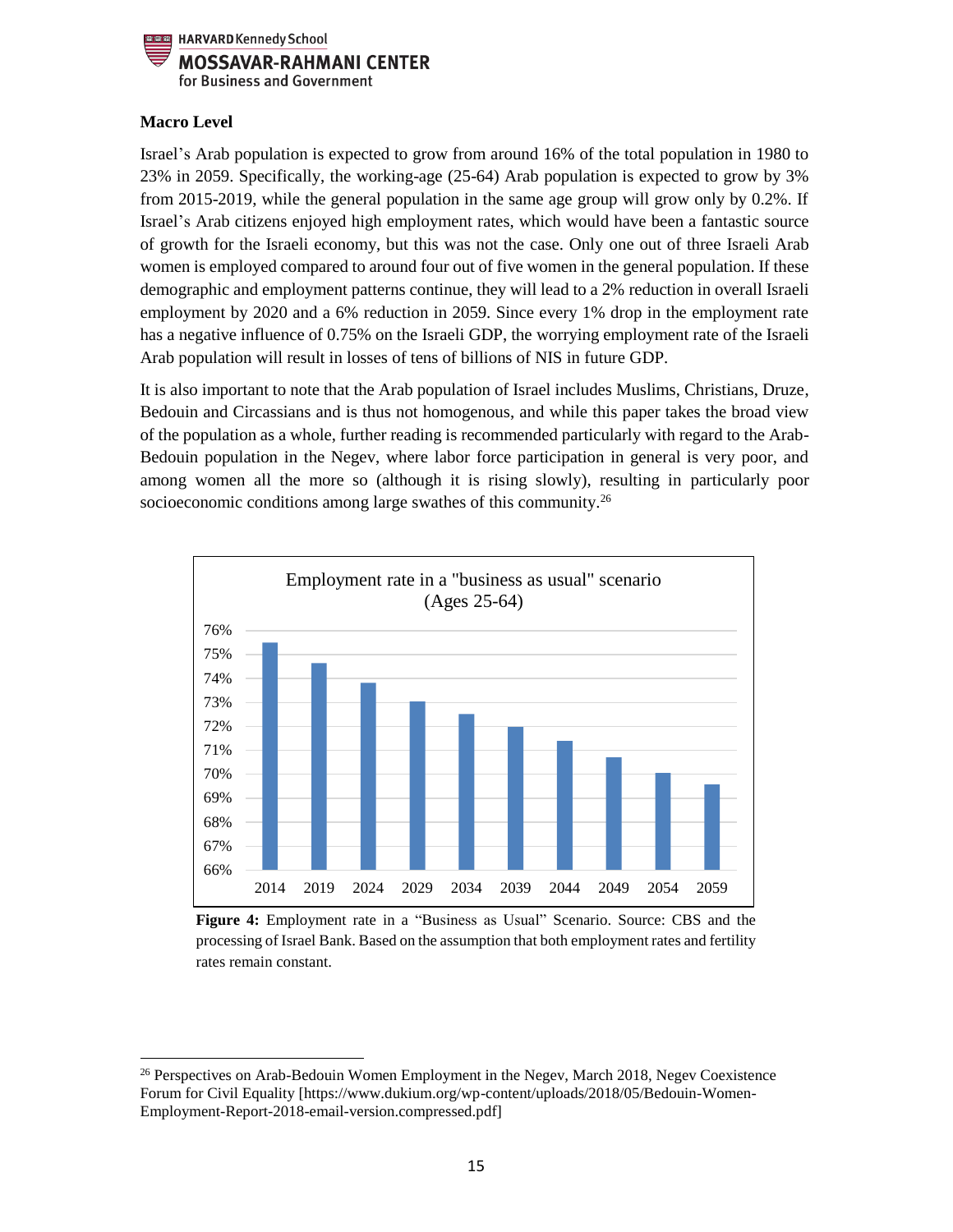

# **Macro Level**

 $\overline{\phantom{a}}$ 

Israel's Arab population is expected to grow from around 16% of the total population in 1980 to 23% in 2059. Specifically, the working-age (25-64) Arab population is expected to grow by 3% from 2015-2019, while the general population in the same age group will grow only by 0.2%. If Israel's Arab citizens enjoyed high employment rates, which would have been a fantastic source of growth for the Israeli economy, but this was not the case. Only one out of three Israeli Arab women is employed compared to around four out of five women in the general population. If these demographic and employment patterns continue, they will lead to a 2% reduction in overall Israeli employment by 2020 and a 6% reduction in 2059. Since every 1% drop in the employment rate has a negative influence of 0.75% on the Israeli GDP, the worrying employment rate of the Israeli Arab population will result in losses of tens of billions of NIS in future GDP.

It is also important to note that the Arab population of Israel includes Muslims, Christians, Druze, Bedouin and Circassians and is thus not homogenous, and while this paper takes the broad view of the population as a whole, further reading is recommended particularly with regard to the Arab-Bedouin population in the Negev, where labor force participation in general is very poor, and among women all the more so (although it is rising slowly), resulting in particularly poor socioeconomic conditions among large swathes of this community.<sup>26</sup>



**Figure 4:** Employment rate in a "Business as Usual" Scenario. Source: CBS and the processing of Israel Bank. Based on the assumption that both employment rates and fertility rates remain constant.

<sup>&</sup>lt;sup>26</sup> Perspectives on Arab-Bedouin Women Employment in the Negev, March 2018, Negev Coexistence Forum for Civil Equality [https://www.dukium.org/wp-content/uploads/2018/05/Bedouin-Women-Employment-Report-2018-email-version.compressed.pdf]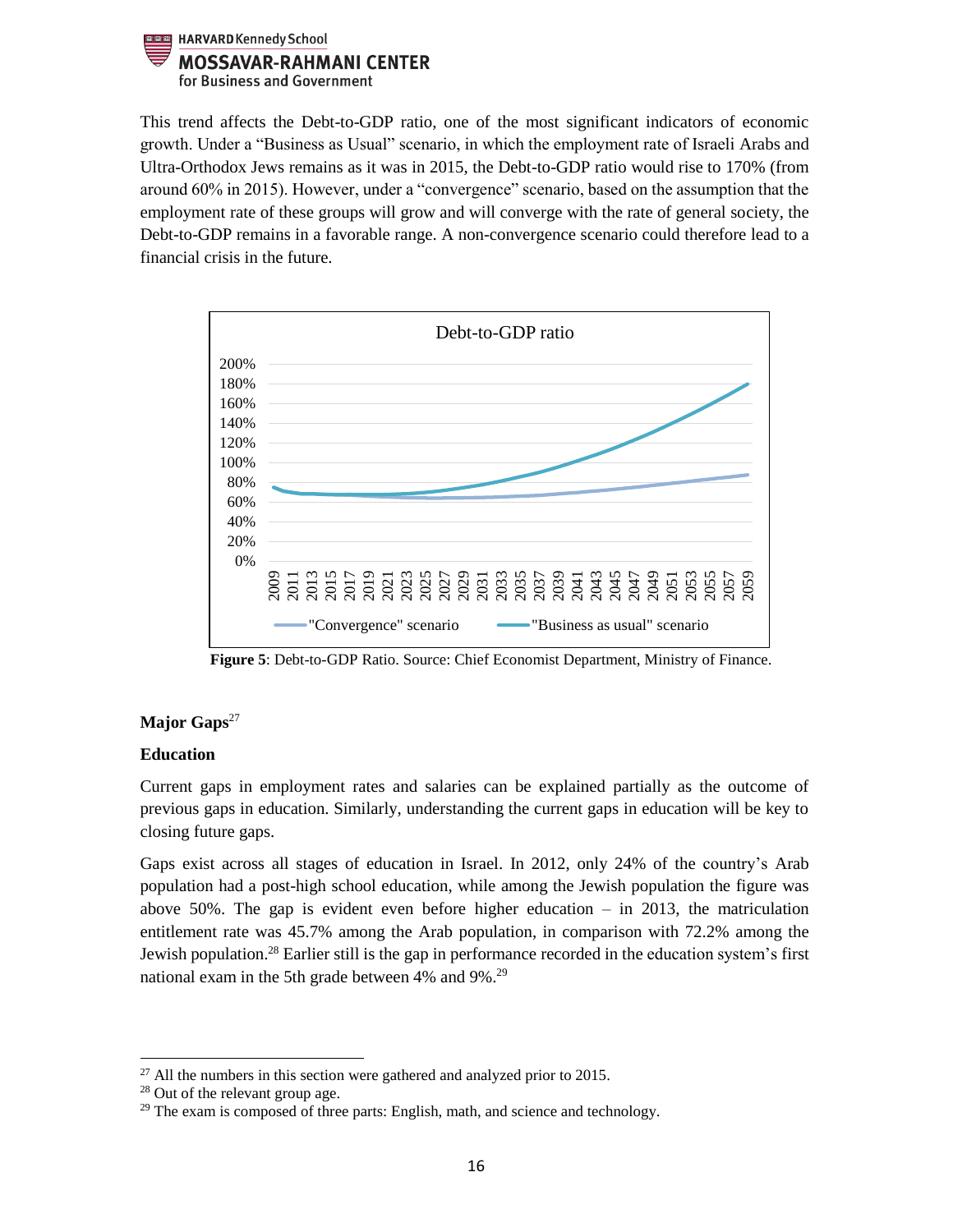

This trend affects the Debt-to-GDP ratio, one of the most significant indicators of economic growth. Under a "Business as Usual" scenario, in which the employment rate of Israeli Arabs and Ultra-Orthodox Jews remains as it was in 2015, the Debt-to-GDP ratio would rise to 170% (from around 60% in 2015). However, under a "convergence" scenario, based on the assumption that the employment rate of these groups will grow and will converge with the rate of general society, the Debt-to-GDP remains in a favorable range. A non-convergence scenario could therefore lead to a financial crisis in the future.



 **Figure 5**: Debt-to-GDP Ratio. Source: Chief Economist Department, Ministry of Finance.

# Major Gaps<sup>27</sup>

#### **Education**

Current gaps in employment rates and salaries can be explained partially as the outcome of previous gaps in education. Similarly, understanding the current gaps in education will be key to closing future gaps.

Gaps exist across all stages of education in Israel. In 2012, only 24% of the country's Arab population had a post-high school education, while among the Jewish population the figure was above 50%. The gap is evident even before higher education  $-$  in 2013, the matriculation entitlement rate was 45.7% among the Arab population, in comparison with 72.2% among the Jewish population.<sup>28</sup> Earlier still is the gap in performance recorded in the education system's first national exam in the 5th grade between 4% and 9%.<sup>29</sup>

 $\overline{\phantom{a}}$  $^{27}$  All the numbers in this section were gathered and analyzed prior to 2015.

<sup>28</sup> Out of the relevant group age.

 $29$  The exam is composed of three parts: English, math, and science and technology.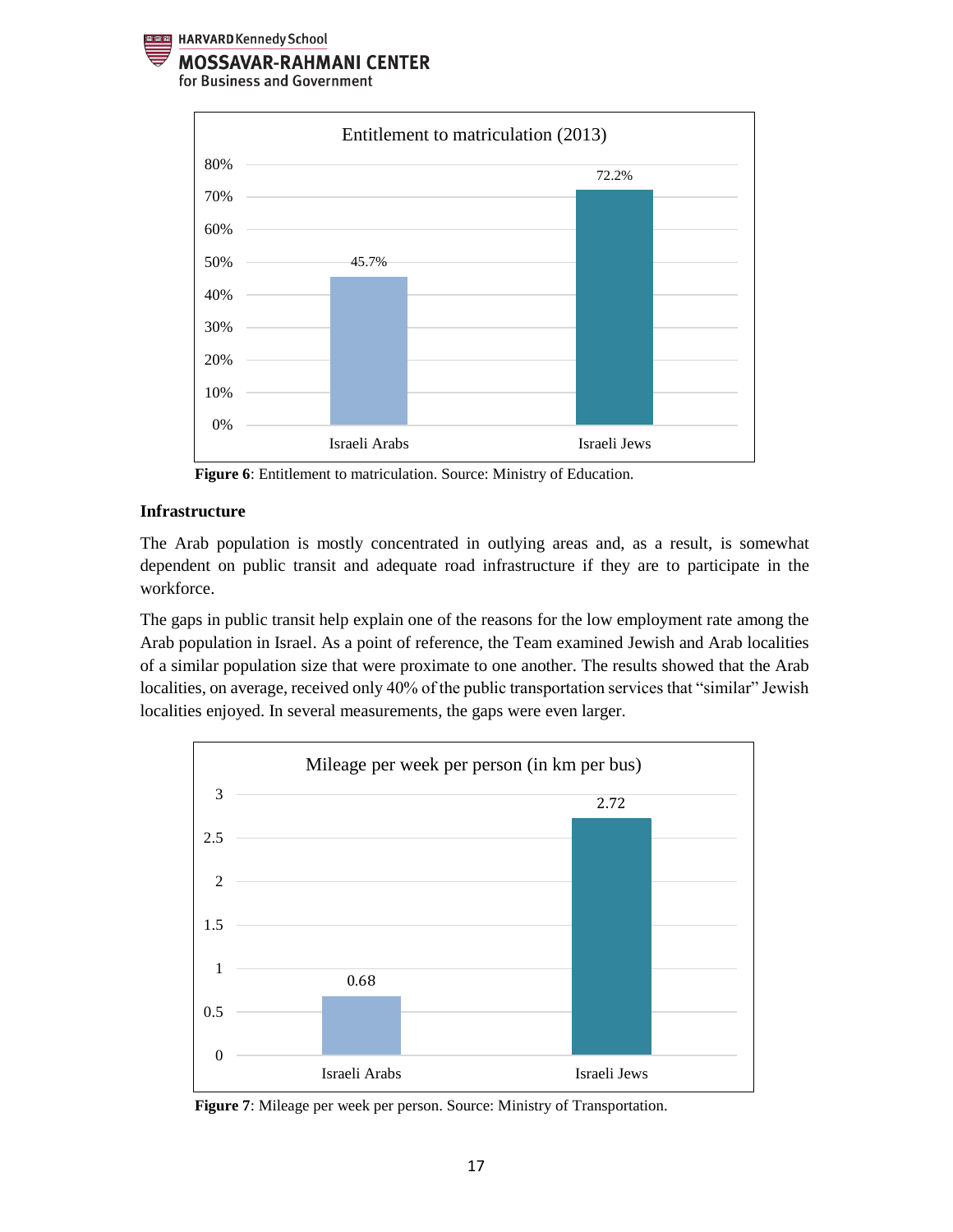



 **Figure 6**: Entitlement to matriculation. Source: Ministry of Education.

#### **Infrastructure**

The Arab population is mostly concentrated in outlying areas and, as a result, is somewhat dependent on public transit and adequate road infrastructure if they are to participate in the workforce.

The gaps in public transit help explain one of the reasons for the low employment rate among the Arab population in Israel. As a point of reference, the Team examined Jewish and Arab localities of a similar population size that were proximate to one another. The results showed that the Arab localities, on average, received only 40% of the public transportation services that "similar" Jewish localities enjoyed. In several measurements, the gaps were even larger.



 **Figure 7**: Mileage per week per person. Source: Ministry of Transportation.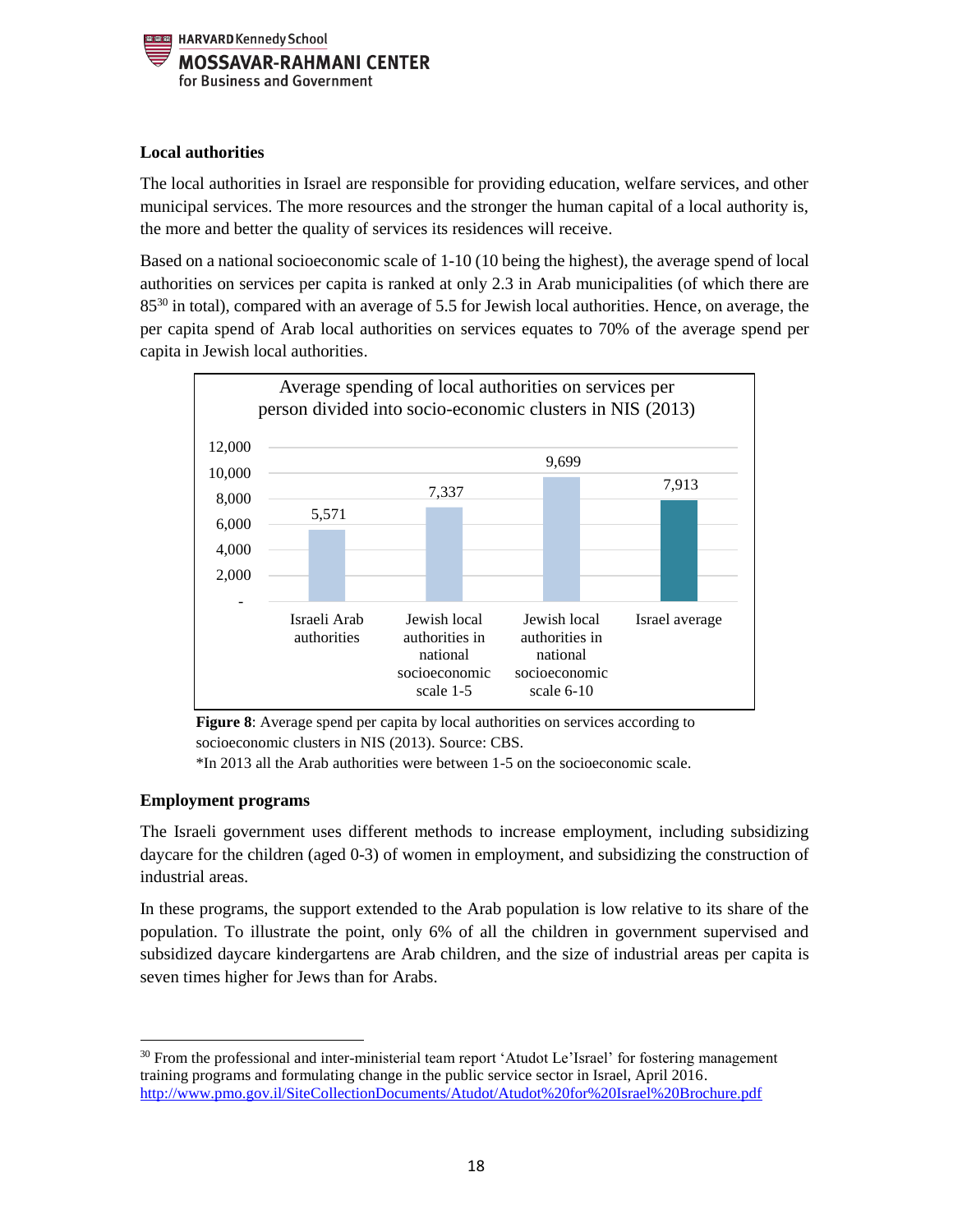

## **Local authorities**

The local authorities in Israel are responsible for providing education, welfare services, and other municipal services. The more resources and the stronger the human capital of a local authority is, the more and better the quality of services its residences will receive.

Based on a national socioeconomic scale of 1-10 (10 being the highest), the average spend of local authorities on services per capita is ranked at only 2.3 in Arab municipalities (of which there are 85<sup>30</sup> in total), compared with an average of 5.5 for Jewish local authorities. Hence, on average, the per capita spend of Arab local authorities on services equates to 70% of the average spend per capita in Jewish local authorities.



**Figure 8**: Average spend per capita by local authorities on services according to socioeconomic clusters in NIS (2013). Source: CBS.

\*In 2013 all the Arab authorities were between 1-5 on the socioeconomic scale.

# **Employment programs**

The Israeli government uses different methods to increase employment, including subsidizing daycare for the children (aged 0-3) of women in employment, and subsidizing the construction of industrial areas.

In these programs, the support extended to the Arab population is low relative to its share of the population. To illustrate the point, only 6% of all the children in government supervised and subsidized daycare kindergartens are Arab children, and the size of industrial areas per capita is seven times higher for Jews than for Arabs.

 $\overline{a}$ <sup>30</sup> From the professional and inter-ministerial team report 'Atudot Le'Israel' for fostering management training programs and formulating change in the public service sector in Israel, April 2016. <http://www.pmo.gov.il/SiteCollectionDocuments/Atudot/Atudot%20for%20Israel%20Brochure.pdf>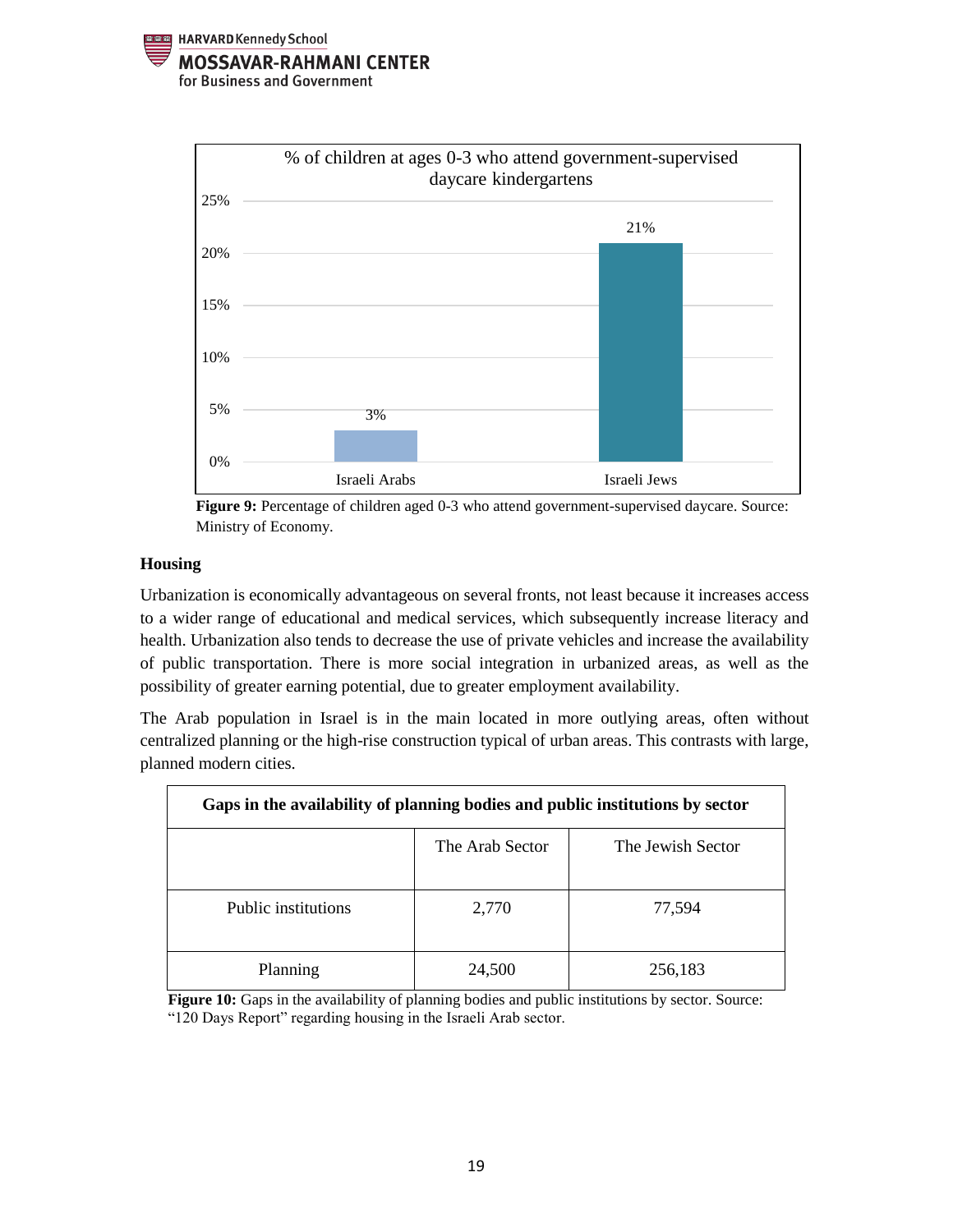





## **Housing**

Urbanization is economically advantageous on several fronts, not least because it increases access to a wider range of educational and medical services, which subsequently increase literacy and health. Urbanization also tends to decrease the use of private vehicles and increase the availability of public transportation. There is more social integration in urbanized areas, as well as the possibility of greater earning potential, due to greater employment availability.

The Arab population in Israel is in the main located in more outlying areas, often without centralized planning or the high-rise construction typical of urban areas. This contrasts with large, planned modern cities.

| Gaps in the availability of planning bodies and public institutions by sector |                 |                   |  |  |  |  |
|-------------------------------------------------------------------------------|-----------------|-------------------|--|--|--|--|
|                                                                               | The Arab Sector | The Jewish Sector |  |  |  |  |
| Public institutions                                                           | 2,770           | 77,594            |  |  |  |  |
| Planning                                                                      | 24,500          | 256,183           |  |  |  |  |

**Figure 10:** Gaps in the availability of planning bodies and public institutions by sector. Source: "120 Days Report" regarding housing in the Israeli Arab sector.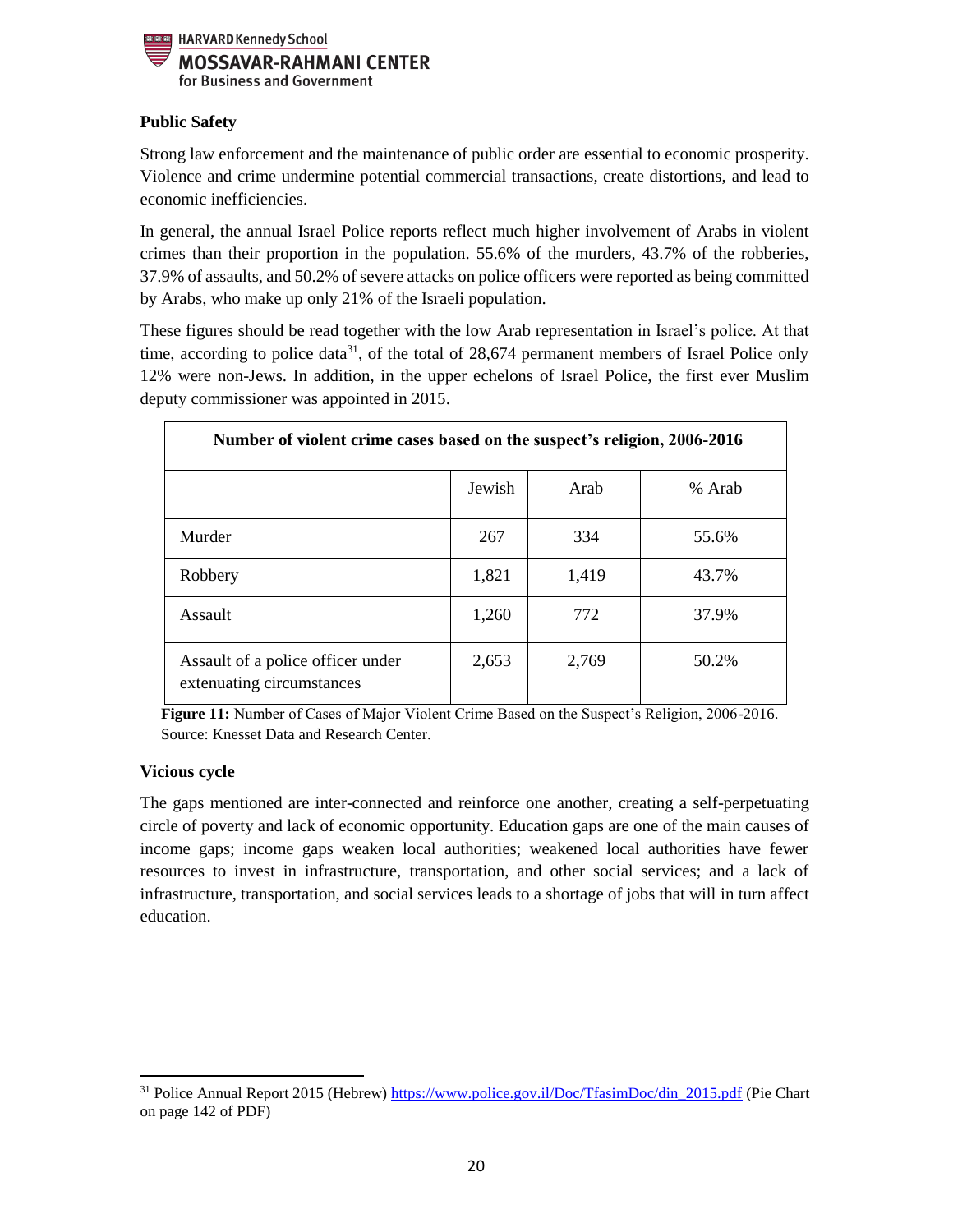

# **Public Safety**

Strong law enforcement and the maintenance of public order are essential to economic prosperity. Violence and crime undermine potential commercial transactions, create distortions, and lead to economic inefficiencies.

In general, the annual Israel Police reports reflect much higher involvement of Arabs in violent crimes than their proportion in the population. 55.6% of the murders, 43.7% of the robberies, 37.9% of assaults, and 50.2% of severe attacks on police officers were reported as being committed by Arabs, who make up only 21% of the Israeli population.

These figures should be read together with the low Arab representation in Israel's police. At that time, according to police data<sup>31</sup>, of the total of 28,674 permanent members of Israel Police only 12% were non-Jews. In addition, in the upper echelons of Israel Police, the first ever Muslim deputy commissioner was appointed in 2015.

| Number of violent crime cases based on the suspect's religion, 2006-2016 |        |       |        |  |  |  |
|--------------------------------------------------------------------------|--------|-------|--------|--|--|--|
|                                                                          | Jewish | Arab  | % Arab |  |  |  |
| Murder                                                                   | 267    | 334   | 55.6%  |  |  |  |
| Robbery                                                                  | 1,821  | 1,419 | 43.7%  |  |  |  |
| Assault                                                                  | 1,260  | 772   | 37.9%  |  |  |  |
| Assault of a police officer under<br>extenuating circumstances           | 2,653  | 2,769 | 50.2%  |  |  |  |

**Figure 11:** Number of Cases of Major Violent Crime Based on the Suspect's Religion, 2006-2016. Source: Knesset Data and Research Center.

# **Vicious cycle**

 $\overline{a}$ 

The gaps mentioned are inter-connected and reinforce one another, creating a self-perpetuating circle of poverty and lack of economic opportunity. Education gaps are one of the main causes of income gaps; income gaps weaken local authorities; weakened local authorities have fewer resources to invest in infrastructure, transportation, and other social services; and a lack of infrastructure, transportation, and social services leads to a shortage of jobs that will in turn affect education.

<sup>31</sup> Police Annual Report 2015 (Hebrew) [https://www.police.gov.il/Doc/TfasimDoc/din\\_2015.pdf](https://www.police.gov.il/Doc/TfasimDoc/din_2015.pdf) (Pie Chart on page 142 of PDF)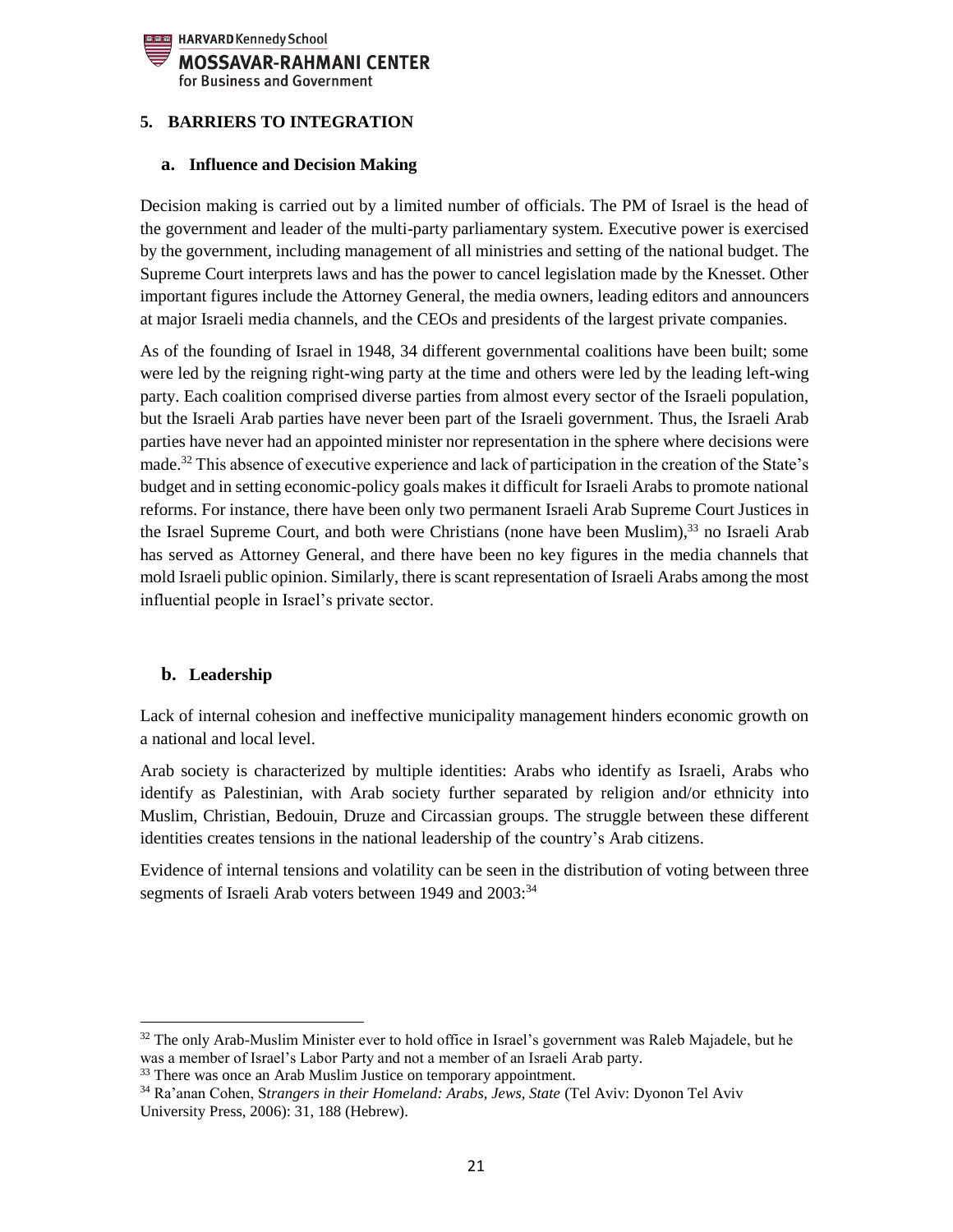

## <span id="page-20-1"></span><span id="page-20-0"></span>**5. BARRIERS TO INTEGRATION**

#### **a. Influence and Decision Making**

Decision making is carried out by a limited number of officials. The PM of Israel is the head of the government and leader of the multi-party parliamentary system. Executive power is exercised by the government, including management of all ministries and setting of the national budget. The Supreme Court interprets laws and has the power to cancel legislation made by the Knesset. Other important figures include the Attorney General, the media owners, leading editors and announcers at major Israeli media channels, and the CEOs and presidents of the largest private companies.

As of the founding of Israel in 1948, 34 different governmental coalitions have been built; some were led by the reigning right-wing party at the time and others were led by the leading left-wing party. Each coalition comprised diverse parties from almost every sector of the Israeli population, but the Israeli Arab parties have never been part of the Israeli government. Thus, the Israeli Arab parties have never had an appointed minister nor representation in the sphere where decisions were made.<sup>32</sup> This absence of executive experience and lack of participation in the creation of the State's budget and in setting economic-policy goals makes it difficult for Israeli Arabs to promote national reforms. For instance, there have been only two permanent Israeli Arab Supreme Court Justices in the Israel Supreme Court, and both were Christians (none have been Muslim),<sup>33</sup> no Israeli Arab has served as Attorney General, and there have been no key figures in the media channels that mold Israeli public opinion. Similarly, there is scant representation of Israeli Arabs among the most influential people in Israel's private sector.

#### <span id="page-20-2"></span>**b. Leadership**

l

Lack of internal cohesion and ineffective municipality management hinders economic growth on a national and local level.

Arab society is characterized by multiple identities: Arabs who identify as Israeli, Arabs who identify as Palestinian, with Arab society further separated by religion and/or ethnicity into Muslim, Christian, Bedouin, Druze and Circassian groups. The struggle between these different identities creates tensions in the national leadership of the country's Arab citizens.

Evidence of internal tensions and volatility can be seen in the distribution of voting between three segments of Israeli Arab voters between 1949 and  $2003$ <sup>34</sup>

<sup>&</sup>lt;sup>32</sup> The only Arab-Muslim Minister ever to hold office in Israel's government was Raleb Majadele, but he was a member of Israel's Labor Party and not a member of an Israeli Arab party.

<sup>&</sup>lt;sup>33</sup> There was once an Arab Muslim Justice on temporary appointment.

<sup>34</sup> Ra'anan Cohen, S*trangers in their Homeland: Arabs, Jews, State* (Tel Aviv: Dyonon Tel Aviv University Press, 2006): 31, 188 (Hebrew).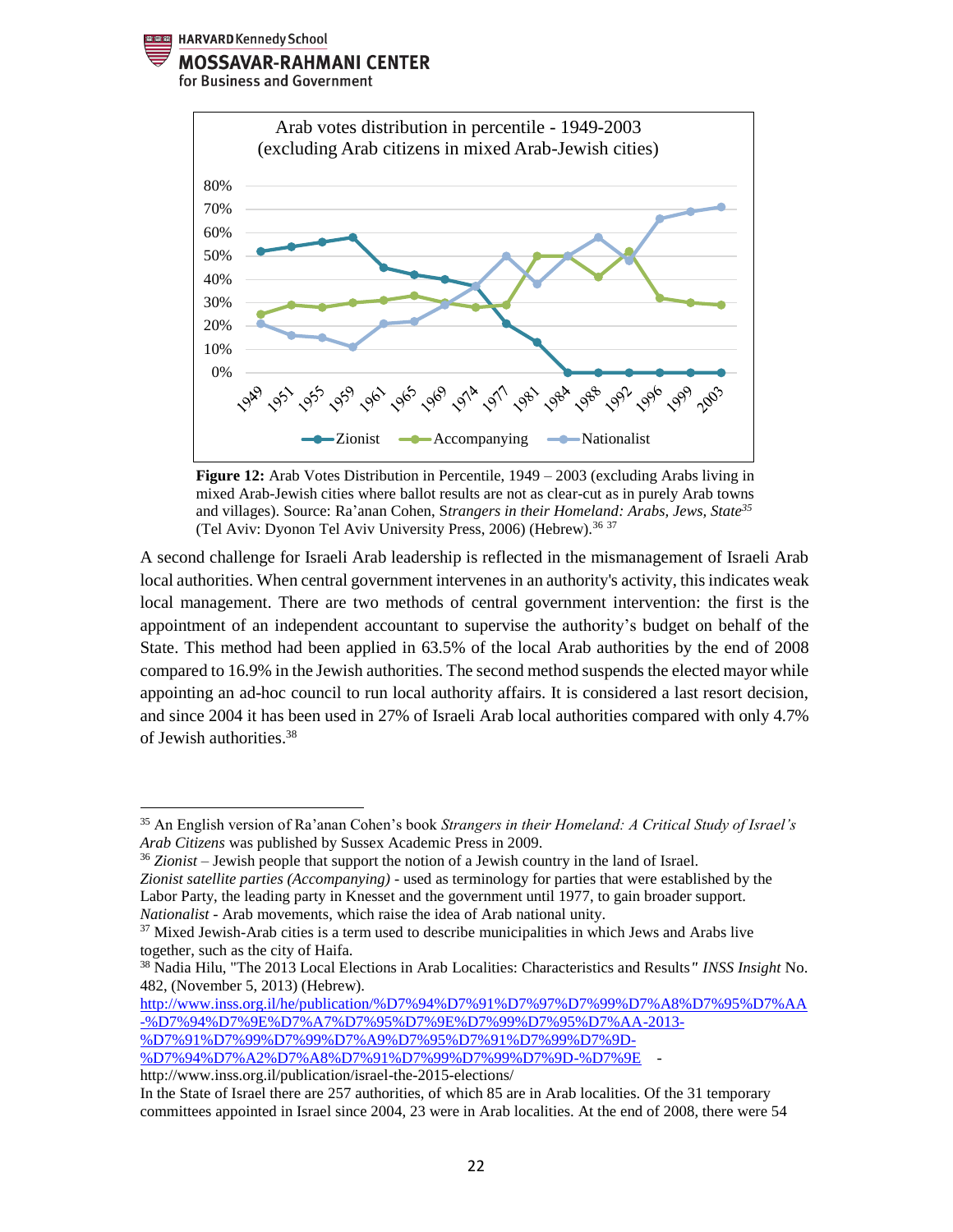HARVARD Kennedy School

#### **MOSSAVAR-RAHMANI CENTER**

for Business and Government



**Figure 12:** Arab Votes Distribution in Percentile, 1949 – 2003 (excluding Arabs living in mixed Arab-Jewish cities where ballot results are not as clear-cut as in purely Arab towns and villages). Source: Ra'anan Cohen, S*trangers in their Homeland: Arabs, Jews, State<sup>35</sup>* (Tel Aviv: Dyonon Tel Aviv University Press, 2006) (Hebrew).<sup>36 37</sup>

A second challenge for Israeli Arab leadership is reflected in the mismanagement of Israeli Arab local authorities. When central government intervenes in an authority's activity, this indicates weak local management. There are two methods of central government intervention: the first is the appointment of an independent accountant to supervise the authority's budget on behalf of the State. This method had been applied in 63.5% of the local Arab authorities by the end of 2008 compared to 16.9% in the Jewish authorities. The second method suspends the elected mayor while appointing an ad-hoc council to run local authority affairs. It is considered a last resort decision, and since 2004 it has been used in 27% of Israeli Arab local authorities compared with only 4.7% of Jewish authorities.<sup>38</sup>

[%D7%94%D7%A2%D7%A8%D7%91%D7%99%D7%99%D7%9D-%D7%9E](http://www.inss.org.il/he/publication/%D7%94%D7%91%D7%97%D7%99%D7%A8%D7%95%D7%AA-%D7%94%D7%9E%D7%A7%D7%95%D7%9E%D7%99%D7%95%D7%AA-2013-%D7%91%D7%99%D7%99%D7%A9%D7%95%D7%91%D7%99%D7%9D-%D7%94%D7%A2%D7%A8%D7%91%D7%99%D7%99%D7%9D-%D7%9E/) -

l

<sup>35</sup> An English version of Ra'anan Cohen's book *Strangers in their Homeland: A Critical Study of Israel's Arab Citizens* was published by Sussex Academic Press in 2009.

<sup>36</sup> *Zionist* – Jewish people that support the notion of a Jewish country in the land of Israel.

*Zionist satellite parties (Accompanying)* - used as terminology for parties that were established by the Labor Party, the leading party in Knesset and the government until 1977, to gain broader support. *Nationalist* - Arab movements, which raise the idea of Arab national unity.

 $37$  Mixed Jewish-Arab cities is a term used to describe municipalities in which Jews and Arabs live together, such as the city of Haifa.

<sup>38</sup> Nadia Hilu, "The 2013 Local Elections in Arab Localities: Characteristics and Results*" INSS Insight* No. 482, (November 5, 2013) (Hebrew).

[http://www.inss.org.il/he/publication/%D7%94%D7%91%D7%97%D7%99%D7%A8%D7%95%D7%AA](http://www.inss.org.il/he/publication/%D7%94%D7%91%D7%97%D7%99%D7%A8%D7%95%D7%AA-%D7%94%D7%9E%D7%A7%D7%95%D7%9E%D7%99%D7%95%D7%AA-2013-%D7%91%D7%99%D7%99%D7%A9%D7%95%D7%91%D7%99%D7%9D-%D7%94%D7%A2%D7%A8%D7%91%D7%99%D7%99%D7%9D-%D7%9E/) [-%D7%94%D7%9E%D7%A7%D7%95%D7%9E%D7%99%D7%95%D7%AA-2013-](http://www.inss.org.il/he/publication/%D7%94%D7%91%D7%97%D7%99%D7%A8%D7%95%D7%AA-%D7%94%D7%9E%D7%A7%D7%95%D7%9E%D7%99%D7%95%D7%AA-2013-%D7%91%D7%99%D7%99%D7%A9%D7%95%D7%91%D7%99%D7%9D-%D7%94%D7%A2%D7%A8%D7%91%D7%99%D7%99%D7%9D-%D7%9E/) [%D7%91%D7%99%D7%99%D7%A9%D7%95%D7%91%D7%99%D7%9D-](http://www.inss.org.il/he/publication/%D7%94%D7%91%D7%97%D7%99%D7%A8%D7%95%D7%AA-%D7%94%D7%9E%D7%A7%D7%95%D7%9E%D7%99%D7%95%D7%AA-2013-%D7%91%D7%99%D7%99%D7%A9%D7%95%D7%91%D7%99%D7%9D-%D7%94%D7%A2%D7%A8%D7%91%D7%99%D7%99%D7%9D-%D7%9E/)

http://www.inss.org.il/publication/israel-the-2015-elections/

In the State of Israel there are 257 authorities, of which 85 are in Arab localities. Of the 31 temporary committees appointed in Israel since 2004, 23 were in Arab localities. At the end of 2008, there were 54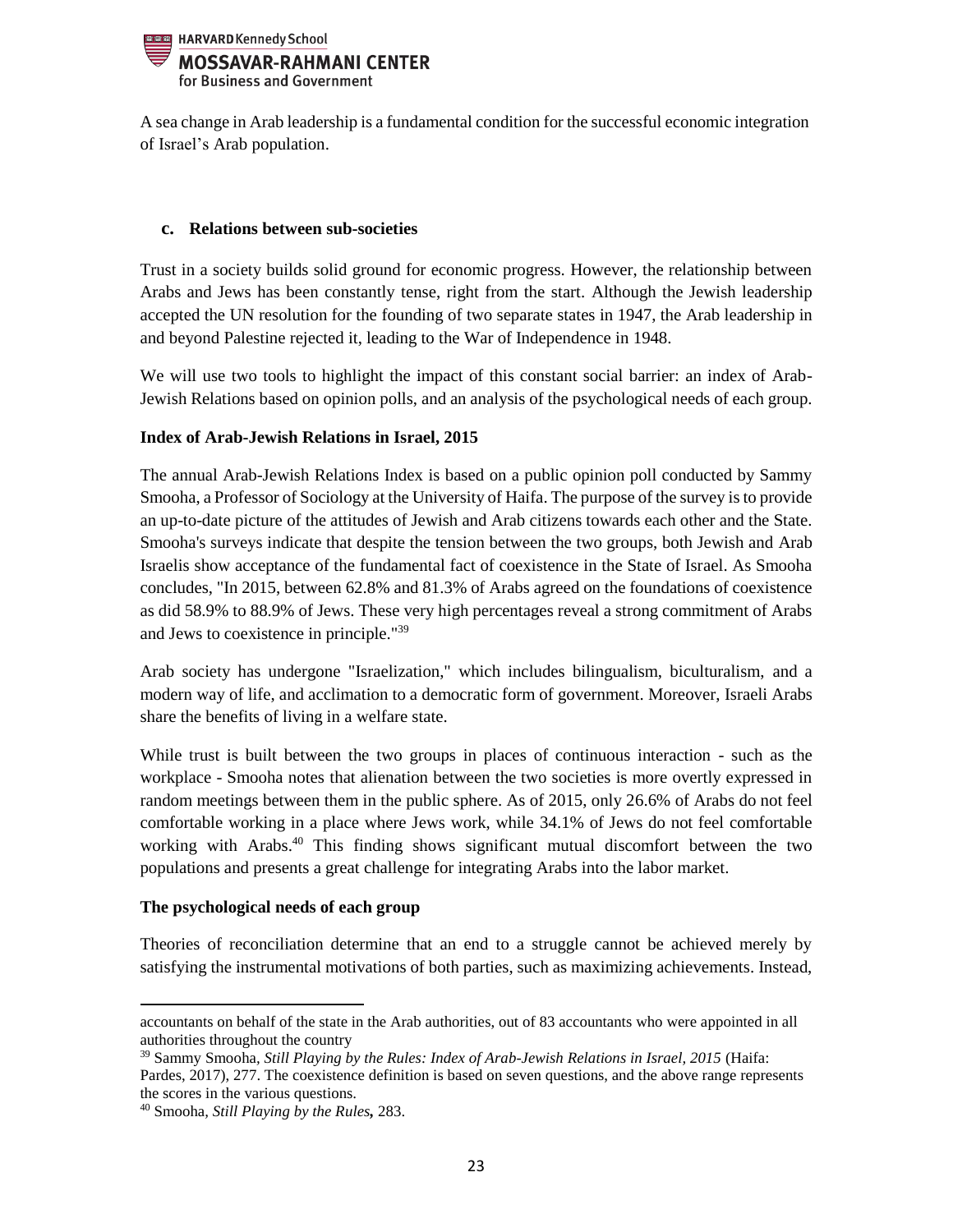

A sea change in Arab leadership is a fundamental condition for the successful economic integration of Israel's Arab population.

#### <span id="page-22-0"></span>**c. Relations between sub-societies**

Trust in a society builds solid ground for economic progress. However, the relationship between Arabs and Jews has been constantly tense, right from the start. Although the Jewish leadership accepted the UN resolution for the founding of two separate states in 1947, the Arab leadership in and beyond Palestine rejected it, leading to the War of Independence in 1948.

We will use two tools to highlight the impact of this constant social barrier: an index of Arab-Jewish Relations based on opinion polls, and an analysis of the psychological needs of each group.

## **Index of Arab-Jewish Relations in Israel, 2015**

The annual Arab-Jewish Relations Index is based on a public opinion poll conducted by Sammy Smooha, a Professor of Sociology at the University of Haifa. The purpose of the survey is to provide an up-to-date picture of the attitudes of Jewish and Arab citizens towards each other and the State. Smooha's surveys indicate that despite the tension between the two groups, both Jewish and Arab Israelis show acceptance of the fundamental fact of coexistence in the State of Israel. As Smooha concludes, "In 2015, between 62.8% and 81.3% of Arabs agreed on the foundations of coexistence as did 58.9% to 88.9% of Jews. These very high percentages reveal a strong commitment of Arabs and Jews to coexistence in principle."<sup>39</sup>

Arab society has undergone "Israelization," which includes bilingualism, biculturalism, and a modern way of life, and acclimation to a democratic form of government. Moreover, Israeli Arabs share the benefits of living in a welfare state.

While trust is built between the two groups in places of continuous interaction - such as the workplace - Smooha notes that alienation between the two societies is more overtly expressed in random meetings between them in the public sphere. As of 2015, only 26.6% of Arabs do not feel comfortable working in a place where Jews work, while 34.1% of Jews do not feel comfortable working with Arabs.<sup>40</sup> This finding shows significant mutual discomfort between the two populations and presents a great challenge for integrating Arabs into the labor market.

#### **The psychological needs of each group**

Theories of reconciliation determine that an end to a struggle cannot be achieved merely by satisfying the instrumental motivations of both parties, such as maximizing achievements. Instead,

 $\overline{\phantom{a}}$ 

accountants on behalf of the state in the Arab authorities, out of 83 accountants who were appointed in all authorities throughout the country

<sup>39</sup> Sammy Smooha*, Still Playing by the Rules: Index of Arab-Jewish Relations in Israel, 2015* (Haifa: Pardes, 2017), 277. The coexistence definition is based on seven questions, and the above range represents the scores in the various questions.

<sup>40</sup> Smooha*, Still Playing by the Rules,* 283.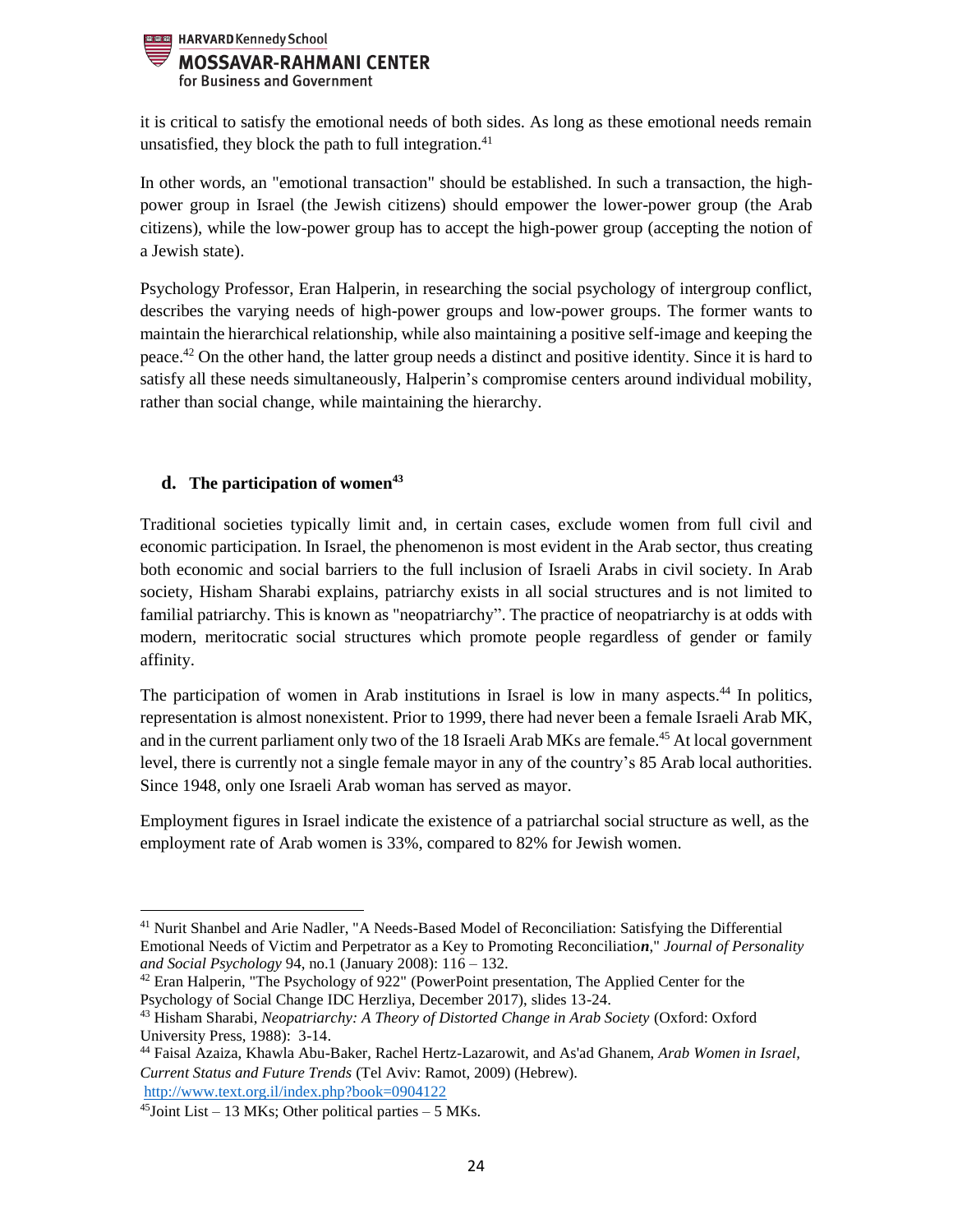

it is critical to satisfy the emotional needs of both sides. As long as these emotional needs remain unsatisfied, they block the path to full integration. $41$ 

In other words, an "emotional transaction" should be established. In such a transaction, the highpower group in Israel (the Jewish citizens) should empower the lower-power group (the Arab citizens), while the low-power group has to accept the high-power group (accepting the notion of a Jewish state).

Psychology Professor, Eran Halperin, in researching the social psychology of intergroup conflict, describes the varying needs of high-power groups and low-power groups. The former wants to maintain the hierarchical relationship, while also maintaining a positive self-image and keeping the peace.<sup>42</sup> On the other hand, the latter group needs a distinct and positive identity. Since it is hard to satisfy all these needs simultaneously, Halperin's compromise centers around individual mobility, rather than social change, while maintaining the hierarchy.

# <span id="page-23-0"></span>**d. The participation of women<sup>43</sup>**

Traditional societies typically limit and, in certain cases, exclude women from full civil and economic participation. In Israel, the phenomenon is most evident in the Arab sector, thus creating both economic and social barriers to the full inclusion of Israeli Arabs in civil society. In Arab society, Hisham Sharabi explains, patriarchy exists in all social structures and is not limited to familial patriarchy. This is known as "neopatriarchy". The practice of neopatriarchy is at odds with modern, meritocratic social structures which promote people regardless of gender or family affinity.

The participation of women in Arab institutions in Israel is low in many aspects.<sup>44</sup> In politics, representation is almost nonexistent. Prior to 1999, there had never been a female Israeli Arab MK, and in the current parliament only two of the 18 Israeli Arab MKs are female.<sup>45</sup> At local government level, there is currently not a single female mayor in any of the country's 85 Arab local authorities. Since 1948, only one Israeli Arab woman has served as mayor.

Employment figures in Israel indicate the existence of a patriarchal social structure as well, as the employment rate of Arab women is 33%, compared to 82% for Jewish women.

 $\overline{\phantom{a}}$ 

<sup>&</sup>lt;sup>41</sup> Nurit Shanbel and Arie Nadler, "A Needs-Based Model of Reconciliation: Satisfying the Differential Emotional Needs of Victim and Perpetrator as a Key to Promoting Reconciliatio*n*," *Journal of Personality and Social Psychology* 94, no.1 (January 2008): 116 – 132.

 $42$  Eran Halperin, ["](http://www.icsi.berkeley.edu/~heran/)The Psychology of 922" (PowerPoint presentation, The Applied Center for the Psychology of Social Change IDC Herzliya, December 2017), slides 13-24.

<sup>43</sup> Hisham Sharabi, *Neopatriarchy: A Theory of Distorted Change in Arab Society* (Oxford: Oxford University Press, 1988): 3-14.

<sup>44</sup> Faisal Azaiza, Khawla Abu-Baker, Rachel Hertz-Lazarowit, and As'ad Ghanem, *Arab Women in Israel, Current Status and Future Trends* (Tel Aviv: Ramot, 2009) (Hebrew). <http://www.text.org.il/index.php?book=0904122>

 $45$ Joint List – 13 MKs; Other political parties – 5 MKs.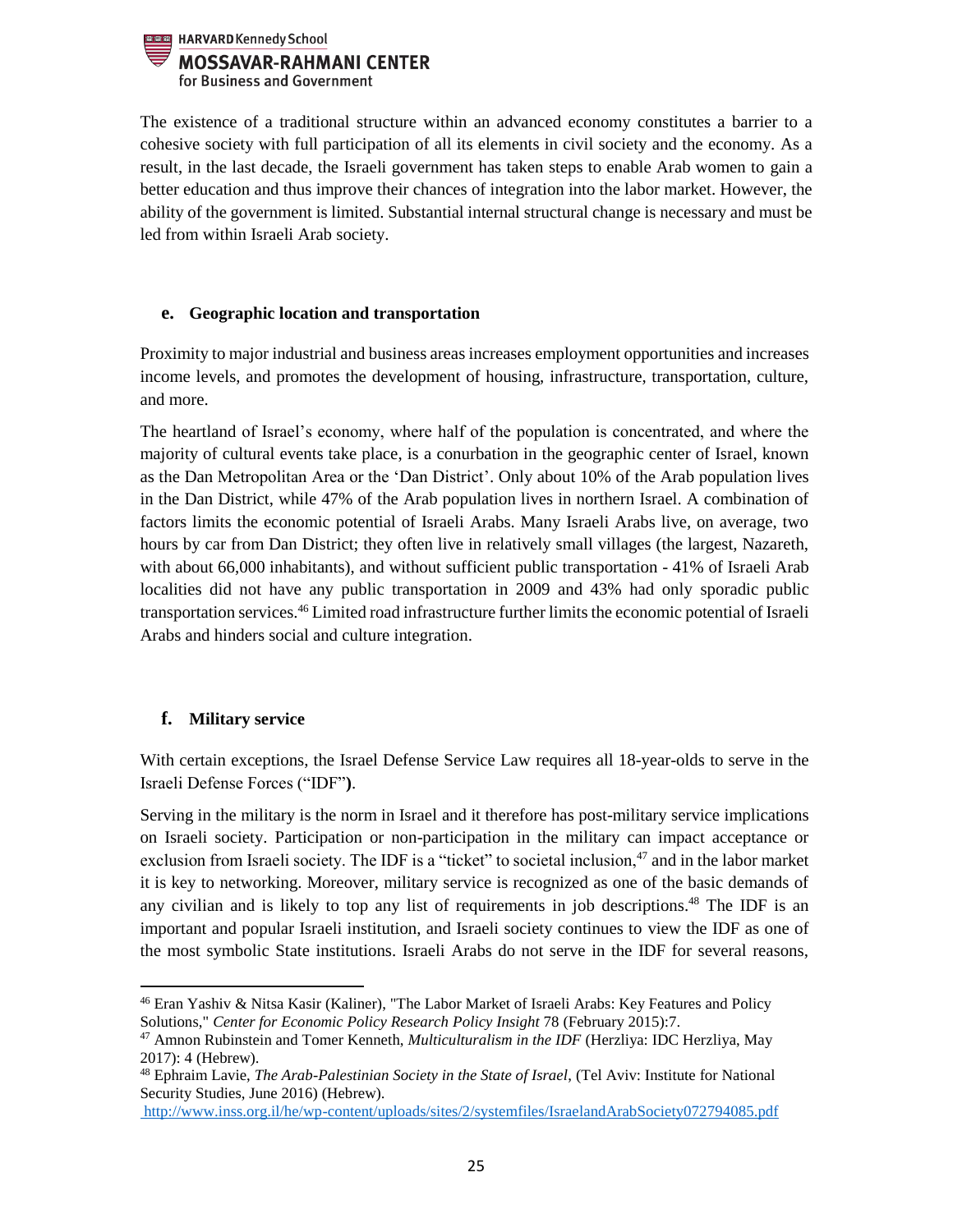

The existence of a traditional structure within an advanced economy constitutes a barrier to a cohesive society with full participation of all its elements in civil society and the economy. As a result, in the last decade, the Israeli government has taken steps to enable Arab women to gain a better education and thus improve their chances of integration into the labor market. However, the ability of the government is limited. Substantial internal structural change is necessary and must be led from within Israeli Arab society.

## <span id="page-24-0"></span>**e. Geographic location and transportation**

Proximity to major industrial and business areas increases employment opportunities and increases income levels, and promotes the development of housing, infrastructure, transportation, culture, and more.

The heartland of Israel's economy, where half of the population is concentrated, and where the majority of cultural events take place, is a conurbation in the geographic center of Israel, known as the Dan Metropolitan Area or the 'Dan District'. Only about 10% of the Arab population lives in the Dan District, while 47% of the Arab population lives in northern Israel. A combination of factors limits the economic potential of Israeli Arabs. Many Israeli Arabs live, on average, two hours by car from Dan District; they often live in relatively small villages (the largest, Nazareth, with about 66,000 inhabitants), and without sufficient public transportation - 41% of Israeli Arab localities did not have any public transportation in 2009 and 43% had only sporadic public transportation services.<sup>46</sup> Limited road infrastructure further limits the economic potential of Israeli Arabs and hinders social and culture integration.

# <span id="page-24-1"></span>**f. Military service**

With certain exceptions, the Israel Defense Service Law requires all 18-year-olds to serve in the Israeli Defense Forces ("IDF"**)**.

Serving in the military is the norm in Israel and it therefore has post-military service implications on Israeli society. Participation or non-participation in the military can impact acceptance or exclusion from Israeli society. The IDF is a "ticket" to societal inclusion,<sup>47</sup> and in the labor market it is key to networking. Moreover, military service is recognized as one of the basic demands of any civilian and is likely to top any list of requirements in job descriptions. <sup>48</sup> The IDF is an important and popular Israeli institution, and Israeli society continues to view the IDF as one of the most symbolic State institutions. Israeli Arabs do not serve in the IDF for several reasons,

 $\overline{\phantom{a}}$ <sup>46</sup> Eran Yashiv & Nitsa Kasir (Kaliner), "The Labor Market of Israeli Arabs: Key Features and Policy Solutions," *Center for Economic Policy Research Policy Insight* 78 (February 2015):7.

<sup>47</sup> Amnon Rubinstein and Tomer Kenneth, *Multiculturalism in the IDF* (Herzliya: IDC Herzliya, May 2017): 4 (Hebrew).

<sup>48</sup> Ephraim Lavie, *The Arab-Palestinian Society in the State of Israel*, (Tel Aviv: Institute for National Security Studies, June 2016) (Hebrew).

http://www.inss.org.il/he/wp-content/uploads/sites/2/systemfiles/IsraelandArabSociety072794085.pdf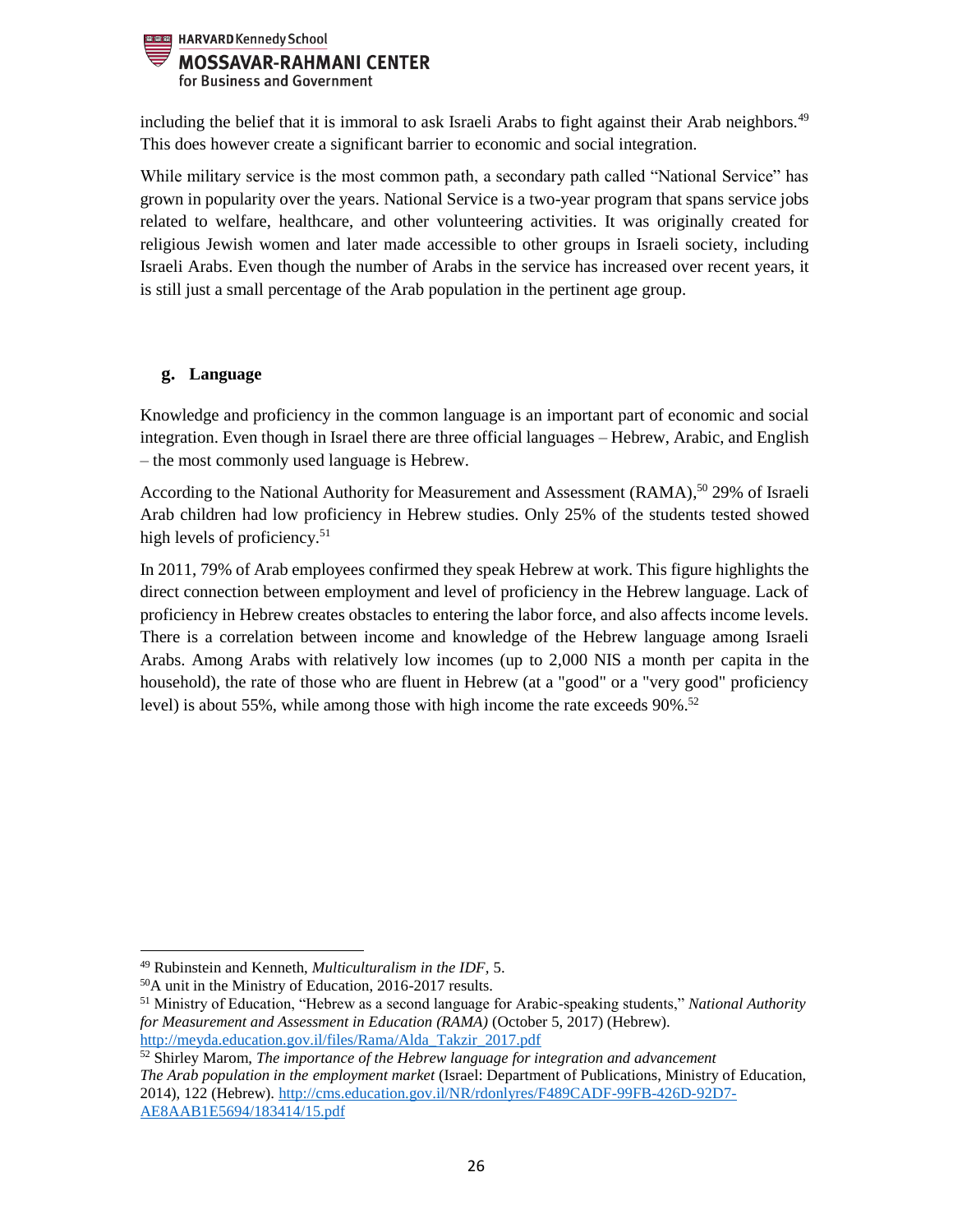

including the belief that it is immoral to ask Israeli Arabs to fight against their Arab neighbors.<sup>49</sup> This does however create a significant barrier to economic and social integration.

While military service is the most common path, a secondary path called "National Service" has grown in popularity over the years. National Service is a two-year program that spans service jobs related to welfare, healthcare, and other volunteering activities. It was originally created for religious Jewish women and later made accessible to other groups in Israeli society, including Israeli Arabs. Even though the number of Arabs in the service has increased over recent years, it is still just a small percentage of the Arab population in the pertinent age group.

# <span id="page-25-0"></span>**g. Language**

Knowledge and proficiency in the common language is an important part of economic and social integration. Even though in Israel there are three official languages – Hebrew, Arabic, and English – the most commonly used language is Hebrew.

According to the National Authority for Measurement and Assessment (RAMA),<sup>50</sup> 29% of Israeli Arab children had low proficiency in Hebrew studies. Only 25% of the students tested showed high levels of proficiency.<sup>51</sup>

In 2011, 79% of Arab employees confirmed they speak Hebrew at work. This figure highlights the direct connection between employment and level of proficiency in the Hebrew language. Lack of proficiency in Hebrew creates obstacles to entering the labor force, and also affects income levels. There is a correlation between income and knowledge of the Hebrew language among Israeli Arabs. Among Arabs with relatively low incomes (up to 2,000 NIS a month per capita in the household), the rate of those who are fluent in Hebrew (at a "good" or a "very good" proficiency level) is about 55%, while among those with high income the rate exceeds 90%. 52

 $\overline{\phantom{a}}$ 

<sup>49</sup> Rubinstein and Kenneth, *Multiculturalism in the IDF,* 5.

<sup>50</sup>A unit in the Ministry of Education, 2016-2017 results.

<sup>51</sup> Ministry of Education, "Hebrew as a second language for Arabic-speaking students," *National Authority for Measurement and Assessment in Education (RAMA)* (October 5, 2017) (Hebrew). http://meyda.education.gov.il/files/Rama/Alda\_Takzir\_2017.pdf

<sup>52</sup> Shirley Marom, *The importance of the Hebrew language for integration and advancement The Arab population in the employment market* (Israel: Department of Publications, Ministry of Education, 2014), 122 (Hebrew). http://cms.education.gov.il/NR/rdonlyres/F489CADF-99FB-426D-92D7- AE8AAB1E5694/183414/15.pdf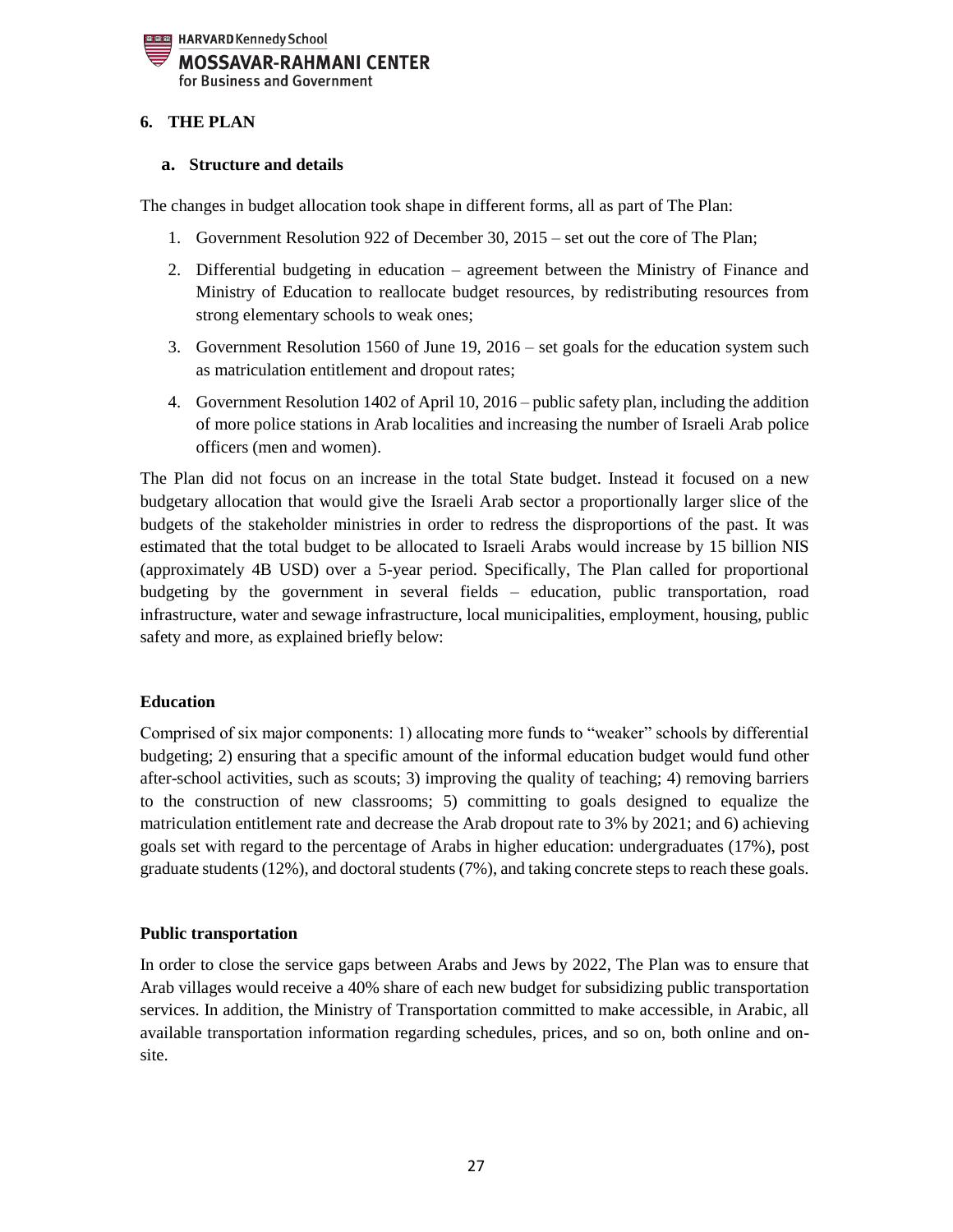

# <span id="page-26-0"></span>**6. THE PLAN**

#### <span id="page-26-1"></span>**a. Structure and details**

The changes in budget allocation took shape in different forms, all as part of The Plan:

- 1. Government Resolution 922 of December 30, 2015 set out the core of The Plan;
- 2. Differential budgeting in education agreement between the Ministry of Finance and Ministry of Education to reallocate budget resources, by redistributing resources from strong elementary schools to weak ones;
- 3. Government Resolution 1560 of June 19, 2016 set goals for the education system such as matriculation entitlement and dropout rates;
- 4. Government Resolution 1402 of April 10, 2016 public safety plan, including the addition of more police stations in Arab localities and increasing the number of Israeli Arab police officers (men and women).

The Plan did not focus on an increase in the total State budget. Instead it focused on a new budgetary allocation that would give the Israeli Arab sector a proportionally larger slice of the budgets of the stakeholder ministries in order to redress the disproportions of the past. It was estimated that the total budget to be allocated to Israeli Arabs would increase by 15 billion NIS (approximately 4B USD) over a 5-year period. Specifically, The Plan called for proportional budgeting by the government in several fields – education, public transportation, road infrastructure, water and sewage infrastructure, local municipalities, employment, housing, public safety and more, as explained briefly below:

#### **Education**

Comprised of six major components: 1) allocating more funds to "weaker" schools by differential budgeting; 2) ensuring that a specific amount of the informal education budget would fund other after-school activities, such as scouts; 3) improving the quality of teaching; 4) removing barriers to the construction of new classrooms; 5) committing to goals designed to equalize the matriculation entitlement rate and decrease the Arab dropout rate to 3% by 2021; and 6) achieving goals set with regard to the percentage of Arabs in higher education: undergraduates (17%), post graduate students(12%), and doctoral students (7%), and taking concrete steps to reach these goals.

#### **Public transportation**

In order to close the service gaps between Arabs and Jews by 2022, The Plan was to ensure that Arab villages would receive a 40% share of each new budget for subsidizing public transportation services. In addition, the Ministry of Transportation committed to make accessible, in Arabic, all available transportation information regarding schedules, prices, and so on, both online and onsite.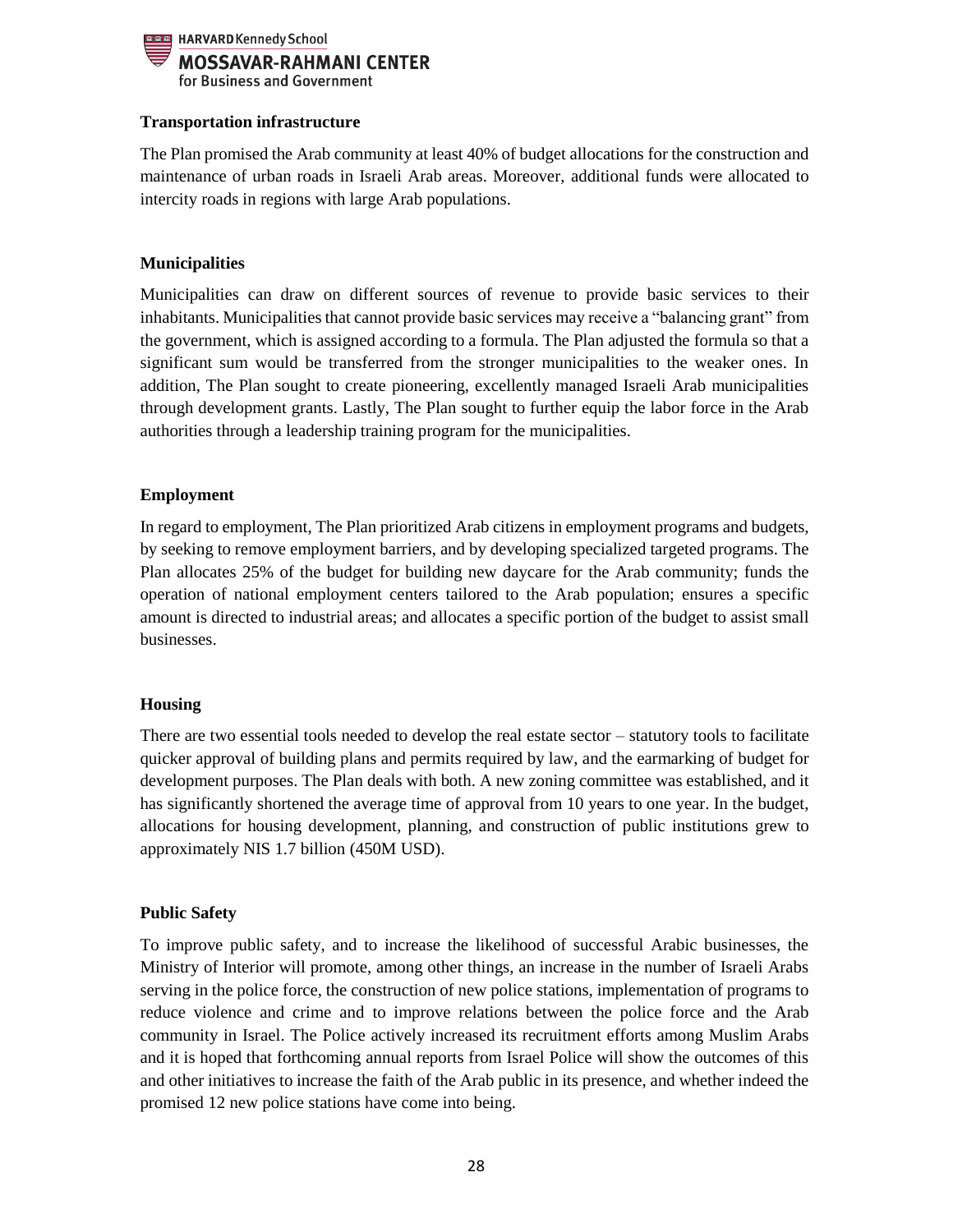

## **Transportation infrastructure**

The Plan promised the Arab community at least 40% of budget allocations for the construction and maintenance of urban roads in Israeli Arab areas. Moreover, additional funds were allocated to intercity roads in regions with large Arab populations.

## **Municipalities**

Municipalities can draw on different sources of revenue to provide basic services to their inhabitants. Municipalities that cannot provide basic services may receive a "balancing grant" from the government, which is assigned according to a formula. The Plan adjusted the formula so that a significant sum would be transferred from the stronger municipalities to the weaker ones. In addition, The Plan sought to create pioneering, excellently managed Israeli Arab municipalities through development grants. Lastly, The Plan sought to further equip the labor force in the Arab authorities through a leadership training program for the municipalities.

## **Employment**

In regard to employment, The Plan prioritized Arab citizens in employment programs and budgets, by seeking to remove employment barriers, and by developing specialized targeted programs. The Plan allocates 25% of the budget for building new daycare for the Arab community; funds the operation of national employment centers tailored to the Arab population; ensures a specific amount is directed to industrial areas; and allocates a specific portion of the budget to assist small businesses.

#### **Housing**

There are two essential tools needed to develop the real estate sector – statutory tools to facilitate quicker approval of building plans and permits required by law, and the earmarking of budget for development purposes. The Plan deals with both. A new zoning committee was established, and it has significantly shortened the average time of approval from 10 years to one year. In the budget, allocations for housing development, planning, and construction of public institutions grew to approximately NIS 1.7 billion (450M USD).

#### **Public Safety**

To improve public safety, and to increase the likelihood of successful Arabic businesses, the Ministry of Interior will promote, among other things, an increase in the number of Israeli Arabs serving in the police force, the construction of new police stations, implementation of programs to reduce violence and crime and to improve relations between the police force and the Arab community in Israel. The Police actively increased its recruitment efforts among Muslim Arabs and it is hoped that forthcoming annual reports from Israel Police will show the outcomes of this and other initiatives to increase the faith of the Arab public in its presence, and whether indeed the promised 12 new police stations have come into being.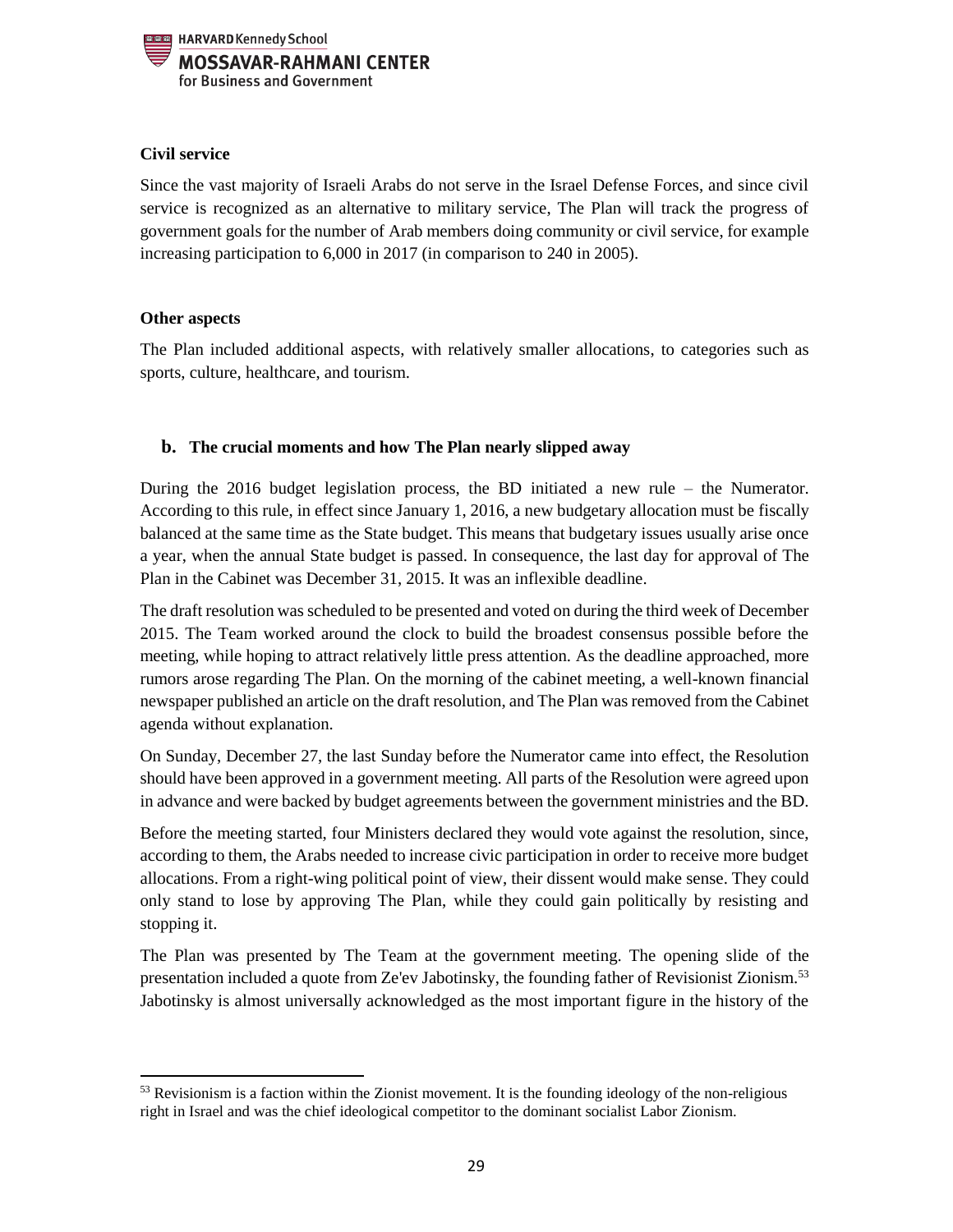

# **Civil service**

Since the vast majority of Israeli Arabs do not serve in the Israel Defense Forces, and since civil service is recognized as an alternative to military service, The Plan will track the progress of government goals for the number of Arab members doing community or civil service, for example increasing participation to 6,000 in 2017 (in comparison to 240 in 2005).

## **Other aspects**

 $\overline{a}$ 

The Plan included additional aspects, with relatively smaller allocations, to categories such as sports, culture, healthcare, and tourism.

## <span id="page-28-0"></span>**b. The crucial moments and how The Plan nearly slipped away**

During the 2016 budget legislation process, the BD initiated a new rule – the Numerator. According to this rule, in effect since January 1, 2016, a new budgetary allocation must be fiscally balanced at the same time as the State budget. This means that budgetary issues usually arise once a year, when the annual State budget is passed. In consequence, the last day for approval of The Plan in the Cabinet was December 31, 2015. It was an inflexible deadline.

The draft resolution was scheduled to be presented and voted on during the third week of December 2015. The Team worked around the clock to build the broadest consensus possible before the meeting, while hoping to attract relatively little press attention. As the deadline approached, more rumors arose regarding The Plan. On the morning of the cabinet meeting, a well-known financial newspaper published an article on the draft resolution, and The Plan was removed from the Cabinet agenda without explanation.

On Sunday, December 27, the last Sunday before the Numerator came into effect, the Resolution should have been approved in a government meeting. All parts of the Resolution were agreed upon in advance and were backed by budget agreements between the government ministries and the BD.

Before the meeting started, four Ministers declared they would vote against the resolution, since, according to them, the Arabs needed to increase civic participation in order to receive more budget allocations. From a right-wing political point of view, their dissent would make sense. They could only stand to lose by approving The Plan, while they could gain politically by resisting and stopping it.

The Plan was presented by The Team at the government meeting. The opening slide of the presentation included a quote from Ze'ev Jabotinsky, the founding father of Revisionist Zionism.<sup>53</sup> Jabotinsky is almost universally acknowledged as the most important figure in the history of the

<sup>53</sup> Revisionism is a faction within the Zionist movement. It is the founding ideology of the non-religious right in Israel and was the chief ideological competitor to the dominant socialist Labor Zionism.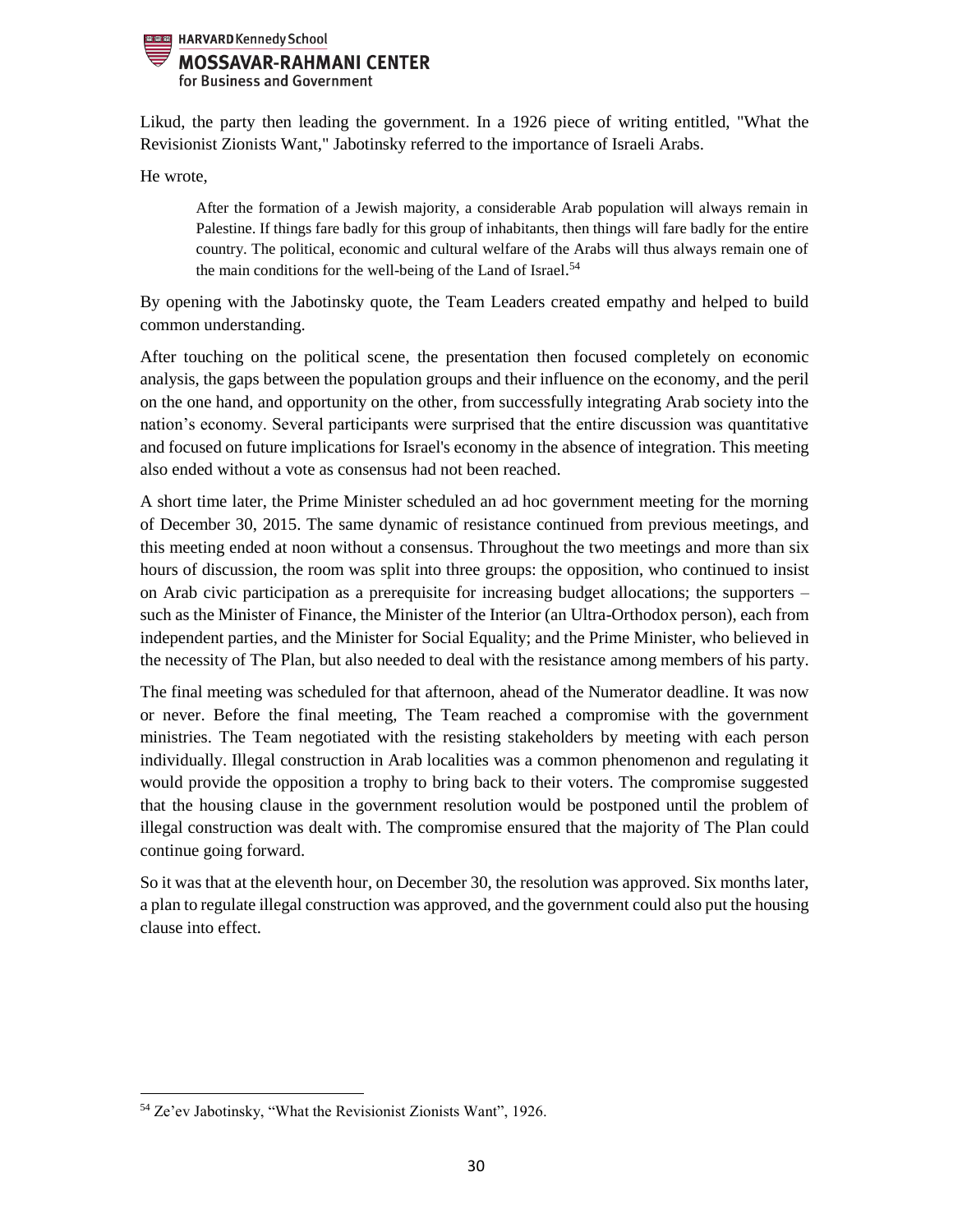

Likud, the party then leading the government. In a 1926 piece of writing entitled, "What the Revisionist Zionists Want," Jabotinsky referred to the importance of Israeli Arabs.

He wrote,

After the formation of a Jewish majority, a considerable Arab population will always remain in Palestine. If things fare badly for this group of inhabitants, then things will fare badly for the entire country. The political, economic and cultural welfare of the Arabs will thus always remain one of the main conditions for the well-being of the Land of Israel.<sup>54</sup>

By opening with the Jabotinsky quote, the Team Leaders created empathy and helped to build common understanding.

After touching on the political scene, the presentation then focused completely on economic analysis, the gaps between the population groups and their influence on the economy, and the peril on the one hand, and opportunity on the other, from successfully integrating Arab society into the nation's economy. Several participants were surprised that the entire discussion was quantitative and focused on future implications for Israel's economy in the absence of integration. This meeting also ended without a vote as consensus had not been reached.

A short time later, the Prime Minister scheduled an ad hoc government meeting for the morning of December 30, 2015. The same dynamic of resistance continued from previous meetings, and this meeting ended at noon without a consensus. Throughout the two meetings and more than six hours of discussion, the room was split into three groups: the opposition, who continued to insist on Arab civic participation as a prerequisite for increasing budget allocations; the supporters – such as the Minister of Finance, the Minister of the Interior (an Ultra-Orthodox person), each from independent parties, and the Minister for Social Equality; and the Prime Minister, who believed in the necessity of The Plan, but also needed to deal with the resistance among members of his party.

The final meeting was scheduled for that afternoon, ahead of the Numerator deadline. It was now or never. Before the final meeting, The Team reached a compromise with the government ministries. The Team negotiated with the resisting stakeholders by meeting with each person individually. Illegal construction in Arab localities was a common phenomenon and regulating it would provide the opposition a trophy to bring back to their voters. The compromise suggested that the housing clause in the government resolution would be postponed until the problem of illegal construction was dealt with. The compromise ensured that the majority of The Plan could continue going forward.

So it was that at the eleventh hour, on December 30, the resolution was approved. Six months later, a plan to regulate illegal construction was approved, and the government could also put the housing clause into effect.

 $\overline{\phantom{a}}$ 

<sup>54</sup> Ze'ev Jabotinsky, "What the Revisionist Zionists Want", 1926.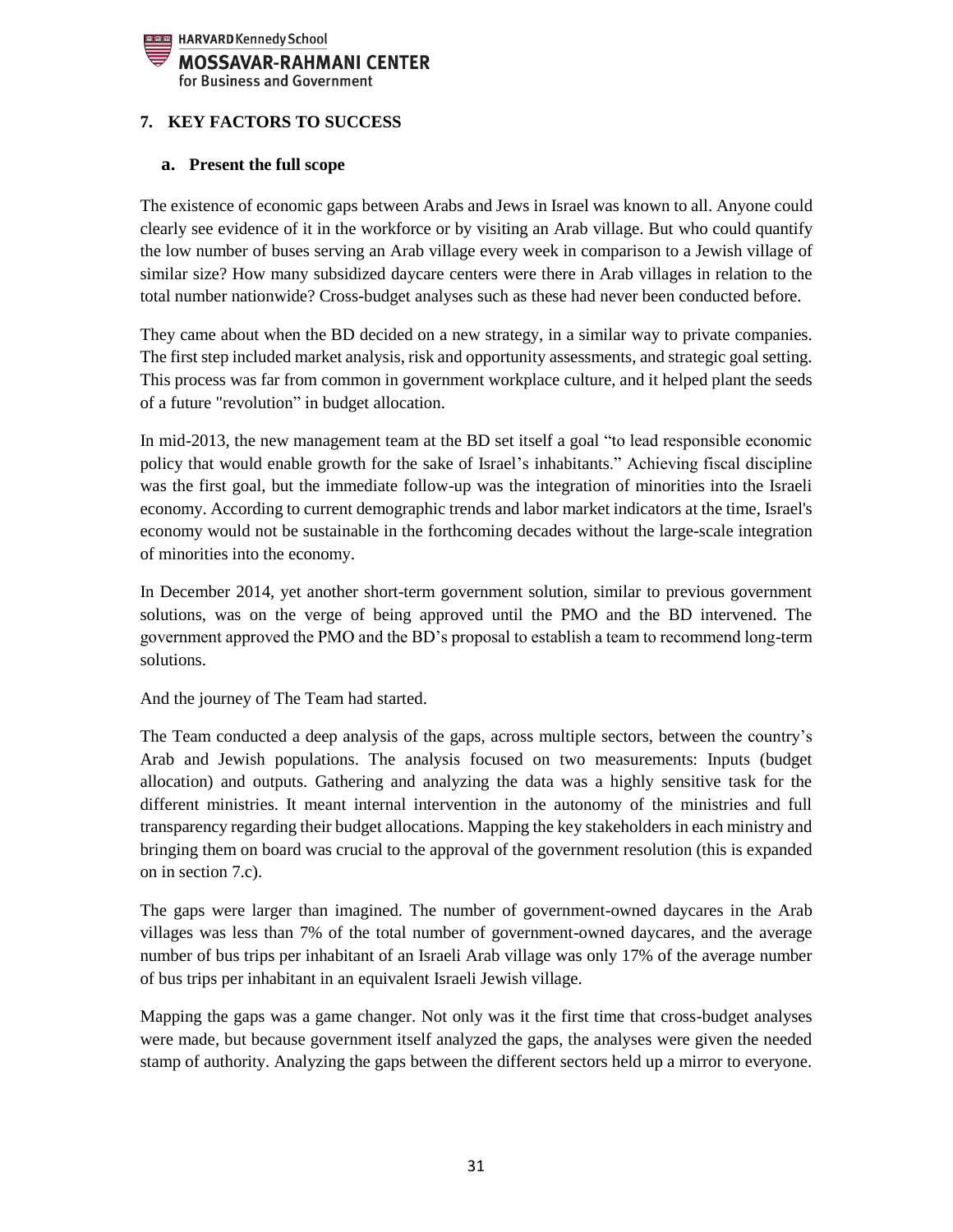

# <span id="page-30-0"></span>**7. KEY FACTORS TO SUCCESS**

#### <span id="page-30-1"></span>**a. Present the full scope**

The existence of economic gaps between Arabs and Jews in Israel was known to all. Anyone could clearly see evidence of it in the workforce or by visiting an Arab village. But who could quantify the low number of buses serving an Arab village every week in comparison to a Jewish village of similar size? How many subsidized daycare centers were there in Arab villages in relation to the total number nationwide? Cross-budget analyses such as these had never been conducted before.

They came about when the BD decided on a new strategy, in a similar way to private companies. The first step included market analysis, risk and opportunity assessments, and strategic goal setting. This process was far from common in government workplace culture, and it helped plant the seeds of a future "revolution" in budget allocation.

In mid-2013, the new management team at the BD set itself a goal "to lead responsible economic policy that would enable growth for the sake of Israel's inhabitants." Achieving fiscal discipline was the first goal, but the immediate follow-up was the integration of minorities into the Israeli economy. According to current demographic trends and labor market indicators at the time, Israel's economy would not be sustainable in the forthcoming decades without the large-scale integration of minorities into the economy.

In December 2014, yet another short-term government solution, similar to previous government solutions, was on the verge of being approved until the PMO and the BD intervened. The government approved the PMO and the BD's proposal to establish a team to recommend long-term solutions.

And the journey of The Team had started.

The Team conducted a deep analysis of the gaps, across multiple sectors, between the country's Arab and Jewish populations. The analysis focused on two measurements: Inputs (budget allocation) and outputs. Gathering and analyzing the data was a highly sensitive task for the different ministries. It meant internal intervention in the autonomy of the ministries and full transparency regarding their budget allocations. Mapping the key stakeholders in each ministry and bringing them on board was crucial to the approval of the government resolution (this is expanded on in section 7.c).

The gaps were larger than imagined. The number of government-owned daycares in the Arab villages was less than 7% of the total number of government-owned daycares, and the average number of bus trips per inhabitant of an Israeli Arab village was only 17% of the average number of bus trips per inhabitant in an equivalent Israeli Jewish village.

Mapping the gaps was a game changer. Not only was it the first time that cross-budget analyses were made, but because government itself analyzed the gaps, the analyses were given the needed stamp of authority. Analyzing the gaps between the different sectors held up a mirror to everyone.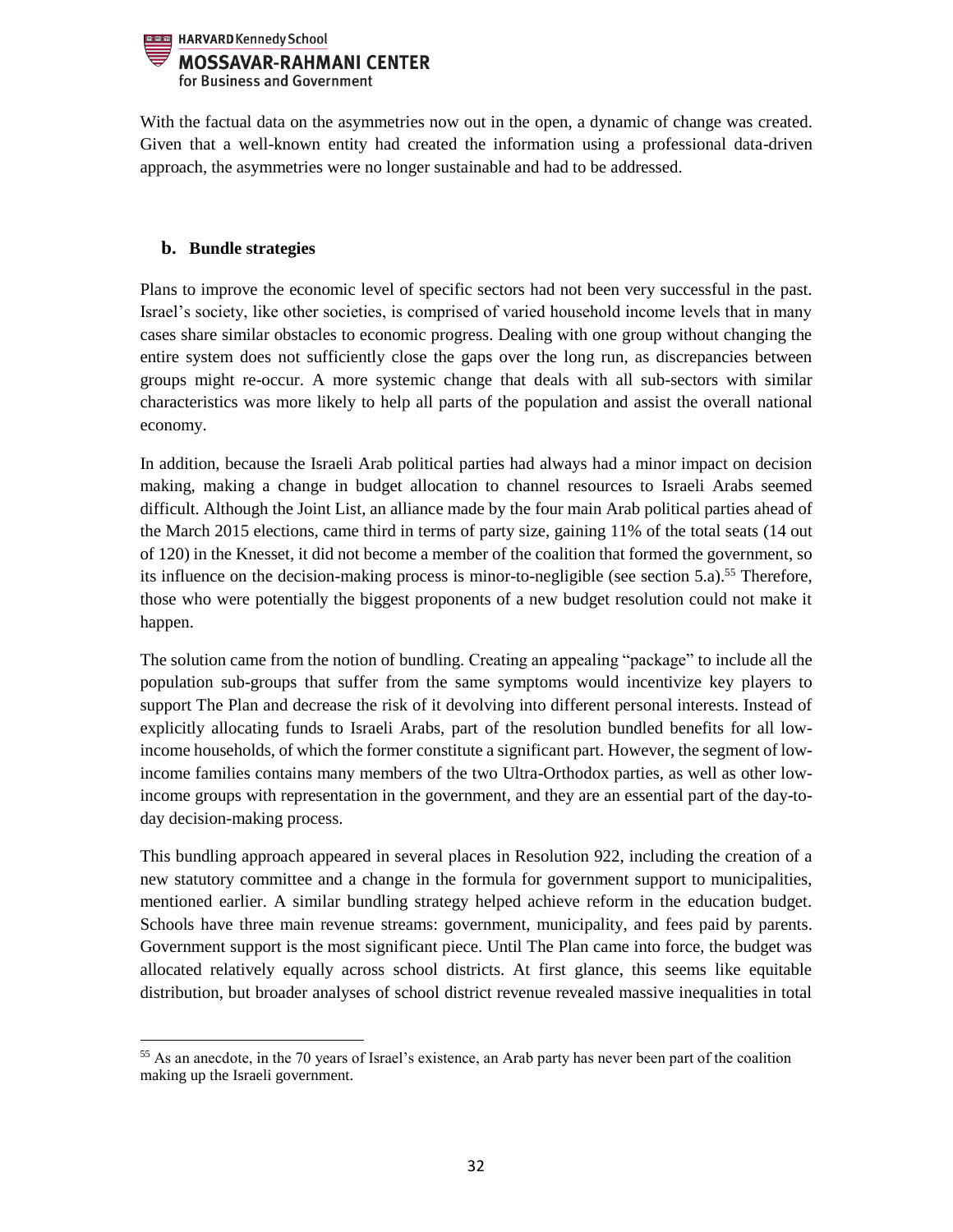

With the factual data on the asymmetries now out in the open, a dynamic of change was created. Given that a well-known entity had created the information using a professional data-driven approach, the asymmetries were no longer sustainable and had to be addressed.

# <span id="page-31-0"></span>**b. Bundle strategies**

 $\overline{a}$ 

Plans to improve the economic level of specific sectors had not been very successful in the past. Israel's society, like other societies, is comprised of varied household income levels that in many cases share similar obstacles to economic progress. Dealing with one group without changing the entire system does not sufficiently close the gaps over the long run, as discrepancies between groups might re-occur. A more systemic change that deals with all sub-sectors with similar characteristics was more likely to help all parts of the population and assist the overall national economy.

In addition, because the Israeli Arab political parties had always had a minor impact on decision making, making a change in budget allocation to channel resources to Israeli Arabs seemed difficult. Although the Joint List, an alliance made by the four main Arab political parties ahead of the March 2015 elections, came third in terms of party size, gaining 11% of the total seats (14 out of 120) in the Knesset, it did not become a member of the coalition that formed the government, so its influence on the decision-making process is minor-to-negligible (see section  $5.a$ ).<sup>55</sup> Therefore, those who were potentially the biggest proponents of a new budget resolution could not make it happen.

The solution came from the notion of bundling. Creating an appealing "package" to include all the population sub-groups that suffer from the same symptoms would incentivize key players to support The Plan and decrease the risk of it devolving into different personal interests. Instead of explicitly allocating funds to Israeli Arabs, part of the resolution bundled benefits for all lowincome households, of which the former constitute a significant part. However, the segment of lowincome families contains many members of the two Ultra-Orthodox parties, as well as other lowincome groups with representation in the government, and they are an essential part of the day-today decision-making process.

This bundling approach appeared in several places in Resolution 922, including the creation of a new statutory committee and a change in the formula for government support to municipalities, mentioned earlier. A similar bundling strategy helped achieve reform in the education budget. Schools have three main revenue streams: government, municipality, and fees paid by parents. Government support is the most significant piece. Until The Plan came into force, the budget was allocated relatively equally across school districts. At first glance, this seems like equitable distribution, but broader analyses of school district revenue revealed massive inequalities in total

<sup>&</sup>lt;sup>55</sup> As an anecdote, in the 70 years of Israel's existence, an Arab party has never been part of the coalition making up the Israeli government.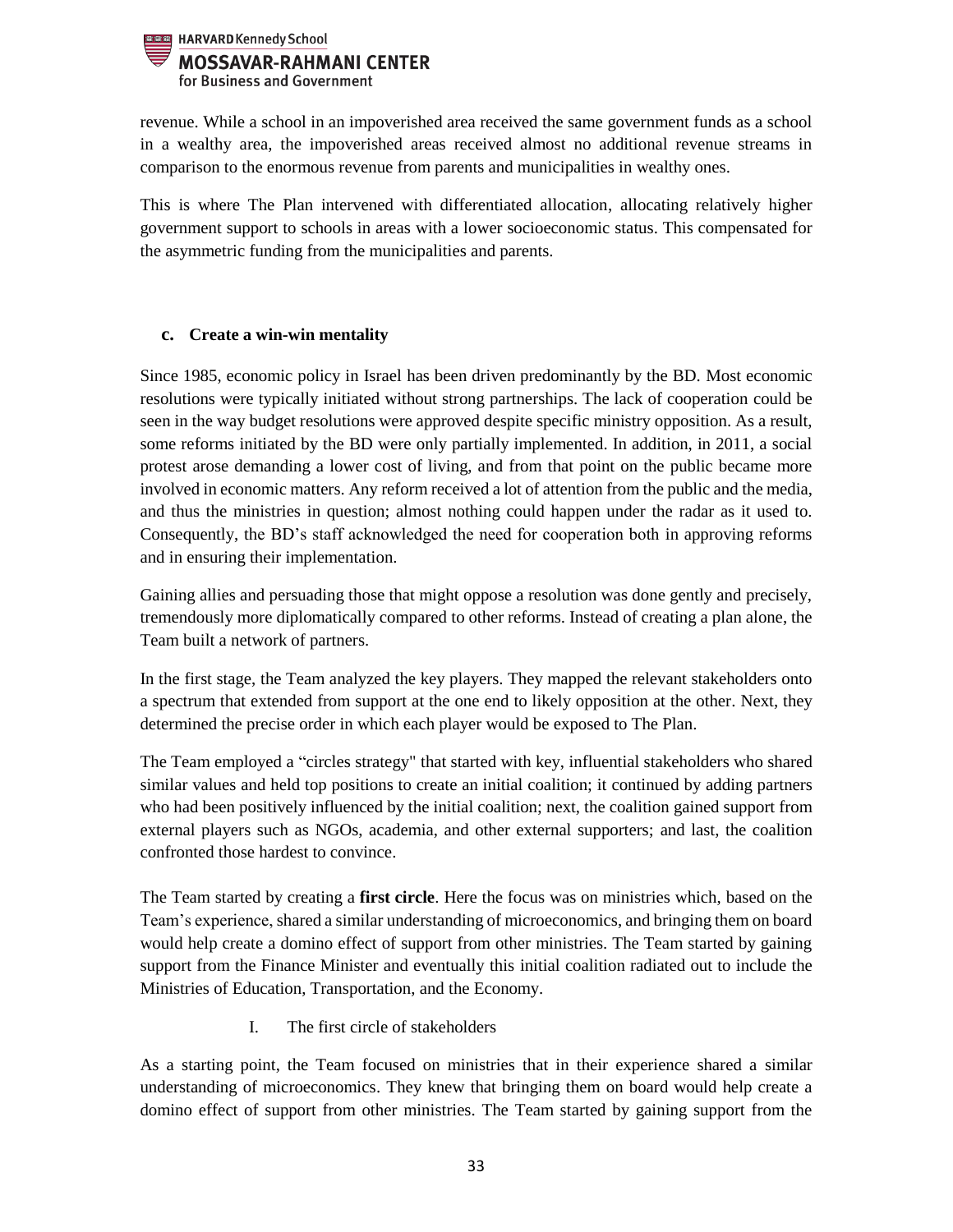

revenue. While a school in an impoverished area received the same government funds as a school in a wealthy area, the impoverished areas received almost no additional revenue streams in comparison to the enormous revenue from parents and municipalities in wealthy ones.

This is where The Plan intervened with differentiated allocation, allocating relatively higher government support to schools in areas with a lower socioeconomic status. This compensated for the asymmetric funding from the municipalities and parents.

## <span id="page-32-0"></span>**c. Create a win-win mentality**

Since 1985, economic policy in Israel has been driven predominantly by the BD. Most economic resolutions were typically initiated without strong partnerships. The lack of cooperation could be seen in the way budget resolutions were approved despite specific ministry opposition. As a result, some reforms initiated by the BD were only partially implemented. In addition, in 2011, a social protest arose demanding a lower cost of living, and from that point on the public became more involved in economic matters. Any reform received a lot of attention from the public and the media, and thus the ministries in question; almost nothing could happen under the radar as it used to. Consequently, the BD's staff acknowledged the need for cooperation both in approving reforms and in ensuring their implementation.

Gaining allies and persuading those that might oppose a resolution was done gently and precisely, tremendously more diplomatically compared to other reforms. Instead of creating a plan alone, the Team built a network of partners.

In the first stage, the Team analyzed the key players. They mapped the relevant stakeholders onto a spectrum that extended from support at the one end to likely opposition at the other. Next, they determined the precise order in which each player would be exposed to The Plan.

The Team employed a "circles strategy" that started with key, influential stakeholders who shared similar values and held top positions to create an initial coalition; it continued by adding partners who had been positively influenced by the initial coalition; next, the coalition gained support from external players such as NGOs, academia, and other external supporters; and last, the coalition confronted those hardest to convince.

The Team started by creating a **first circle**. Here the focus was on ministries which, based on the Team's experience, shared a similar understanding of microeconomics, and bringing them on board would help create a domino effect of support from other ministries. The Team started by gaining support from the Finance Minister and eventually this initial coalition radiated out to include the Ministries of Education, Transportation, and the Economy.

I. The first circle of stakeholders

As a starting point, the Team focused on ministries that in their experience shared a similar understanding of microeconomics. They knew that bringing them on board would help create a domino effect of support from other ministries. The Team started by gaining support from the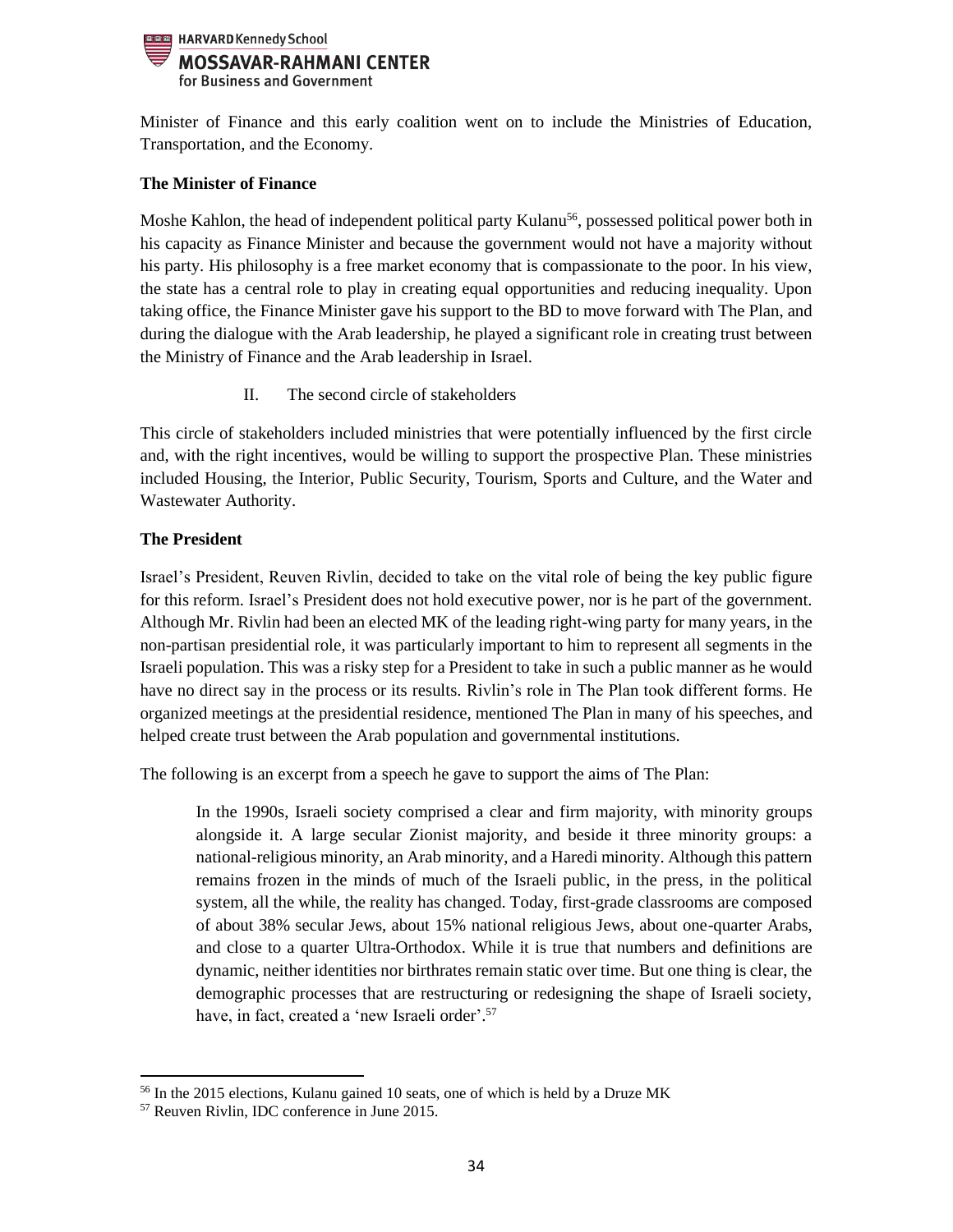## HARVARD Kennedy School **MOSSAVAR-RAHMANI CENTER** for Business and Government

Minister of Finance and this early coalition went on to include the Ministries of Education, Transportation, and the Economy.

# **The Minister of Finance**

Moshe Kahlon, the head of independent political party Kulanu<sup>56</sup>, possessed political power both in his capacity as Finance Minister and because the government would not have a majority without his party. His philosophy is a free market economy that is compassionate to the poor. In his view, the state has a central role to play in creating equal opportunities and reducing inequality. Upon taking office, the Finance Minister gave his support to the BD to move forward with The Plan, and during the dialogue with the Arab leadership, he played a significant role in creating trust between the Ministry of Finance and the Arab leadership in Israel.

II. The second circle of stakeholders

This circle of stakeholders included ministries that were potentially influenced by the first circle and, with the right incentives, would be willing to support the prospective Plan. These ministries included Housing, the Interior, Public Security, Tourism, Sports and Culture, and the Water and Wastewater Authority.

# **The President**

Israel's President, Reuven Rivlin, decided to take on the vital role of being the key public figure for this reform. Israel's President does not hold executive power, nor is he part of the government. Although Mr. Rivlin had been an elected MK of the leading right-wing party for many years, in the non-partisan presidential role, it was particularly important to him to represent all segments in the Israeli population. This was a risky step for a President to take in such a public manner as he would have no direct say in the process or its results. Rivlin's role in The Plan took different forms. He organized meetings at the presidential residence, mentioned The Plan in many of his speeches, and helped create trust between the Arab population and governmental institutions.

The following is an excerpt from a speech he gave to support the aims of The Plan:

In the 1990s, Israeli society comprised a clear and firm majority, with minority groups alongside it. A large secular Zionist majority, and beside it three minority groups: a national-religious minority, an Arab minority, and a Haredi minority. Although this pattern remains frozen in the minds of much of the Israeli public, in the press, in the political system, all the while, the reality has changed. Today, first-grade classrooms are composed of about 38% secular Jews, about 15% national religious Jews, about one-quarter Arabs, and close to a quarter Ultra-Orthodox. While it is true that numbers and definitions are dynamic, neither identities nor birthrates remain static over time. But one thing is clear, the demographic processes that are restructuring or redesigning the shape of Israeli society, have, in fact, created a 'new Israeli order'. 57

 $\overline{a}$ 

<sup>56</sup> In the 2015 elections, Kulanu gained 10 seats, one of which is held by a Druze MK

<sup>57</sup> Reuven Rivlin, IDC conference in June 2015.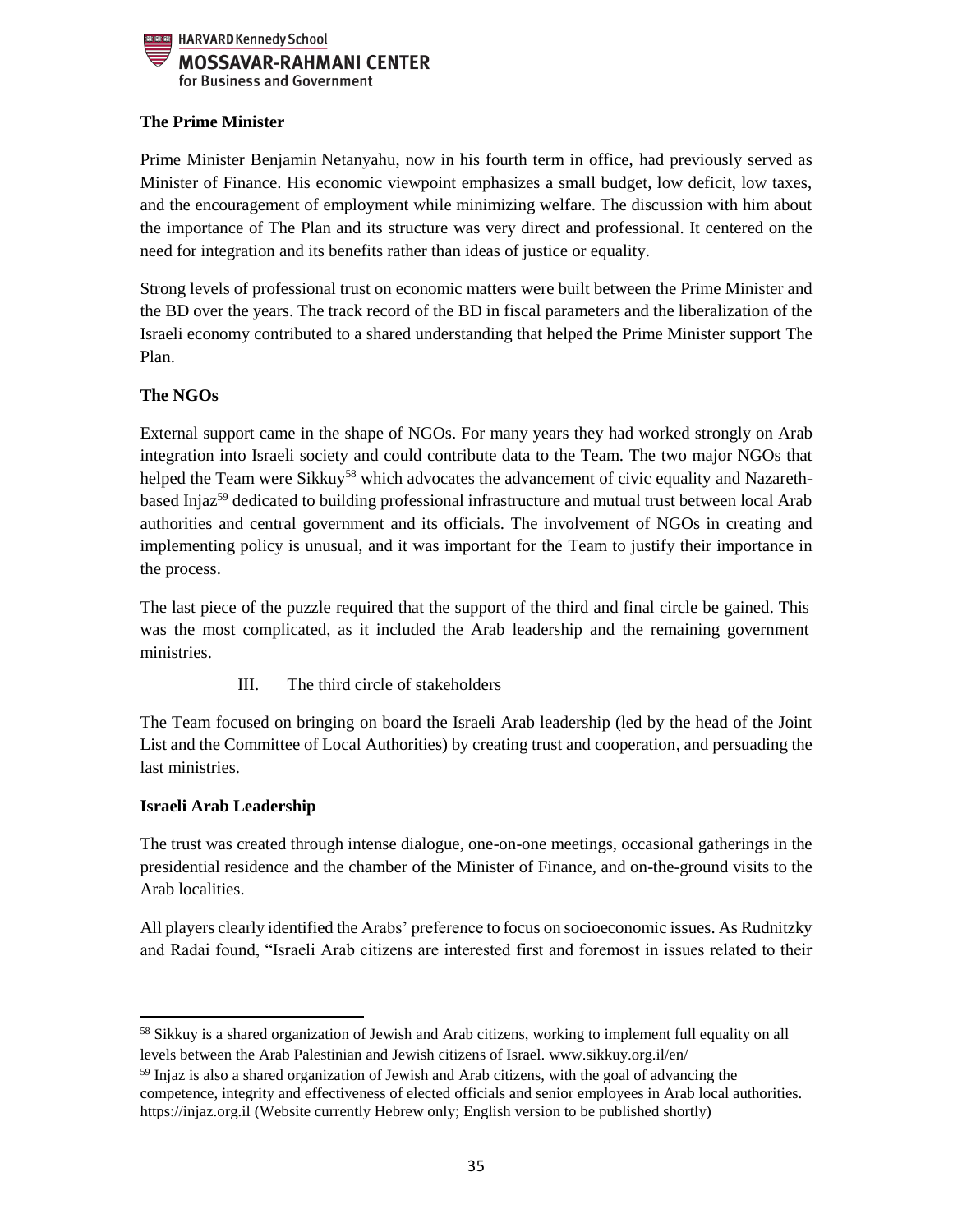

# **The Prime Minister**

Prime Minister Benjamin Netanyahu, now in his fourth term in office, had previously served as Minister of Finance. His economic viewpoint emphasizes a small budget, low deficit, low taxes, and the encouragement of employment while minimizing welfare. The discussion with him about the importance of The Plan and its structure was very direct and professional. It centered on the need for integration and its benefits rather than ideas of justice or equality.

Strong levels of professional trust on economic matters were built between the Prime Minister and the BD over the years. The track record of the BD in fiscal parameters and the liberalization of the Israeli economy contributed to a shared understanding that helped the Prime Minister support The Plan.

# **The NGOs**

External support came in the shape of NGOs. For many years they had worked strongly on Arab integration into Israeli society and could contribute data to the Team. The two major NGOs that helped the Team were Sikkuy<sup>58</sup> which advocates the advancement of civic equality and Nazarethbased Injaz<sup>59</sup> dedicated to building professional infrastructure and mutual trust between local Arab authorities and central government and its officials. The involvement of NGOs in creating and implementing policy is unusual, and it was important for the Team to justify their importance in the process.

The last piece of the puzzle required that the support of the third and final circle be gained. This was the most complicated, as it included the Arab leadership and the remaining government ministries.

III. The third circle of stakeholders

The Team focused on bringing on board the Israeli Arab leadership (led by the head of the Joint List and the Committee of Local Authorities) by creating trust and cooperation, and persuading the last ministries.

# **Israeli Arab Leadership**

 $\overline{a}$ 

The trust was created through intense dialogue, one-on-one meetings, occasional gatherings in the presidential residence and the chamber of the Minister of Finance, and on-the-ground visits to the Arab localities.

All players clearly identified the Arabs' preference to focus on socioeconomic issues. As Rudnitzky and Radai found, "Israeli Arab citizens are interested first and foremost in issues related to their

<sup>&</sup>lt;sup>58</sup> Sikkuy is a shared organization of Jewish and Arab citizens, working to implement full equality on all levels between the Arab Palestinian and Jewish citizens of Israel. www.sikkuy.org.il/en/

<sup>&</sup>lt;sup>59</sup> Injaz is also a shared organization of Jewish and Arab citizens, with the goal of advancing the competence, integrity and effectiveness of elected officials and senior employees in Arab local authorities. https://injaz.org.il (Website currently Hebrew only; English version to be published shortly)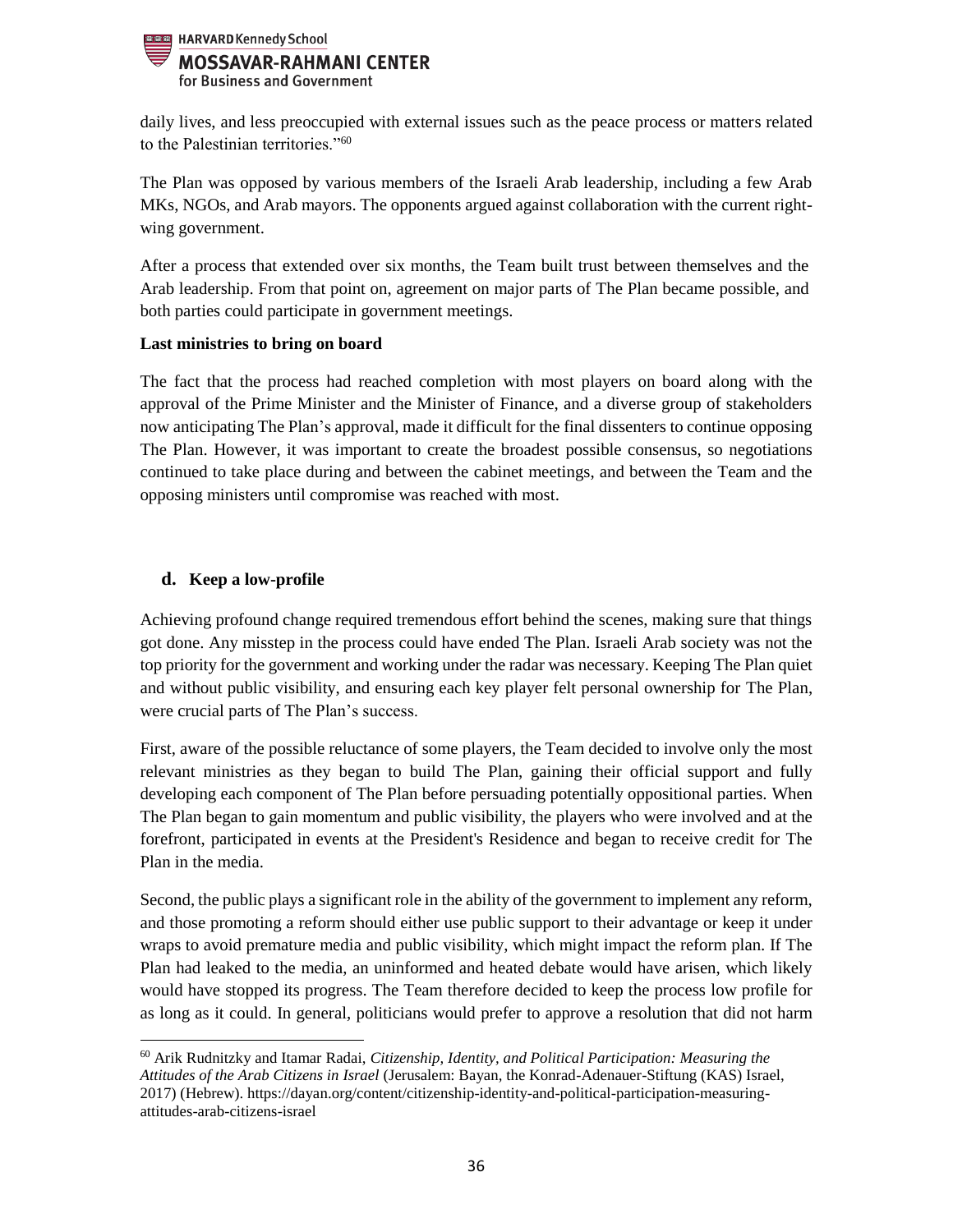

daily lives, and less preoccupied with external issues such as the peace process or matters related to the Palestinian territories."<sup>60</sup>

The Plan was opposed by various members of the Israeli Arab leadership, including a few Arab MKs, NGOs, and Arab mayors. The opponents argued against collaboration with the current rightwing government.

After a process that extended over six months, the Team built trust between themselves and the Arab leadership. From that point on, agreement on major parts of The Plan became possible, and both parties could participate in government meetings.

## **Last ministries to bring on board**

The fact that the process had reached completion with most players on board along with the approval of the Prime Minister and the Minister of Finance, and a diverse group of stakeholders now anticipating The Plan's approval, made it difficult for the final dissenters to continue opposing The Plan. However, it was important to create the broadest possible consensus, so negotiations continued to take place during and between the cabinet meetings, and between the Team and the opposing ministers until compromise was reached with most.

# <span id="page-35-0"></span>**d. Keep a low-profile**

 $\overline{a}$ 

Achieving profound change required tremendous effort behind the scenes, making sure that things got done. Any misstep in the process could have ended The Plan. Israeli Arab society was not the top priority for the government and working under the radar was necessary. Keeping The Plan quiet and without public visibility, and ensuring each key player felt personal ownership for The Plan, were crucial parts of The Plan's success.

First, aware of the possible reluctance of some players, the Team decided to involve only the most relevant ministries as they began to build The Plan, gaining their official support and fully developing each component of The Plan before persuading potentially oppositional parties. When The Plan began to gain momentum and public visibility, the players who were involved and at the forefront, participated in events at the President's Residence and began to receive credit for The Plan in the media.

Second, the public plays a significant role in the ability of the government to implement any reform, and those promoting a reform should either use public support to their advantage or keep it under wraps to avoid premature media and public visibility, which might impact the reform plan. If The Plan had leaked to the media, an uninformed and heated debate would have arisen, which likely would have stopped its progress. The Team therefore decided to keep the process low profile for as long as it could. In general, politicians would prefer to approve a resolution that did not harm

<sup>60</sup> Arik Rudnitzky and Itamar Radai, *Citizenship, Identity, and Political Participation: Measuring the Attitudes of the Arab Citizens in Israel* (Jerusalem: Bayan, the Konrad-Adenauer-Stiftung (KAS) Israel, 2017) (Hebrew). https://dayan.org/content/citizenship-identity-and-political-participation-measuringattitudes-arab-citizens-israel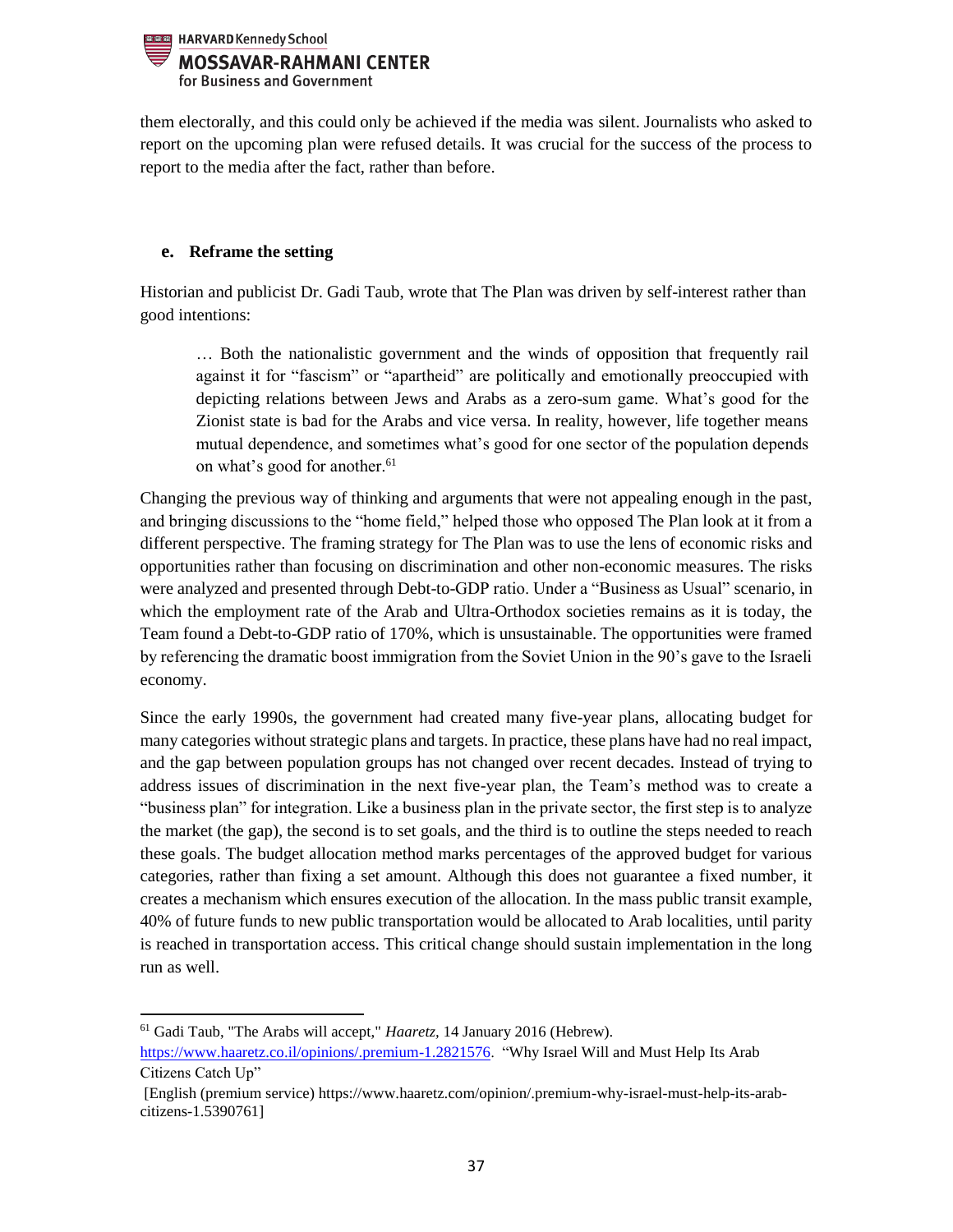

them electorally, and this could only be achieved if the media was silent. Journalists who asked to report on the upcoming plan were refused details. It was crucial for the success of the process to report to the media after the fact, rather than before.

## <span id="page-36-0"></span>**e. Reframe the setting**

Historian and publicist Dr. Gadi Taub, wrote that The Plan was driven by self-interest rather than good intentions:

… Both the nationalistic government and the winds of opposition that frequently rail against it for "fascism" or "apartheid" are politically and emotionally preoccupied with depicting relations between Jews and Arabs as a zero-sum game. What's good for the Zionist state is bad for the Arabs and vice versa. In reality, however, life together means mutual dependence, and sometimes what's good for one sector of the population depends on what's good for another.<sup>61</sup>

Changing the previous way of thinking and arguments that were not appealing enough in the past, and bringing discussions to the "home field," helped those who opposed The Plan look at it from a different perspective. The framing strategy for The Plan was to use the lens of economic risks and opportunities rather than focusing on discrimination and other non-economic measures. The risks were analyzed and presented through Debt-to-GDP ratio. Under a "Business as Usual" scenario, in which the employment rate of the Arab and Ultra-Orthodox societies remains as it is today, the Team found a Debt-to-GDP ratio of 170%, which is unsustainable. The opportunities were framed by referencing the dramatic boost immigration from the Soviet Union in the 90's gave to the Israeli economy.

Since the early 1990s, the government had created many five-year plans, allocating budget for many categories without strategic plans and targets. In practice, these plans have had no real impact, and the gap between population groups has not changed over recent decades. Instead of trying to address issues of discrimination in the next five-year plan, the Team's method was to create a "business plan" for integration. Like a business plan in the private sector, the first step is to analyze the market (the gap), the second is to set goals, and the third is to outline the steps needed to reach these goals. The budget allocation method marks percentages of the approved budget for various categories, rather than fixing a set amount. Although this does not guarantee a fixed number, it creates a mechanism which ensures execution of the allocation. In the mass public transit example, 40% of future funds to new public transportation would be allocated to Arab localities, until parity is reached in transportation access. This critical change should sustain implementation in the long run as well.

<sup>61</sup> Gadi Taub, "The Arabs will accept," *Haaretz,* 14 January 2016 (Hebrew).

 $\overline{\phantom{a}}$ 

[https://www.haaretz.co.il/opinions/.premium-1.2821576.](https://www.haaretz.co.il/opinions/.premium-1.2821576) "Why Israel Will and Must Help Its Arab Citizens Catch Up"

<sup>[</sup>English (premium service) https://www.haaretz.com/opinion/.premium-why-israel-must-help-its-arabcitizens-1.5390761]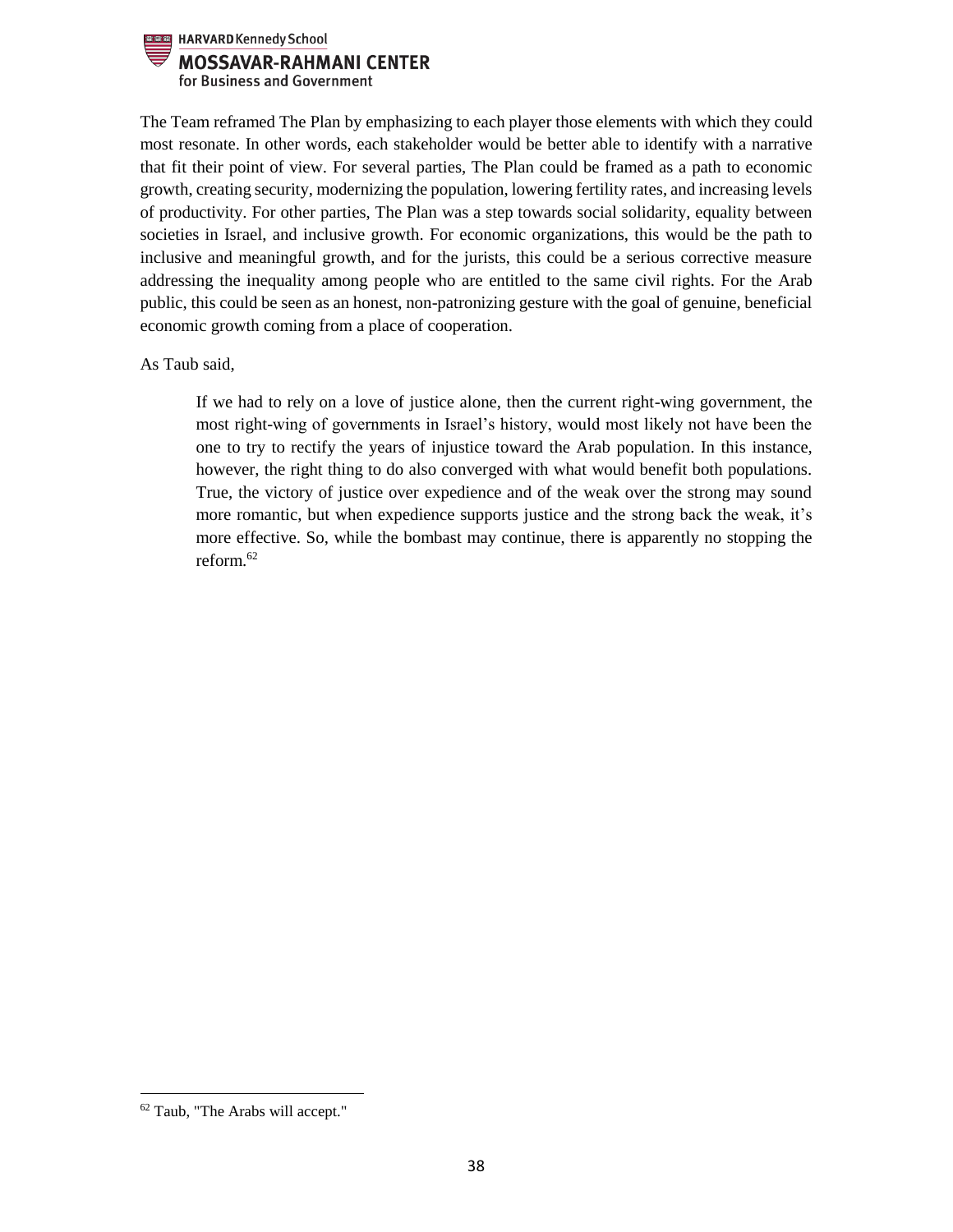

The Team reframed The Plan by emphasizing to each player those elements with which they could most resonate. In other words, each stakeholder would be better able to identify with a narrative that fit their point of view. For several parties, The Plan could be framed as a path to economic growth, creating security, modernizing the population, lowering fertility rates, and increasing levels of productivity. For other parties, The Plan was a step towards social solidarity, equality between societies in Israel, and inclusive growth. For economic organizations, this would be the path to inclusive and meaningful growth, and for the jurists, this could be a serious corrective measure addressing the inequality among people who are entitled to the same civil rights. For the Arab public, this could be seen as an honest, non-patronizing gesture with the goal of genuine, beneficial economic growth coming from a place of cooperation.

As Taub said,

If we had to rely on a love of justice alone, then the current right-wing government, the most right-wing of governments in Israel's history, would most likely not have been the one to try to rectify the years of injustice toward the Arab population. In this instance, however, the right thing to do also converged with what would benefit both populations. True, the victory of justice over expedience and of the weak over the strong may sound more romantic, but when expedience supports justice and the strong back the weak, it's more effective. So, while the bombast may continue, there is apparently no stopping the reform  $62$ 

 $\overline{\phantom{a}}$ 

<sup>62</sup> Taub, "The Arabs will accept."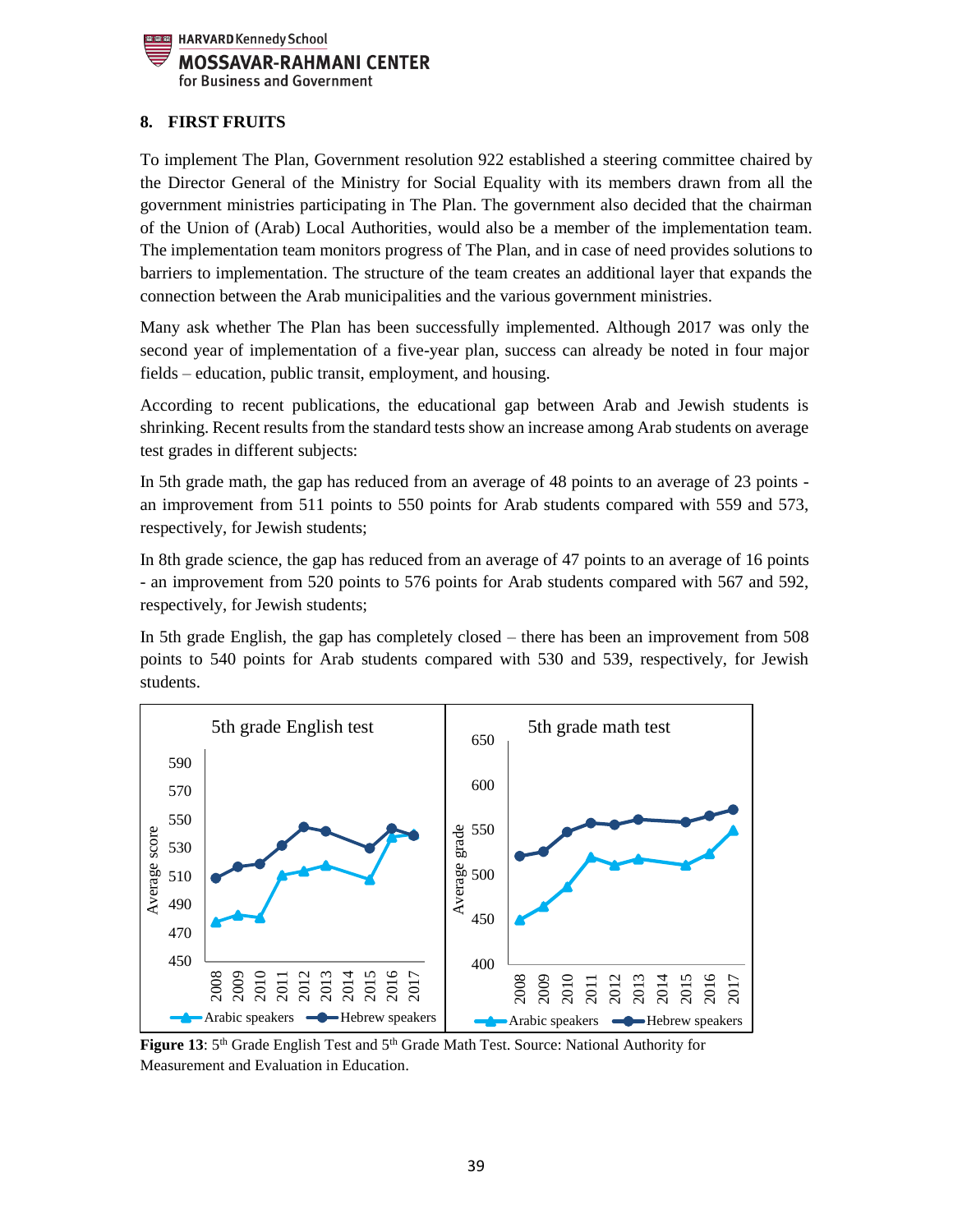

# <span id="page-38-0"></span>**8. FIRST FRUITS**

To implement The Plan, Government resolution 922 established a steering committee chaired by the Director General of the Ministry for Social Equality with its members drawn from all the government ministries participating in The Plan. The government also decided that the chairman of the Union of (Arab) Local Authorities, would also be a member of the implementation team. The implementation team monitors progress of The Plan, and in case of need provides solutions to barriers to implementation. The structure of the team creates an additional layer that expands the connection between the Arab municipalities and the various government ministries.

Many ask whether The Plan has been successfully implemented. Although 2017 was only the second year of implementation of a five-year plan, success can already be noted in four major fields – education, public transit, employment, and housing.

According to recent publications, the educational gap between Arab and Jewish students is shrinking. Recent results from the standard tests show an increase among Arab students on average test grades in different subjects:

In 5th grade math, the gap has reduced from an average of 48 points to an average of 23 points an improvement from 511 points to 550 points for Arab students compared with 559 and 573, respectively, for Jewish students;

In 8th grade science, the gap has reduced from an average of 47 points to an average of 16 points - an improvement from 520 points to 576 points for Arab students compared with 567 and 592, respectively, for Jewish students;

In 5th grade English, the gap has completely closed – there has been an improvement from 508 points to 540 points for Arab students compared with 530 and 539, respectively, for Jewish students.



Figure 13: 5<sup>th</sup> Grade English Test and 5<sup>th</sup> Grade Math Test. Source: National Authority for Measurement and Evaluation in Education.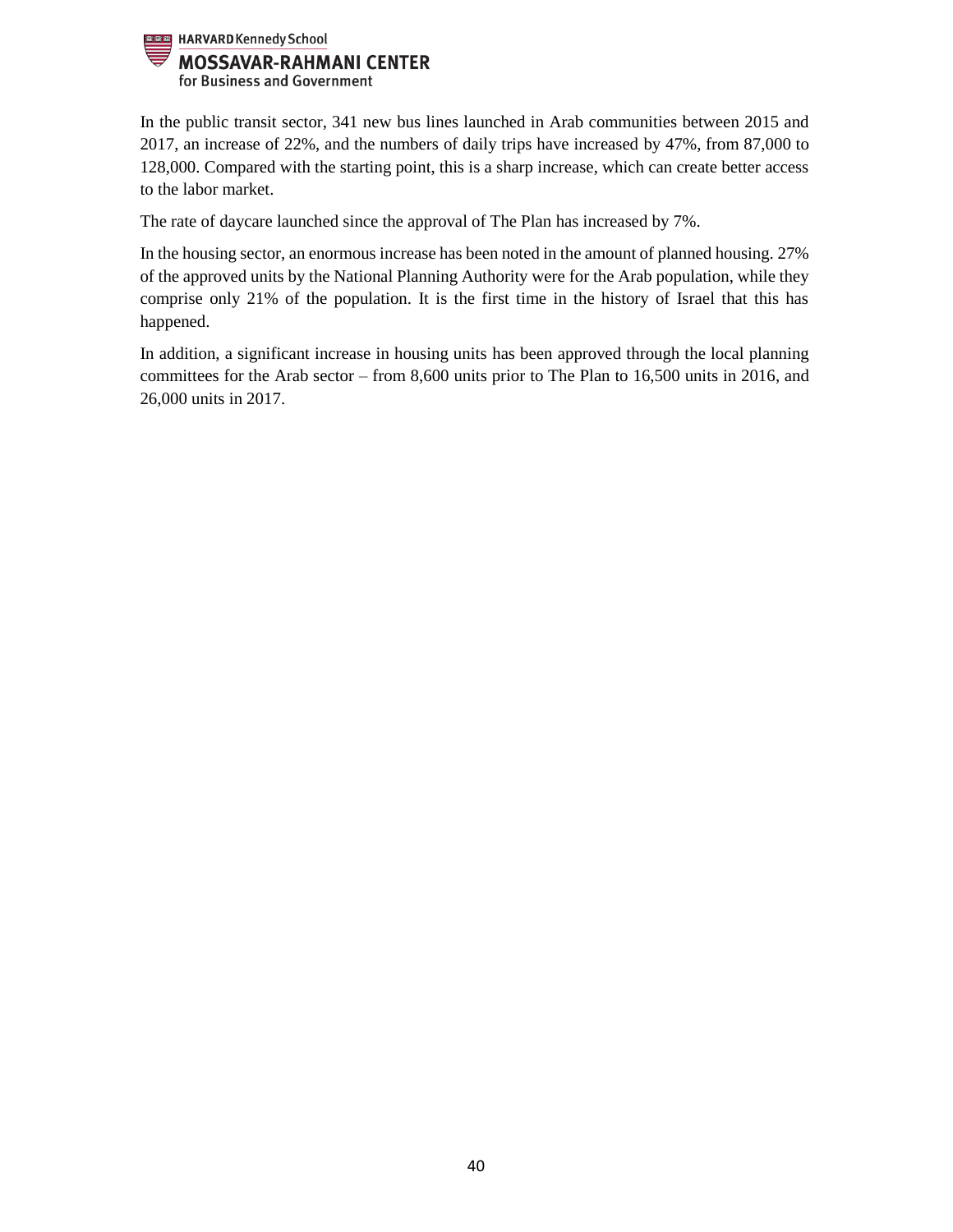

In the public transit sector, 341 new bus lines launched in Arab communities between 2015 and 2017, an increase of 22%, and the numbers of daily trips have increased by 47%, from 87,000 to 128,000. Compared with the starting point, this is a sharp increase, which can create better access to the labor market.

The rate of daycare launched since the approval of The Plan has increased by 7%.

In the housing sector, an enormous increase has been noted in the amount of planned housing. 27% of the approved units by the National Planning Authority were for the Arab population, while they comprise only 21% of the population. It is the first time in the history of Israel that this has happened.

In addition, a significant increase in housing units has been approved through the local planning committees for the Arab sector – from 8,600 units prior to The Plan to 16,500 units in 2016, and 26,000 units in 2017.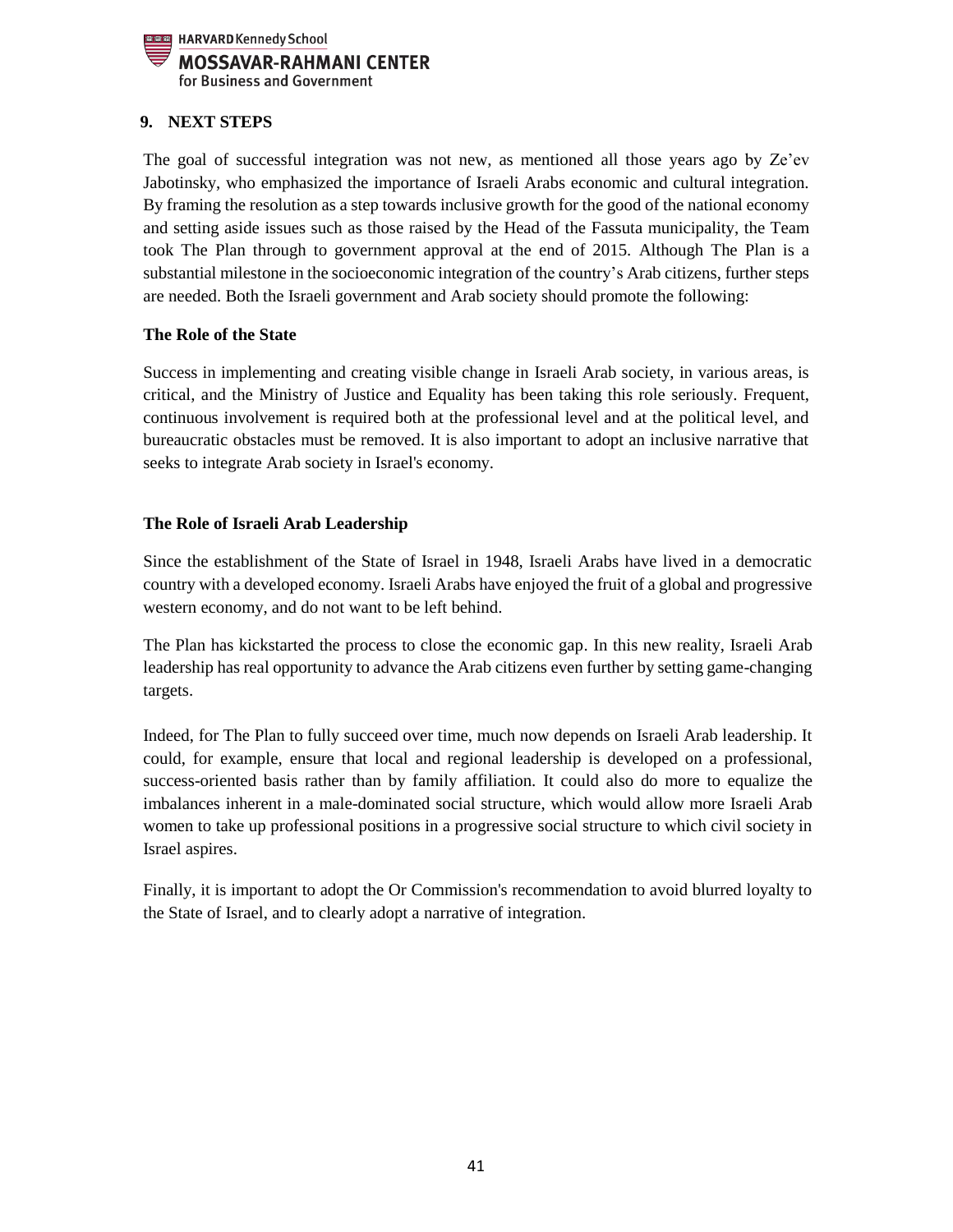

# <span id="page-40-0"></span>**9. NEXT STEPS**

The goal of successful integration was not new, as mentioned all those years ago by Ze'ev Jabotinsky, who emphasized the importance of Israeli Arabs economic and cultural integration. By framing the resolution as a step towards inclusive growth for the good of the national economy and setting aside issues such as those raised by the Head of the Fassuta municipality, the Team took The Plan through to government approval at the end of 2015. Although The Plan is a substantial milestone in the socioeconomic integration of the country's Arab citizens, further steps are needed. Both the Israeli government and Arab society should promote the following:

#### **The Role of the State**

Success in implementing and creating visible change in Israeli Arab society, in various areas, is critical, and the Ministry of Justice and Equality has been taking this role seriously. Frequent, continuous involvement is required both at the professional level and at the political level, and bureaucratic obstacles must be removed. It is also important to adopt an inclusive narrative that seeks to integrate Arab society in Israel's economy.

## **The Role of Israeli Arab Leadership**

Since the establishment of the State of Israel in 1948, Israeli Arabs have lived in a democratic country with a developed economy. Israeli Arabs have enjoyed the fruit of a global and progressive western economy, and do not want to be left behind.

The Plan has kickstarted the process to close the economic gap. In this new reality, Israeli Arab leadership has real opportunity to advance the Arab citizens even further by setting game-changing targets.

Indeed, for The Plan to fully succeed over time, much now depends on Israeli Arab leadership. It could, for example, ensure that local and regional leadership is developed on a professional, success-oriented basis rather than by family affiliation. It could also do more to equalize the imbalances inherent in a male-dominated social structure, which would allow more Israeli Arab women to take up professional positions in a progressive social structure to which civil society in Israel aspires.

Finally, it is important to adopt the Or Commission's recommendation to avoid blurred loyalty to the State of Israel, and to clearly adopt a narrative of integration.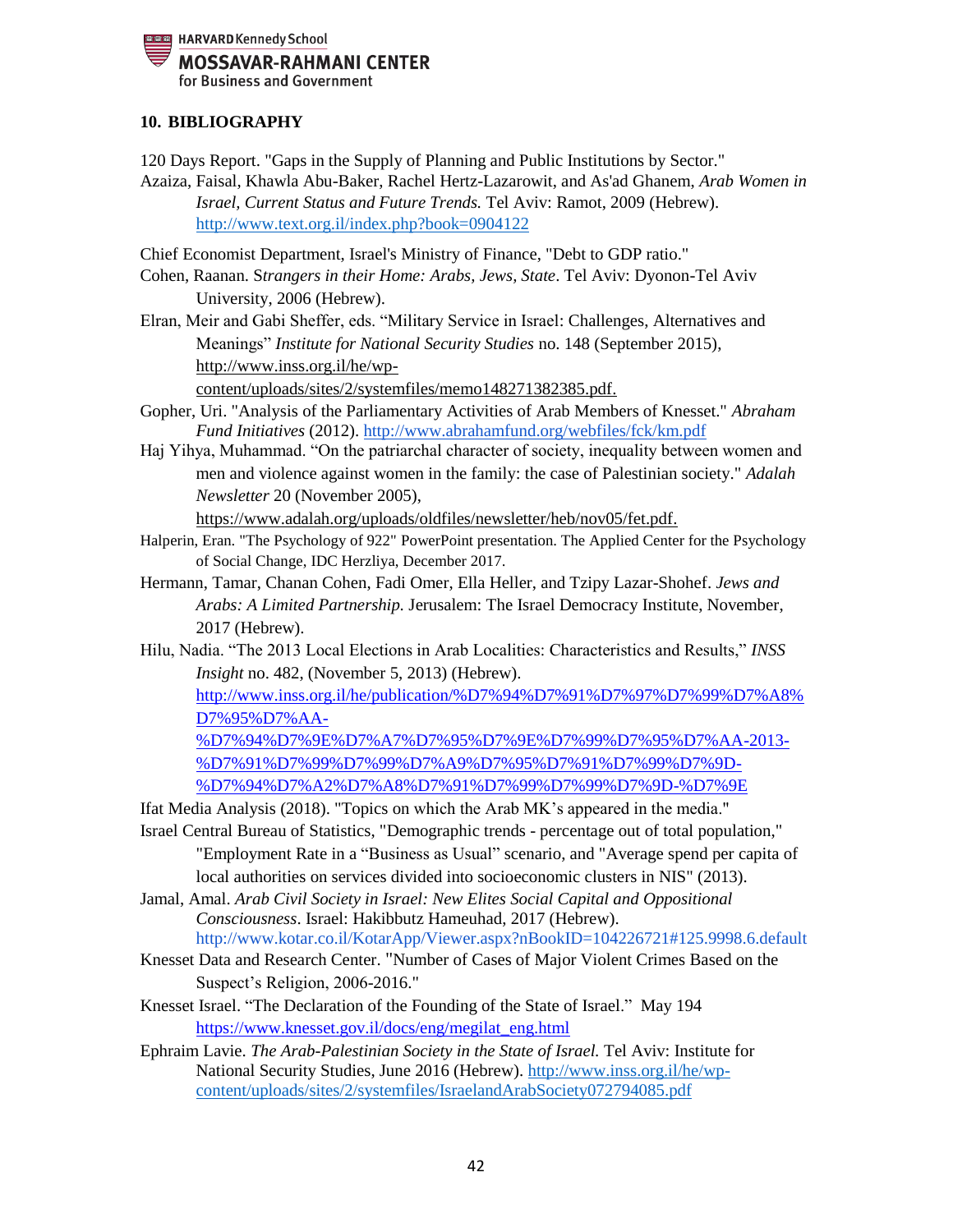

## <span id="page-41-0"></span>**10. BIBLIOGRAPHY**

120 Days Report. "Gaps in the Supply of Planning and Public Institutions by Sector." Azaiza, Faisal, Khawla Abu-Baker, Rachel Hertz-Lazarowit, and As'ad Ghanem, *Arab Women in Israel, Current Status and Future Trends.* Tel Aviv: Ramot, 2009 (Hebrew).

<http://www.text.org.il/index.php?book=0904122>

Chief Economist Department, Israel's Ministry of Finance, "Debt to GDP ratio."

- Cohen, Raanan. S*trangers in their Home: Arabs, Jews, State*. Tel Aviv: Dyonon-Tel Aviv University, 2006 (Hebrew).
- Elran, Meir and Gabi Sheffer, eds. "Military Service in Israel: Challenges, Alternatives and Meanings" *Institute for National Security Studies* no. 148 (September 2015), [http://www.inss.org.il/he/wp](http://www.inss.org.il/he/wp-content/uploads/sites/2/systemfiles/memo148271382385.pdf)[content/uploads/sites/2/systemfiles/memo148271382385.pdf.](http://www.inss.org.il/he/wp-content/uploads/sites/2/systemfiles/memo148271382385.pdf)

Gopher, Uri. "Analysis of the Parliamentary Activities of Arab Members of Knesset." *Abraham Fund Initiatives* (2012).<http://www.abrahamfund.org/webfiles/fck/km.pdf>

Haj Yihya, Muhammad. "On the patriarchal character of society, inequality between women and men and violence against women in the family: the case of Palestinian society." *Adalah Newsletter* 20 (November 2005),

[https://www.adalah.org/uploads/oldfiles/newsletter/heb/nov05/fet.pdf.](https://www.adalah.org/uploads/oldfiles/newsletter/heb/nov05/fet.pdf)

- Halperin, Eran. "The Psychology of 922" PowerPoint presentation. The Applied Center for the Psychology of Social Change, IDC Herzliya, December 2017.
- Hermann, Tamar, Chanan Cohen, Fadi Omer, Ella Heller, and Tzipy Lazar-Shohef. *Jews and Arabs: A Limited Partnership.* Jerusalem: The Israel Democracy Institute, November, 2017 (Hebrew).
- Hilu, Nadia. "The 2013 Local Elections in Arab Localities: Characteristics and Results," *INSS Insight* no. 482, (November 5, 2013) (Hebrew).

[http://www.inss.org.il/he/publication/%D7%94%D7%91%D7%97%D7%99%D7%A8%](http://www.inss.org.il/he/publication/%D7%94%D7%91%D7%97%D7%99%D7%A8%D7%95%D7%AA-%D7%94%D7%9E%D7%A7%D7%95%D7%9E%D7%99%D7%95%D7%AA-2013-%D7%91%D7%99%D7%99%D7%A9%D7%95%D7%91%D7%99%D7%9D-%D7%94%D7%A2%D7%A8%D7%91%D7%99%D7%99%D7%9D-%D7%9E/) [D7%95%D7%AA-](http://www.inss.org.il/he/publication/%D7%94%D7%91%D7%97%D7%99%D7%A8%D7%95%D7%AA-%D7%94%D7%9E%D7%A7%D7%95%D7%9E%D7%99%D7%95%D7%AA-2013-%D7%91%D7%99%D7%99%D7%A9%D7%95%D7%91%D7%99%D7%9D-%D7%94%D7%A2%D7%A8%D7%91%D7%99%D7%99%D7%9D-%D7%9E/)

[%D7%94%D7%9E%D7%A7%D7%95%D7%9E%D7%99%D7%95%D7%AA-2013-](http://www.inss.org.il/he/publication/%D7%94%D7%91%D7%97%D7%99%D7%A8%D7%95%D7%AA-%D7%94%D7%9E%D7%A7%D7%95%D7%9E%D7%99%D7%95%D7%AA-2013-%D7%91%D7%99%D7%99%D7%A9%D7%95%D7%91%D7%99%D7%9D-%D7%94%D7%A2%D7%A8%D7%91%D7%99%D7%99%D7%9D-%D7%9E/) [%D7%91%D7%99%D7%99%D7%A9%D7%95%D7%91%D7%99%D7%9D-](http://www.inss.org.il/he/publication/%D7%94%D7%91%D7%97%D7%99%D7%A8%D7%95%D7%AA-%D7%94%D7%9E%D7%A7%D7%95%D7%9E%D7%99%D7%95%D7%AA-2013-%D7%91%D7%99%D7%99%D7%A9%D7%95%D7%91%D7%99%D7%9D-%D7%94%D7%A2%D7%A8%D7%91%D7%99%D7%99%D7%9D-%D7%9E/) [%D7%94%D7%A2%D7%A8%D7%91%D7%99%D7%99%D7%9D-%D7%9E](http://www.inss.org.il/he/publication/%D7%94%D7%91%D7%97%D7%99%D7%A8%D7%95%D7%AA-%D7%94%D7%9E%D7%A7%D7%95%D7%9E%D7%99%D7%95%D7%AA-2013-%D7%91%D7%99%D7%99%D7%A9%D7%95%D7%91%D7%99%D7%9D-%D7%94%D7%A2%D7%A8%D7%91%D7%99%D7%99%D7%9D-%D7%9E/)

Ifat Media Analysis (2018). "Topics on which the Arab MK's appeared in the media."

- Israel Central Bureau of Statistics, "Demographic trends percentage out of total population," "Employment Rate in a "Business as Usual" scenario, and "Average spend per capita of local authorities on services divided into socioeconomic clusters in NIS" (2013).
- Jamal, Amal. *Arab Civil Society in Israel: New Elites Social Capital and Oppositional Consciousness*. Israel: Hakibbutz Hameuhad, 2017 (Hebrew). http://www.kotar.co.il/KotarApp/Viewer.aspx?nBookID=104226721#125.9998.6.default
- Knesset Data and Research Center. "Number of Cases of Major Violent Crimes Based on the Suspect's Religion, 2006-2016."
- Knesset Israel. "The Declaration of the Founding of the State of Israel." May 194 [https://www.knesset.gov.il/docs/eng/megilat\\_eng.html](https://www.knesset.gov.il/docs/eng/megilat_eng.html)
- Ephraim Lavie. *The Arab-Palestinian Society in the State of Israel.* Tel Aviv: Institute for National Security Studies, June 2016 (Hebrew). http://www.inss.org.il/he/wpcontent/uploads/sites/2/systemfiles/IsraelandArabSociety072794085.pdf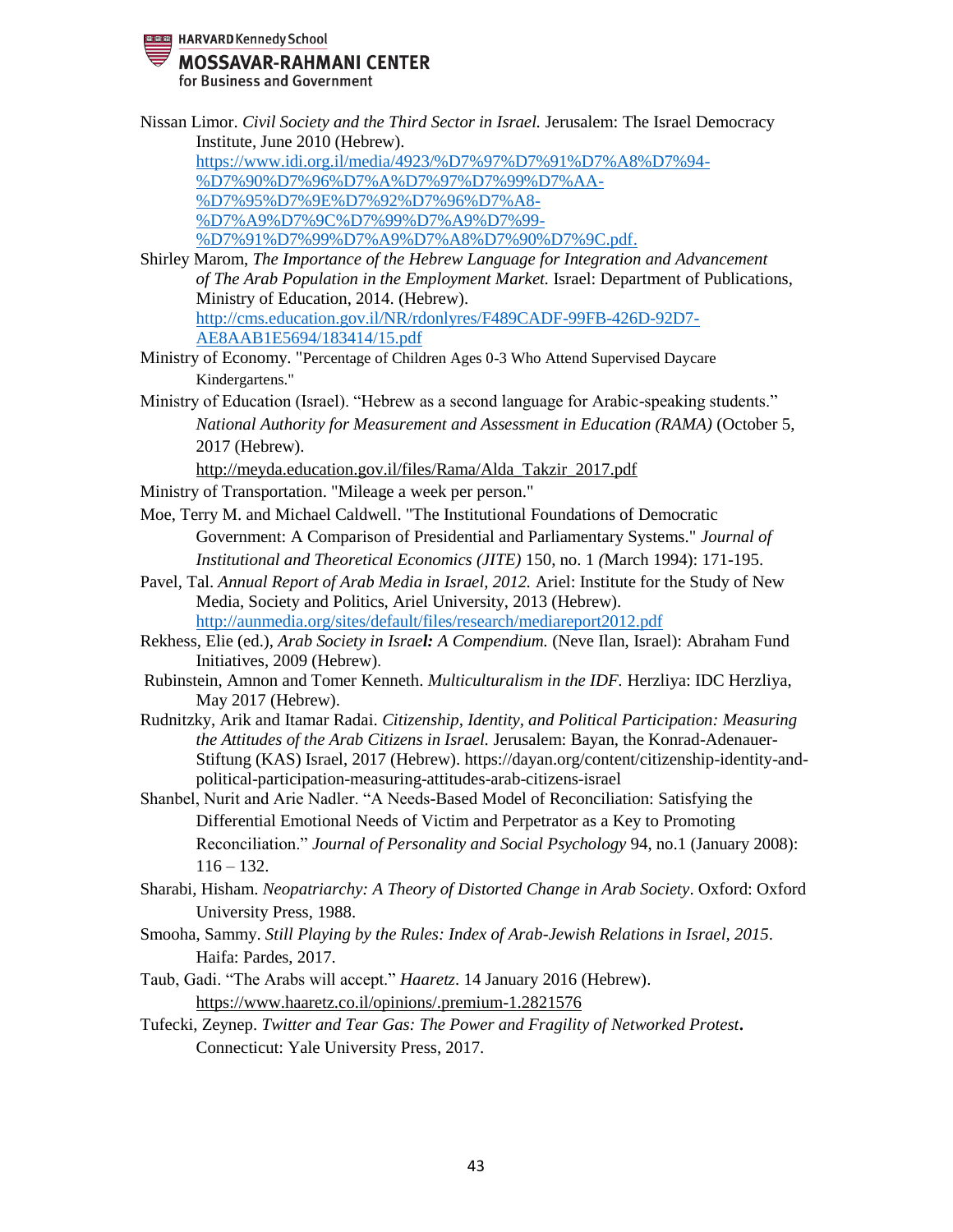**READ HARVARD Kennedy School** 

## **MOSSAVAR-RAHMANI CENTER**

for Business and Government

43 Institute, June 2010 (Hebrew). [https://www.idi.org.il/media/4923/%D7%97%D7%91%D7%A8%D7%94-](https://www.idi.org.il/media/4923/%D7%97%D7%91%D7%A8%D7%94-%D7%90%D7%96%D7%A8%D7%97%D7%99%D7%AA-%D7%95%D7%9E%D7%92%D7%96%D7%A8-%D7%A9%D7%9C%D7%99%D7%A9%D7%99-%D7%91%D7%99%D7%A9%D7%A8%D7%90%D7%9C.pdf) [%D7%90%D7%96%D7%A%D7%97%D7%99%D7%AA-](https://www.idi.org.il/media/4923/%D7%97%D7%91%D7%A8%D7%94-%D7%90%D7%96%D7%A8%D7%97%D7%99%D7%AA-%D7%95%D7%9E%D7%92%D7%96%D7%A8-%D7%A9%D7%9C%D7%99%D7%A9%D7%99-%D7%91%D7%99%D7%A9%D7%A8%D7%90%D7%9C.pdf) [%D7%95%D7%9E%D7%92%D7%96%D7%A8-](https://www.idi.org.il/media/4923/%D7%97%D7%91%D7%A8%D7%94-%D7%90%D7%96%D7%A8%D7%97%D7%99%D7%AA-%D7%95%D7%9E%D7%92%D7%96%D7%A8-%D7%A9%D7%9C%D7%99%D7%A9%D7%99-%D7%91%D7%99%D7%A9%D7%A8%D7%90%D7%9C.pdf) [%D7%A9%D7%9C%D7%99%D7%A9%D7%99-](https://www.idi.org.il/media/4923/%D7%97%D7%91%D7%A8%D7%94-%D7%90%D7%96%D7%A8%D7%97%D7%99%D7%AA-%D7%95%D7%9E%D7%92%D7%96%D7%A8-%D7%A9%D7%9C%D7%99%D7%A9%D7%99-%D7%91%D7%99%D7%A9%D7%A8%D7%90%D7%9C.pdf) [%D7%91%D7%99%D7%A9%D7%A8%D7%90%D7%9C.pdf.](https://www.idi.org.il/media/4923/%D7%97%D7%91%D7%A8%D7%94-%D7%90%D7%96%D7%A8%D7%97%D7%99%D7%AA-%D7%95%D7%9E%D7%92%D7%96%D7%A8-%D7%A9%D7%9C%D7%99%D7%A9%D7%99-%D7%91%D7%99%D7%A9%D7%A8%D7%90%D7%9C.pdf) Shirley Marom, *The Importance of the Hebrew Language for Integration and Advancement of The Arab Population in the Employment Market.* Israel: Department of Publications, Ministry of Education, 2014. (Hebrew). [http://cms.education.gov.il/NR/rdonlyres/F489CADF-99FB-426D-92D7-](http://cms.education.gov.il/NR/rdonlyres/F489CADF-99FB-426D-92D7-AE8AAB1E5694/183414/15.pdf) [AE8AAB1E5694/183414/15.pdf](http://cms.education.gov.il/NR/rdonlyres/F489CADF-99FB-426D-92D7-AE8AAB1E5694/183414/15.pdf) Ministry of Economy. "Percentage of Children Ages 0-3 Who Attend Supervised Daycare Kindergartens." Ministry of Education (Israel). "Hebrew as a second language for Arabic-speaking students." *National Authority for Measurement and Assessment in Education (RAMA)* (October 5, 2017 (Hebrew). [http://meyda.education.gov.il/files/Rama/Alda\\_Takzir\\_2017.pdf](http://meyda.education.gov.il/files/Rama/Alda_Takzir_2017.pdf)  Ministry of Transportation. "Mileage a week per person." Moe, Terry M. and Michael Caldwell. "The Institutional Foundations of Democratic Government: A Comparison of Presidential and Parliamentary Systems." *Journal of Institutional and Theoretical Economics (JITE)* 150, no. 1 *(*March 1994): 171-195. Pavel, Tal. *Annual Report of Arab Media in Israel, 2012.* Ariel: Institute for the Study of New Media, Society and Politics, Ariel University, 2013 (Hebrew). http://aunmedia.org/sites/default/files/research/mediareport2012.pdf Rekhess, Elie (ed.), *Arab Society in Israel: A Compendium.* (Neve Ilan, Israel): Abraham Fund Initiatives, 2009 (Hebrew). Rubinstein, Amnon and Tomer Kenneth. *Multiculturalism in the IDF.* Herzliya: IDC Herzliya, May 2017 (Hebrew). Rudnitzky, Arik and Itamar Radai. *Citizenship, Identity, and Political Participation: Measuring the Attitudes of the Arab Citizens in Israel.* Jerusalem: Bayan, the Konrad-Adenauer-Stiftung (KAS) Israel, 2017 (Hebrew). https://dayan.org/content/citizenship-identity-andpolitical-participation-measuring-attitudes-arab-citizens-israel Shanbel, Nurit and Arie Nadler. "A Needs-Based Model of Reconciliation: Satisfying the Differential Emotional Needs of Victim and Perpetrator as a Key to Promoting Reconciliation." *Journal of Personality and Social Psychology* 94, no.1 (January 2008):  $116 - 132.$ Sharabi, Hisham. *Neopatriarchy: A Theory of Distorted Change in Arab Society*. Oxford: Oxford University Press, 1988. Smooha, Sammy. *Still Playing by the Rules: Index of Arab-Jewish Relations in Israel, 2015*. Haifa: Pardes, 2017. Taub, Gadi. "The Arabs will accept." *Haaretz*. 14 January 2016 (Hebrew). <https://www.haaretz.co.il/opinions/.premium-1.2821576> Tufecki, Zeynep. *Twitter and Tear Gas: The Power and Fragility of Networked Protest***.**  Connecticut: Yale University Press, 2017.

Nissan Limor. *Civil Society and the Third Sector in Israel.* Jerusalem: The Israel Democracy